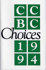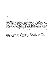# Copyright <sup>@</sup>1995, Friends of the CCBC, Inc. (ISBN 0-931641-04-7)

#### Acknowledgements

Thank you to Tana Elias for planning and creating the Index; Merri Lindgren for her suggested titles and assistance with several annotations; each of the participants in monthly CCBC Book Discussions during 1994, especially Anne Altshuler, Elizabeth Hill Askey, Philip Heckman, Eve Larkin, Nina Lindsay, Marge Loch-Wouters and Joan Thron who participated frequently; everyone who participated in the annual CCBC Caldecott, Newbery and Coretta Scott King Awards Discussions in December, 1994, and January, 1995, especially to Eliza T. Dresang who coordinated Madison School District staff participation; all content and other reviewers who evaluated one or more books at our request, especially Anne Altshuler, Mary Boye, Sandi L. Cornelius, Patricia Enciso, Margaret Jensen, John Kruse, Linda Kreft, Faygie Matusof, Kalleen Mortensen, Tim Valdez, and William L. Van Deburg; the CCBC staff; the Friends of the CCBC, Inc., for underwriting and publishing CCBC CHOICES, and Donald L. Crary for out-of-state distribution of CCBC CHOICES.

CCBC CHOICES was produced at Impressions, a division of Edwards Brothers, Inc., Madison, Wisconsin.

For information about CCBC publications, Wisconsin residents may send a self-addressed, stamped envelope to: Cooperative Children's Book Center, 4290 Helen C. White Hall, School of Education, University of Wisconsin-Madison, 600 N. Park St., Madison, WI 53706. Out-of-state residents: inquire c/o Friends of the CCBC, Inc., P.O. Box 5288, Madison, WI 53705-0288 USA.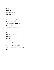Contents Preface Introduction Comments on Publishing in 1994 The Natural World Seasons and Celebrations Folklore, Mythology and Traditional Literature Historical People, Places and Events Biography / Autobiography Contemporary People, Places and Events Issues in Today's World Understanding Oneself and Others Activities The Arts Poetry Books for Babies and Toddlers Picture Books Easy Fiction Fiction for Children Fiction for Teenagers New Editions of Classic Literature The Compilers of CCBC CHOICES 1994 The Cooperative Children's Book Center (CCBC) Index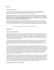# PREFACE

## The Friends of the CCBC, Inc.

The Friends of the CCBC, Inc., is a membership organization that sponsors programs to develop public appreciation for children's literature and supports special projects at the CCBC. Membership is open to all. Information about membership can be found at the end of CCBC CHOICES 1994.

The Friends of the CCBC, Inc., underwrote the professional design, typesetting, layout, printing and binding of CCBC CHOICES 1994. Members of the 1994-1995 Friends of the CCBC, Inc., Board of Directors are: President - Rose Mary Leaver; Vice-President - Doris Grajkowski; Recording Secretary - Clare Seguin; Treasurer - Marlys Sloup; Directors-at-Large: Donald Crary, Tana Elias and Kate Odahowski. Committee chairs include Nancy Beck, Donald L. Crary, Barbara Huntington and Ann Jarvella Wilson.

We appreciate the Friends' ongoing commitment to providing university students and faculty, teachers, school library media specialists, public librarians and others with an attractive, easy-to-use edition of this publication. All of our reading, selection and writing for *CCBC CHOICES* occurs during evenings and weekends throughout the year. In this respect, the three of us created *CCBC CHOICES 1994* as members of the Friends of the CCBC, Inc.

Kathleen T. Horning, Ginny Moore Kruse and Megan Schliesman

# **INTRODUCTION**

# This Edition of CCBC CHOICES

Many perspectives on books for children and young adults are available to those associated with the Cooperative Children's Book Center (CCBC) at the University of Wisconsin-Madison. The CCBC is a children's and young adult literature library of UW-Madison's School of Education. During 1994-95 a contract with the Wisconsin Department of Public Instruction's Division for Libraries and Community Learning made CCBC resources and services available to public libraries and schools throughout Wisconsin. Additional information about the CCBC can be found at the end of this publication.

As a book examination center and a research library, the CCBC receives review copies of almost all of the trade and alternative press books published in English in the U.S. A. for children and young adults during the year. Each week during 1994, we examined newly published books. We subsequently read many of them. We discussed hundreds formally or informally with other librarians and educators in Wisconsin and elsewhere in the nation.

We created *CCBC CHOICES* within the environment of the Cooperative Children's Book Center. The CCBC receives daily requests for information about contemporary and historical books for children and young adults. We know firsthand from teachers and librarians, from university faculty, and students in the process of becoming teachers and librarians that they want to find books with accurate information on matters important to the young people in their classrooms, schools and libraries. CCBC users know that today's children and young adults have questions and need information in order to better understand the society in which they live, the people they know or, even, themselves. These colleagues are looking for books which are commended for these reasons. Our criteria are simple: an excellent book is both interesting and accurate. The way in which these criteria are realized is as varied as the books themselves.

Throughout 1994 the student staff of the Cooperative Children's Book Center joined us in the daily responsibilities of assisting colleagues on campus, in schools and in libraries who are working in many ways to meet the interests of all young readers. In CCBC CHOICES, we bring a wide range of books to our colleagues' attention. We hope everyone who uses this publication is aware that every book recommended here is not for every child or every classroom or every family. We are confident, however, that everyone using CCBC CHOICES will find a significant number of books which will delight, inform or stimulate the innate curiosity of many of the children and young teenagers for whom they have some level of professional, academic or career responsibility.

## How to Obtain Books Listed in CCBC CHOICES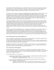The Cooperative Children's Book Center is not a bookstore. Please do not write or phone with the expectation of ordering the books in CCBC CHOICES from the CCBC itself. Ask for these books at your public library, school library media center or bookstore. Be specific concerning the edition, noting the publisher, illustrator (if applicable) and ISBN (international standard book number) of the book you want to secure.

The CCBC can be of assistance by verifying up-to-date publisher and vendor addresses and phone numbers, if you do not have access to the most recent annual CHILDREN'S BOOKS IN PRINT (R.R. Bowker) or to regular information about the larger U.S. publishers from the Children's Book Council in New York City. Please contact the CCBC for address verification if you experience difficulty in locating any of the books recommended in CCBC CHOICES. We are aware that publishers of all sizes and in all regional locations, including New York City, change addresses and phone numbers frequently. The CCBC's public service hours, address and public service phone number are listed in a section at the end of this publication.

Book prices and ISBNs are cited for hardcover library or trade editions and for books which are also available or only available in paperback editions at this time. Binding information is specified for books in paperback. The CCBC typically does not attempt to keep track of the paperback book field in any way. The books we recommend in paperback editions often have unique content which cannot be found in other books for children. We encourage your acquaintance with the books now in hardcover editions only and your attention to announcements of paperback editions in the future. Your purchase and use of hardcover books with young readers can often be a factor in whether or not these books ever become available in a paperback edition in years to come.

Addresses are provided for small publishers only. We recognize the challenge, the staff time and the cumulative financial obligation of small enterprises involved in responding to a wide variety of correspondence. We recommend that any queries sent to small publishers include a business-size, self-addressed, stamped envelope along with prepayment by check of the total amount of the order plus 15% for shipping and handling. CCBC experience with small/alternative publishers for more than 15 years underscores the observation that their books will no doubt be in print for a long time, maybe even longer than many of the books published by larger houses.

# How to Obtain Another Copy of CCBC CHOICES 1994

If you live in Wisconsin, send \$3.00 or the equivalent in U.S. postage stamps to the Cooperative Children's Book Center, 4290 Helen C. White Hall, 600 N. Park St., Madison, WI 53706. For those residing outside Wisconsin, please write to the Friends of the CCBC, Inc., (address on inside back cover) for information regarding the availability of this publication and of earlier editions of CCBC CHOICES. Please do not phone the CCBC to inquire about such arrangements.

Regardless of where they live, current members of the Friends of the CCBC receive a copy of this publication as one benefit of annual Friends of the CCBC, Inc., membership. Address requests for membership information to: Friends of the CCBC, Inc., Box 5288, Madison, WI 53705-0288 USA.

## How to Obtain Other CCBC Publications

All CCBC publications *except* the three listed below are available free for postage and handling to Wisconsin residents. Wisconsin residents are invited to send a self-addressed, stamped business envelope to receive a current list of CCBC Materials; address this request to: Cooperative Children's Book Center, 4290 Helen C. White Hall, 600 N. Park St., Madison, WI 53706.

The following publications can be purchased:

- 1) THE MULTICOLORED MIRROR: CULTURAL SUBSTANCE IN LITERATURE FOR CHILDREN AND YOUNG ADULTS edited by Merri V. Lindgren (Highsmith, 1991) Available from: Highsmith Press. Phone 1-800-558-2110 to inquire or place an order.
- 2) MULTICULTURAL LITERATURE FOR CHILDREN AND YOUNG ADULTS, 3rd edition, by Ginny Moore Kruse and Kathleen T. Horning (DPI, 1991) Available from: Publication Sales, Wisconsin Department of Public Instruction, P.O. Box 7841, Madison, WI 53707-7841 USA. Phone 1-800-243-8782 to inquire about this publication,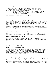which is Bulletin No. 1923, or to place an order.

 3) FRIENDS OF THE CCBC NOTECARDS featuring a full-color reproduction of one work each of Wisconsin artists Nancy Ekholm Burkert, Lois Ehlert, Kevin Henkes and Ellen Raskin. Set of 8 notecards (blank inside), 2 of each illustration, with 8 envelopes.

Available from: Friends of the CCBC, Inc., P.O. Box 5288, Madison, WI 53705-0288 USA. \$8.00 per packet includes postage and handling. Inquire about quantity prices and consignments. Do not phone the CCBC.

# These publications are not available for purchase at or through the CCBC.

# COMMENTS ON PUBLISHING IN 1994

# How Many Books Were Available for Sale during 1994?

An abundance of books written, edited and published especially for children and young teenagers is available for the youth of this nation. U.S. book buyers, personal and professional alike, have a wealth of titles from which to choose. The 1995 edition of CHILDREN'S BOOKS IN PRINT (R. R. Bowker) cites 94,330 books "published in the U.S. for children and currently available for purchase," a remarkable increase of more than 6,177 titles reported available one year earlier.

The Cooperative Children's Book Center is a University of Wisconsin-Madison School of Education library of children's and young adult literature. We pay close attention to books published for an audience from infancy to age fourteen, the upper age in the definition of "children" used by the book awards committees of the Association for Library Service to Children of the American Library Association (ALA).

A few of our 1994 recommendations are suggested for readers ages fifteen, sixteen or older. These books fall into a different ALA category defined as "young adults," or youth ages 12-18.

Collections of children's and young adult literature at the CCBC generally do not include books published for adults, even though some books published for adults do appeal to (and occasionally are claimed by) teenagers.

## How Many Books Were Published during the Year?

As we look back at the calendar year of 1994, we estimate that at least 4,500 new books were published in the United States for children and young adults, an estimate similar to those we've made during each of the past two years.

The number for new books always varies from source to source, according to who is counting and which new books are included in the totals. Annual statistics compiled by other sources are released every March. CCBC estimates are typically conservative, in that the CCBC estimate cannot include reprintings, paperback editions of titles published earlier, large print books, book club editions, novelty books and other categories often reflected in the numbers provided within the book industry.

## How Many Books Are in CCBC CHOICES 1994?

Of the 187 books listed in *CCBC CHOICES 1994*, fifty-three represent the first published works of their authors or illustrators, and seven were joint efforts; 25 were originally published outside the United States, six of which are translations; and six were published by five small, independently owned and operated publishers. To our knowledge, 120 of the books we recommend in CCBC CHOICES 1994 did not appear on any of the other nationally distributed lists of the year's best books as of February 15, 1995.

## New Editions of Classic Works

Naming a book as a classic is dependent as much on one's background as what someone may have read to you when you were young. During 1994 we noticed the publication of a significant number of memorable editions of literature familiar to one or more national or cultural groups.

Eric Blegvad's elegant translation of TWELVE TALES (McElderry) by Hans Christian Andersen, Langston Hughes' THE DREAM KEEPER (Knopf) illustrated by Brian Pinkney and James Weldon Johnson's THE CREATION (Holiday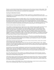House) re-created with art by James Ransome already resonate in the memories of many of today's adults. These and other fine new editions of classics offer an opportunity for all young readers to discover excellent literature that has stood the test of time among one or more parts of the reading public.

# Searching for Multicultural Literature

Currently there is no agreement in the children's literature community on a single definition for the word "multicultural," nor is a single definition necessary. At the CCBC we designate books by and about people of color as Multicultural Literature.

Multicultural literature continued to be highly visible in 1994. For the fourth consecutive year, many children's book publishers promoted both new and earlier books by means of special flyers, catalogs and mailings. Most of the literature journals, book review magazines and other professional publications concerning education, librarianship, books for children and young adults, and/or reading featured reviews, interviews, bibliographies, and articles about multicultural literature, continuing a trend of the 1990s. The mainstream bookstores we visited in several cities continued to prominently showcase books by and about people of color throughout the year.

### Books by and about Africans and African-Americans

Such visibility for multicultural literature might lead one to the conclusion that more authors and artists of color contributed to the books published during 1994, and the number of books created by Black authors and illustrators did increase in 1994 compared to the number published during 1993. (The designation "Black" indicates that CCBC statistics include book creators from the Caribbean, England, and other countries whose works are published by U.S. publishers. Some books coming from Caribbean countries are also designated as Latino literature, for example, THE RED COMB.) CCBC statistics also include all books by Black book creators, regardless of whether or not the theme or topic of a book contains cultural substance. The statistics include JOHN HENRY as well as SNOW ON SNOW ON SNOW; the latter book involves a brown-skinned child playing outside on a winter day but contains no specific cultural substance.

Of the roughly 4,500 books published in the United States in 1994, 82 were created by Black authors and/or illustrators. (The CCBC documented 74 books in this category in 1993, 94 books during 1992, and 70 during 1991.) The 82 titles represent the published work of 50 authors and 29 illustrators or a total of 74 individual Black authors and illustrators during 1994.

Approximately 166 books specifically about African and/or African-American history, culture and/or peoples were documented at the CCBC during 1994.

Very few of these African-American book creators were new to the field of children's books in 1994. Notable among the new book creators are artists E. B. Lewis and Colin Bootman. Before 1994, Floyd Cooper distinguished himself as an artist; COMING HOME PHILOMEL, the book he wrote and illustrated about Langston Hughes shows him to be a gifted writer as well.

Several African-American authors and illustrators created more than two books each during 1994. Patricia cKissack's name is one four books published during the year; she co-authored three books with her husband Fredrick and one with their son Fredrick, Jr. The other writers, with three books each, are Phillis Gershator, Julius Lester and Angela Shelf Meaderis. Artists with three books each are Gershom Griffith, Brian Pinkney, Jerry Pinkney and Synthia Saint James.

Four of the authors listed in the above statistics were published posthumously: Frederick Douglass, Langston Hughes, James Weldon Johnson and Richard Wright; the late Romare Bearden's art accompanied poetry by the very much alive Ntozake Shange during 1994.

Of the titles by African-American book creators published in this nation during 1994, six books were published by four small, independently owned publishers, three of which are Black-owned presses. During forthcoming months, the CCBC will no doubt discover several additional titles in each category, but overall the numbers will not change much from the above documentation.

Julius Lester's retelling of JOHN HENRY (Dial), with the best illustrations created to date by artist Jerry Pinkney, was one of the outstanding single volumes in any category during 1994.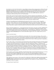Increasingly we notice books that introduce young children to famous African-Americans by combining full-color illustrations with short texts, such those in as ZORA HURSTON AND THE CHINABERRY TREE (Lee & Low), DEAR BENJAMIN BANNEKER (Harcourt) and COMING HOME (Philomel), the picture story about Langston Hughes. Skillfully written by Belinda Rochelle, WHEN JO LOUIS WON THE TITLE (Houghton) tells of the pride that resulted for African-Americans after the famed boxer's victory; the story unfolds within the context of a contemporary child's personal growth in self-understanding.

During 1994, at least ten books for babies featured African-American characters in the illustrations. One such pair of board books was written by Eloise Greenfield and Monica Greenfield and illustrated by Jan Spivey Gilchrist (HarperCollins). A second series of board books featuring Black characters included four written by Angela Johnson and illustrated by Rhonda Mitchell (Orchard). The third series we spotted for babies was the four-book Jump at the Sun set of board books created by Dessie and Chevelle Moore (HarperCollins).

Compared to preceding years, few substantial novels appeared by African-American writers. Jacqueline Woodson's I HADN'T MEANT TO TELL YOU THIS (Delacorte) stands out, as does Joyce Hansen's THE CAPTIVE (Scholastic). So does the epic-like novel THE GLORY FIELD by Walter Dean Myers (Scholastic). THE GLORY FIELD spans centuries of African and African-American history and culminates in a powerful glimpse of two cousins living today in separate worlds but bonded by the blood their ancestors shed in the soil of the rural South.

Patricia and Fredrick McKissack, Sr., created important books about history and people, including CHRISTMAS IN THE BIG HOUSE, CHRISTMAS IN THE QUARTERS (Scholastic) and THE ROYAL KINGDOMS OF GHANA, MALI, AND SONGHAY (Henry Holt) about life in medieval Africa. Pat and Fredrick, Jr., collaborated on the best book of several now available about the former Negro Baseball leagues, BLACK DIAMOND (Scholastic). Dolores Johnson's SEMINOLE DIARY; REMEMBRANCES OF A SLAVE (Macmillan) suggests some of the complex history yet to be written.

#### Books by and about Latinos

We try to keep track of all that is published for young people and to notice trends and changes, often a greater challenge for us than others expect. Even though we continue to be contacted by representatives of the press from all parts of the nation in search of information about multicultural literature, typically we have not been able to provide reliable documentation about the numbers of books by other racial or ethnic groups that is comparable to that which we can provide on Black book creators.

We were able to make a concerted effort to document books by Latinos and about Latino themes and topics during 1994. Increased numbers of such books during 1993 and 1994 eased the challenge. Perhaps the U.S. publishers of children's and young adult books are, at long last, collectively realizing the existence of mainstream and specialized markets for Latino literature in English as well as for bi-lingual books. Perhaps there is an impact due to the CLASP Award administered through the University of Wisconsin - Milwaukee's Center for Latin America, providing visibility for excellence in this type of publishing for the young. Maybe the increase resulted, in part, because a unit of the American Library Association will soon sponsor an award for outstanding writing for youth by a Latino writer. Regardless of the reason or reasons, we discovered an increase in new Latino literature in 1994, at least as many as 90 new titles were published. Some of them are cited below and others in the following section featuring bi-lingual books.

Nicholasa Mohr's autobiography, GROWING UP IN THE SANCTUARY OF MY IMAGINATION (Messner), and Gary Soto's autobiographical novel JESSE (Harcourt) will be especially appreciated by readers in adolescence. Photoessays such as PIÑATA MAKER (Harcourt) by George Ancona and THE OTHER SIDE by Kathleen Krull and David Hautzig (Lodestar) acquaint readers with contemporary individuals through intriguing personal profiles and fine photos.

Other significant Latino books in 1994 included DE COLORES AND OTHER LATIN-AMERICAN FOLK SONGS FOR CHILDREN (Dutton) complied by José-Luis Orozco and appealingly presented by Dutton. GRANDMOTHER'S NURSERY RHYMES (Henry Holt) by Nelly Palacio Jaramillo sets a fine standard for excellent translation as well as child appeal. Both are bi-lingual.

### Bi-Lingual Spanish-English Books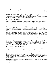Two bi-lingual books by poet Pat Mora, THE DESERT IS MY MOTHER (Pinata Books) and LISTEN TO THE DESERT (Clarion), celebrate the desert in quite different ways. A selection from a longer work by Sandra Cisneros, THE HOUSE ON MANGO STREET, made a graceful transition to picture book as HAIRS = PELITOS, published by Knopf. The incomparable poetry collection COOL SALSA (Henry Holt) edited by Lori Carlson provides teenagers with works in parallel texts by outstanding Latino poets.

PLATERO Y YO = PLATERO AND I by the Spanish writer Juan Ramón Jiménez represents the combined commitment to this project of Clarion Books with adapter Myra Cohn Livingston and illustrator Antonio Frasconi. Livingston's admiration for the longer work of this Nobel Prize winner inspired her to find a way to introduce it U.S. children. Handsome in all ways, this classic work deserves attention.

## Books by and about American Indians

The slow but substantial growth in the number of new books about contemporary Native people represents a welcome change observed since 1992. We especially appreciate photoessay books such as EAGLE DRUM (Four Winds) by Robert Crum and EVERGLADES (Boyds Mills) by Peter Lourie.

Source notes and specificity about a book's content is always an aid in the evaluation of books of information; they are especially valuable in books by American Indians and about American Indian themes and topics. An increasing number of books now designate the specific Indian nation from which a tale or subject comes or about which a story is told. More books are also recognizing the importance of nomenclature and are using the names by which specific American Indian peoples refer to themselves. We are optimistic that such specificity will continue to be seen in future books of fiction, information and folklore concerning American Indian themes and topics.

CCBC records cite 31 specific Indian nations represented midst at least 70 books about American Indian themes and topics located at the CCBC during 1994. We know there are many other new books "out there," including those published by Indian educators for their students. We generally appreciate many of those we saw, and so do the teachers, librarians and content specialists who examined books here.

Important issues surrounding the desecration - and reclamation - of American Indian grave sites and burial remains are discussed in BATTLEFIELDS AND BURIAL GROUNDS (Lerner) by brothers Roger C. and Walter R. Echo-Hawk.

Two artists explored different aspects of the changing seasons in the Woodlands of North America. Canadian author-artist Leo Yerxa's poetic description of the change of the seasons is enhanced by his singular collage artwork for LAST LEAF FIRST SNOWFLAKE TO FALL (Orchard). In her conception of a Seneca tale of conflict and amicable resolution, Lois Ehlert incorporated ancient images, dazzling abstractions of traditional ribbon and beadwork and wildflowers into MOLE'S HILL (Harcourt).

### Books by and about Asians and Asian-Americans

There was a notable and welcome increase in the number and kinds of books by Asian-American book creators during 1994. We located 65 books in this category, though more undoubtedly exist. Compared to earlier years, fewer of the books are folktale adapatations, fewer are set during a war and more are contemporary. We especially noticed that more of the picture books are contemporary, such as AT THE BEACH (Henry Holt), IS THAT JOSIE? (McElederry), MAMA BEAR and ON A WHITE PEBBLE HILL, both published by Houghton.

One of the most affecting accounts of poverty and homelessness in fiction for youth can be read in Yoko Kawashima Watkins' autobiographical novel MY BROTHER, MY SISTER AND I (Bradbury), set in post-World War II Japan. The anthology AMERICAN EYES (Henry Holt) edited by Lori Carlson brings new visibility to the work of excellent Asian-American authors, presenting them to a young audience. We look forward to continued publishing in this area.

Laurence Yep continued to be prolific with several effective stories inspired by folklore, especially the little-known THE GHOST FOX (Scholastic).

#### Searching for Translated Children's Books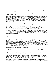Children's books translated into English for the first time and published in the U.S.A. continue to be very few in number. We are always gratified to discover a newly translated book first published in a language other than English. This type of publishing represents both a financial risk and a commitment to a world view on the part of a publisher. We commend the publishers that accept the economic risk of providing glimpses of what children in other nations are reading. Perhaps one of the new translated books will be the next HEIDI, PINOCCHIO, BAMBI or DIARY OF ANNE FRANK.

During 1994, we received books first published in fifteen non-English speaking nations. Although neither CCBC CHOICES nor the CCBC book examination collection is organized by publisher, we want to acknowledge some of the publishers. Because of co-publishing arrangements, often a book's publication history is unclear to one looking at the book in hand, but it is generally safe to estimate that altogether the internationally created picture books and texts of substantial length published in the U.S. during 1994 number well under one hundred, and possibly closer to eighty.

As always, most of the new translated books were picture books. Most of the picture books were published by North-South books, which has a direct connection with the book industry in Switzerland. Sweden is another source of many translated picture books, usually published here by R & S Books, which is a Swedish publisher providing its own English translations. We call attention to the distinctive illustrated book THE RED COMB by Fernando Picó, which came to the U.S. from both Puerto Rico and Venezuela and was published here by BridgeWater Books. Putnam published the incomparable picture story THEY FOLLOWED A BRIGHT STAR, based on a famous poem by Joan Alavedra written in Spanish in 1943 and later set to music by Pablo Casals.

The biggest commendation goes to the publishers of newly translated texts of substantial length, texts that do not depend upon illustrations. Compared to the preceding two years, we discovered comparatively more translated books of substantial length. We noticed ten such new books during 1994, very few in number, but more than we located during the preceding years.

SISTER SHAKO AND KOLO THE GOAT, a slim memoir from Turkey by Vedat Dalokay, was beautifully produced in English by Lothrop, Lee and Shepard. The Danish novel THE BOYS FROM ST. PETRI by Bjarne Reuter represents one of the several translated books published in the U.S.A. by Dutton during 1994. Although they are not included in CCBC CHOICES, we were pleased to see other longer translated books published by several publishers. KEEPING SECRETS by the internationally acclaimed Norwegian novelist Tormod Haugen was published by HarperCollins. One of the newly translated books published by Houghton Mifflin was UMM EL MADAYAN by Abderrahman Ayoub, translated from the Italian. Alfred A. Knopf published two fantasies by the Russian writer Eduard Uspensky. GANEKWANE AND THE GREEN DRAGON, first published in South Africa, appeared on the Albert Whitman's publication roster. Carolrhoda published several translated books as usual, one being the unusual picture book PAPER BIRD by Arcadio Lobato. Kane-Miller continues to seek and publish English translations as well as foreign language books for children. Other publishers with translated books during 1994 included Cobblehill, Farrar, and Grosset & Dunlap.

# New U.S. Books First Published in English in Other Nations

Shirley Hughes has long been appreciated for her carefully observed illustrations showing the ways preschoolers act and how their bodies move. Her thematic and artistic choices show her remarkable understanding of the interests of this audience. HIDING is one of Hughes' books published by Candlewick in the U.S. this year. We were also delighted to discover a single volume printing of Hughes' five volumes of Nursery Collection books. Although we prefer the original tiny single editions, knowing that this larger volume is in print is far superior to not having the five wee volumes available for sale in the U.S.

Although Peter Collington's picture books have appeared in the U.S. in previous years, they are quite unlike his provocative, futuristic illustrated novella THE COMING OF THE SURFMAN (Knopf). Deserving of wide popularity, we hope its unfamiliar format will not cause older readers to bypass the book.

Maude Casey, who grew up both in England and Ireland and now lives in England, offers a powerful narrative voice and lyrical prose in OVER THE WATER (Henry Holt), which holds the prospect of gaining teenage readers in the U.S.

We are pleased to have a third book of fine fiction for adolescent readers by Canadian writer Martha Brooks; her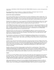short stories in TRAVELING ON INTO THE LIGHT AND OTHER STORIES (Orchard) are certain to find appreciative readers here.

The autobiographical writing of Oodgeroo is combined with folktales of Aboriginal origin in the book DREAMTIME, a unique volume from Australia published here by Lothrop.

## Books by New Authors and Illustrators

We are always gratified to discover excellent books by new writers and illustrators without celebrity status. We applaud the editors and publishers who run the risk of contracting for book projects to be created by writers and artists without name recognition. We also commend the sales representatives and booksellers who have enough confidence in some of the books by book creators unknown in this nation to actively promote such new titles.

Monalisa DeGross displays talent, wit and compassion in DONAVAN'S WORD JAR (HarperCollins), short "chapter book" fiction for which there is great demand due to the ease with which newly independent readers can read these books. Such books are difficult to write successfully, but DeGross makes it look easy.

ONE AFTERNOON (Orchard) by Yumi Heo suggests entirely new perspectives, both spatial and cultural, as a child goes on errands with his mother and becomes aware of the sounds he hears. Children delight in making the same noises. The highly original tall tale SWAMP ANGEL (Dutton) by Anne Isaacs was given exemplary illustrations by Paul O. Zelinsky and handsome picture book production by Dutton. Lolly Robinson's text for MAMA BEAR (Houghton) suggests her future success as a picture book writer.

Although the black-and-white decorative art in NEIGHBORHOOD ODES was created by David Diaz for the collection of poetry by Gary Soto (Harcourt, 1992), his SMOKY NIGHT (Harcourt) is a stunning first full-length picture book. Its paintings and mixed-media assemblages vividly suggest some of the fright and chaos a child might experience during an urban riot.

The extraordinary contemporary novel WALK TWO MOONS (HarperCollins) by Sharon Creech introduces a superb writer to readers on this side of the Atlantic. CATHERINE, CALLED BIRDY (Clarion), which takes place in 1290, was Karen Cushman's debut. Older readers will be looking for other books by these two talented novelists.

### Humorous Books

Outsiders to the world of the book industry assume there is much more humor and wit in children's books today than one actually can find. Once one moves beyond the downright silly books, true humor is difficult to spot. We find most but not all of the humor in the picture books published each year, although a growing number involve serious, mature themes and situations. The text for the hilarious TRUMAN'S AUNT FARM(Houghton) makes us eager to see future books by Jama Kim Rattigan. AFTER THE FLOOD(Houghton) by Arthur Geisert is full of invention and delight.

Novelists working with sad themes often are adept at creating effective contrasting humor. Theresa Nelson skillfully incorporated humor into EARTHSHINE(Orchard). Sharon Creech's remarkable grandparent characters in WALK TWO MOONS(HarperCollins) leave readers with great fondness for the phrase "Huzza, huzza." Creech effectively weaves memorable snatches of light dialogue into more than one serious episode, actually heightening the emotional impact. Katherine Paterson also continues to excel in this, as well as other respects.

### Sequels

If one book is successful, publishers assume that young readers might enjoy others featuring the same characters. So it has always been. Some of the welcome sequels during 1994 included COCO GRIMES (HarperCollins) by Mary Stolz. Her unique sequence of books, each one increasingly difficult compared to the previous title, make it virtually impossible for readers to outgrow them. And who would want to, once A STORM IN THE NIGHT (1988), GO FISH (1991) and STEALING HOME (1992), all published by HarperCollins, became favorites!

Other sequels include more complex novels such as SAYING GOOD-BYE (Houghton) by Marie Lee, author of FINDING MY VOICE (Houghton, 1992), and MY BROTHER, MY SISTER AND I (Bradbury) by Yoko Kawashima Watkins, author of the incomparable SO FAR FROM THE BAMBOO GROVE (Lothrop, Lee & Shepard, 1986).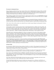## The Search for Substantial Fiction

Frances Temple recently burst into young readers' affection with A TASTE OF SALT (Orchard, 1992) and GRAB HANDS AND RUN (Orchard, 1993). Her carefully researched novel THE RAMSAY SCALLOP (Orchard), set in England and Spain during 1299, displays the versatility of this gifted writer along with her hallmark talent at moving well-developed characters through a complex plot at a breathless pace.

Theresa Nelson is another writer who has lived up to earlier promise with her fine novel EARTHSHINE (Orchard). Although EARTHSHINE involves attention to HIV and AIDS, Nelson is also one of several writers who is so skilled that the novel never becomes mired in moralizing.

EARTHSHINE is one of many of the novels published this year encompassing the theme of abandonment, loss or fending for oneself. Katherine Paterson's FLIP-FLOP GIRL (Lodestar) and Avi's THE BARN (Orchard) are among several of the other novels for which this theme was central but realized in entirely distinct and important ways.

Other writers whose earlier promise was realized this year include Gregory Maguire and Jacqueline Woodson.

### Important Books of Information

Young readers are taken seriously by many writers of informational books for children and young adults. The best nonfiction books are well organized for young readers without being "homework books." Most nonfiction books in the 1990s are highly visual. The best of them provide a context for the information and insights they convey; they avoid becoming flashy page-turning experiences equivalent to television channel surfing with a remote control device. Authors of excellent nonfiction books credit primary or other significant sources.

Memorable books of information published in 1994 are too numerous to cite and too wide-ranging in subject matter to summarize. They include books about children with HIV, suicide survivors, and Holocaust history. They also chronicle the lives of amazing individuals from other times, such as Crazy Horse, Langston Hughes and Harriet Beecher Stowe. The return of a wild creature to its habitat, child labor, contemporary scientific sleuthing, facts of life, and stark facts about human life in captivity - all never before organized or written in this way-are also among the subjects addressed this year.

Environmental issues were raised in a variety of nonfiction and fiction books including THE THIRD PLANET (Crown), THE LIVING EARTH (North-South),EAGLE (Candlewick),EVERGLADES (BoydsMills), LOSTMAN'S RIVER (Macmillan) and SEVEN SPIDERS SPINNING (Clarion). CROCODILE SMILE; 10 SONGS OF THE EARTH AS THE ANIMALS SEE IT (HarperCollins) features Lois Ehlert's memorable illustrations accompanying original music by Sarah Weeks, inventively exploring an environmental theme.

### Inventive Books

Even though the children's book-and-tape package is hardly new, another of the packaged sets produced in 1994 deserves special notice; Leotha Stanley's history of African-American music published by Zino Press introduces original music by Stanley in the context of cultural history.

Margaret Wild's picture book OUR GRANNY (Ticknor & Fields) irreverently and lovingly alters the standard grandmother image in describing women of various sizes, shapes and interests - grandmothers all.

Maya Angleou's MY PAINTED HOUSE, MY FRIENDLY CHICKEN AND ME (Clarkson Potter) brings the Ndebelese houses and people into vivid relief through exciting writing and great photos as well as distinctive page layouts and typography. This offers a good example of a successful adaptation of a larger work for adults by photogapher Margaret Courtney-Clarke.

Paul Goble's IKTOMI AND THE BUZZARD (Orchard) also features innovative typography; this feature alone makes the tale much more reader-friendly than most of Goble's other books.

POLAR, THE TITANIC BEAR (Little, Brown) is literally more than meets the eye, offering a social history, an account of the Titanic disaster, and a child's story about a toy. POLAR is a complex book, and daring in its own way.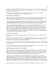The handsome THREE GOLDEN KEYS (Doubleday) by Peter Sis is perhaps one of the most inventive books of 1994, operating on several intellectual and visual levels as well as employing a variety of imaginative visual images and combinations of typefaces and texts.

THE EAR, THE EYE AND THE ARM (Orchard) by Nancy Farmer gives a new perspective to the adjective "inventive." This carefully plotted novel is set in the Zimbabwe of 2194.

### Books Published by Small Publishers

Differentiating between small and large publishers is becoming more and more difficult, in part because large publishers frequently rely upon packagers, and also because smaller publishing operations can produce and promote books more successfully than ever due to easier access to some of the necessary technology.

Lee & Low Books achieved remarkable visibility and overall success only a year ago. This year ZORA HURSTON AND THE CHINABERRY TREE by William Miller succeeds in originality, general appeal and cultural importance and BEIN' WITH YOU THIS WAY brings exceptional verve along with images of today's active children.

There is no single recipe for book publishing success, as both large and small publishers can attest. Typically smaller publishers offer either distinctive information or a unique point of view unlikely to be found in mainstream superstores selling relatively the same inventory across the nation. Sometimes the unpolished page layout or design or overall inexperience of the illustrator, writer or editor gets in the way of a well-intentioned book's success. NATIVE AMERICAN ROCK ART (Thomasson-Grant) by Yvette La Pierre offers information otherwise unavailable elsewhere and is therefore valuable, even though continuous uses of the male pronoun in the text and limited illustrations curtail its overall effectiveness. Yet such a book has not been published before this for young readers, and the information is important.

### Reprints of Out-of-Print Books

We're delighted to see Arnold Adoff's MY BLACK ME back in print from Dutton twenty-five years after its initial appearance.

Perhaps Marcel Aymé's charming fantasy THE WONDERFUL FARM illustrated by Maurice Sendak will catch on all over again with readers at the end of the century. Originally published in France in 1951, the slim novel for young readers is now available as a Harper Trophy paperback.

Candy Dawson Boyd's novel CIRCLE OF GOLD was first published in paperback ten years ago. In 1994 Scholastic also made a hardcover edition available, a surprising reversal of the typical order but a welcome way to showcase a well-liked story.

The Henry Holt paperback edition of Joyce Rockwell's novel TO SPOIL THE SUN (1976) may temporarily resolve the search for a reliable American Indian novel for middle school readers.

# Book Publishing and Book Buying: Decisions, Decisions

Much evidence indicates that the bookstore sales of children's books support much of the children's and young adult book publishing as well as book publishing for adults within several publishing houses in the United States at this time. During 1994 alarming publishing mergers and lay-offs caused concern as to whether or not the economy and/or the market can sustain this high number of books in print. Some of the publishers cited above for excellence during 1994 have already undergone substantial structural reorganization.

Some of books in *CCBC CHOICES* raise the questions stimulated by the new books of every year. What is a children's book, anyway? When and how do adults responsibly create opportunities for children to explore the somewhat frightening experiences of people - real or imaginary - they will probably never meet? When, can and should adults provide children with opportunities to find out about mean-spirited behaviors, racism and other injustices and/or criminal acts found in some circumstances and times in our nation? If some books can offer an environment for thoughtful books on serious themes and topics, do they also require sweet, coincidental endings?

Publishers make choices as to which manuscript to publish, which illustrator to contract with, which book to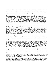advertise heavily, which author to send on tour. Book industry representatives make decisions about paperback editions and reprints with specific consumers in mind. In making these decisions, no doubt there is a market profile of the ever-increasing number of consumers who use personal resources for books and have one or more bookstores within a reasonable distance by car or public transportation. The consumers will include parents, other relatives and adults friends of children. Certain books sell in significant quantities because many older children and young teenagers buy popular culture and series books for themselves.

Recognition is often linked to buying for young consumers, who are more apt to choose a favorite author, a popular illustrator or a familiar series. Adult consumers often lean toward buying books they enjoyed in childhood or a book bearing an award label. There is no way to know how many manuscripts are not chosen for publication because their authors or illustrators are unknown or because the theme or topic has distinctive regional dimensions or because the book can't be pigeonholed. Any of these circumstances can make sales unpredictable (and possibly unlikely) in the bookstore superstores across the nation. Books by newly published writers and illustrators, books that are quirky, and books that seem to be largely regional in appeal need to be brought to attention so they can be valued for all they offer. There may be many readers who would enjoy them but never find them because these books lack the "brand name" or the immediate recognition that sell books by established authors and illustrators.

Another significant group of children's book consumers is the so-called institutional market - the public librarians, school library media specialists, classroom teachers, child care providers and academic librarians responsible for collections of literature for the young. Individuals within these groups select and purchase books for use by more than one child, family or student. "Institutional" sales most often utilize public funding. Public librarians with responsibilities for collection development cope with budgets that shrink or stay the same despite rising costs, even though circulation statistics for children's books reach all-time highs. Too often they must replace worn copies of children's favorites rather than selecting inventive new books coming to their attention. Increasing public library usage by home schools and agencies responsible for early childhood care add to the book-buying challenges for public librarians.

School library media specialists are faced with challenges similar to those of children's librarians in public libraries. In addition, they are faced with a greater variety of media to select, and they must select books to support the curriculum and books to engage students in all classrooms and courses, including new readers, very reluctant readers and gifted readers. Unfamiliar names and untested appeal hardly stand a chance. But these books are usually published at some risk with the assumption that there are readers for them, and they deserve that chance.

No matter who is buying the books for whom with what money for what purpose, the book industry expects that potential consumers will buy more than the best-sellers or more than the most heavily promoted books or most highly visible books or most familiar authors or series. We can tell this simply by looking at the numbers of titles published as quoted in the first paragraph of "Publishing in 1994." Someone is expected to buy most of these books. Although new children's books are available in print longer than most books published with adult readers in mind, a new title will not be in print indefinitely if the book doesn't sell well during its first printing.

But the numbers represent more than an abundance in yet another way. They also imply choice. Individuals buying books have the luxury - and difficulty - of making decisions because of the large number of books from which they can choose. Whether these decisions are spontaneous and unplanned or based upon complex judgments, total amount of money available for book buying, comparisons, special interests and unique needs, the fact that choices do exist cannot be overvalued among those who are committed to seeking out high quality books for the young.

The increase in the number of books published during 1994 represents decisions made by U.S. publishers to invest in children's books. Such an investment was made with the expectation that in all parts of the nation people are eager and ready to buy books for the young.

The CCBC offers an environment for discovery and learning, for making up one's own mind about the new books published and for making comparisons to tried and true books from other years and decades. CCBC CHOICES offers a wide variety of books for a wide variety of individuals, something for everyone, rather than a core selection for all.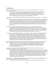### The Natural World

Allen, Judy. EAGLE. Illustrated by Tudor Humphries. U.S. edition: Candlewick Press, 1994. 24 pages. (1- 56402-143-2) \$15.95

In spite of his teacher's assurances, young Miguel worries that he'll be attacked by an eagle when he and his class make a field trip to the Philippine rainforest near their school. His obsessive fear nearly ruins the trip for Miguel and just about everyone else, until a chance encounter with a real eagle absolves the boy of his worries. Softly colored realistic paintings skillfully capture the drama of Miguel's story, as well as the majesty of the rain forest. (Ages 4-8)

Ancona, George. THE GOLDEN LION TAMARIN COMES HOME. Macmillan, 1994. 40 pages. (0-02-700905-X) \$15.95

The coastal rain forest in southeastern Brazil is the only known natural habitat of the *mico* or golden lion tamarin, a small monkey about the size of a squirrel. With 98% of the Brazilian rain forest depleted, wild micos are becoming scarce but thanks to the tireless efforts of Andreia Martins and other Brazilian conservationists, micos born in captivity in zoos are slowly and successfully being introduced back into the wild. A lively text and color photographs document the painstaking work of Andreia, in addition to describing the habits of the *mico* and the reasoning behind human efforts to protect its native home.  $(Ages 7-11)$ 

- Arnosky, Jim. ALL ABOUT ALLIGATORS. Scholastic, 1994. 28 pages. (0-590-46788-3) \$14.95 An engaging science book for young children ably manages to give all the basic facts about this most fascinating of reptiles without making its subject any cuter or scarier than it really is. From the opening pages where a full-length gator stretches from the end of its tail to the tip of its nose across title page, dedication page and the first double-page spread of text, we know we are in the hands of an artist and scientist who respects his audience as much as he respects his subject. (Ages 3-8)
- Arnosky, Jim. ALL NIGHT NEAR THE WATER. G.P. Putnam's Sons, 1994. 32 pages. (0-399-22629-X) \$15.95 Where do ducks spend the night if they become old enough to leave the nest but not their mother? Arnosky shows a female mallard and her 12 ducklings moving "around shoreline weeds, through a driftwood maze, to a sandbar..." Although the creatures are not personified, preschoolers (and caregivers) will relate to active ducklings doing everything but falling asleep: "listening to frogs... watching the dark shapes of bats flying in the twilight..." Arnosky never adds a reed or spider that might not belong in the habitat. His respect for his subject and audience are evident in his spectacular watercolor paintings and lucid text reproduced in a large typeface. (Ages 2-6)

Bulla, Clyde Robert. WHAT MAKES A SHADOW? Illustrated by June Otani. (Let's-Read-and-Find-Out Science, Stage 1) HarperCollins, 1994. 32 pages. (0-06-022916-0) \$14.89 (paperback 0-06-44518-6, \$4.95) A very basic science book uses short sentences and engaging full-color illustrations to explain a phenomenon of great interest to young children. The straightforward explanations are nicely balanced with suggestions for first-hand observations preschoolers can make about shadows in the world around them. (Ages 3-5)

Cole, Joanna. THE MAGIC SCHOOL BUS IN THE TIME OF THE DINOSAURS. Illustrated by Bruce Degen. Scholastic, 1994. 48 pages. (0-590-44688-6) \$14.95

The indomitable teacher Ms. Frizzle and her lively students take a field trip to a dinosaur dig. Any study of paleontology would become infinitely more compelling if one could travel safely back in time, which is exactly what happens in these 32 short, profusely illustrated pages of well defined facts and wonderfully conceived fantasy. Just as it happens in other Magic School Bus books, the class moves safely and amazingly into its subject, whether it's the waterworks, Planet Earth, the human body, the solar system or the ocean floor. Cole once again develops a briskly paced plot and cheerful repartee for her racially diverse child characters, while Degen's full-color cartoon-like illustrations unearth humorous action along with important facts. (Ages 6-10)

Gillette, J. Lynett. THE SEARCH FOR SEISMOSAURUS; THE WORLD'S LONGEST DINOSAUR. Illustrated by Mark Hallett. Dial, 1994. 40 pages. (0-8037-1359-2) \$14.99

In 1985, hikers in the mesa country near Albuquerque, New Mexico, found enormous bones later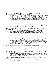identified as a new species of dinosaur, *Seismosaurus*, meaning "earthshaker," a reference to the size of a 50-ton Jurassic Period creature. Paleontologist David Gillette gained the opportunity to name the newly discovered remains, but he and others were also challenged to remove them without damage. Absorbing reading about sophisticated technology linked with continuing study is expanded by color photos of field excavations and an artist's reconstructions. (Ages 5-10)

Hartmann, Wendy. ONE SUN RISES; AN AFRICAN WILDLIFE COUNTING BOOK. Illustrated by Nicolaas Maritz. U.S. edition: Dutton, 1994. 32 pages. (0-525-45225-7) \$13.99

"One sun rises over Africa. Two kestrels hover in the sky. Three elephants move like shadows..." Striking full-color paintings display 18 diurnal and nocturnal creatures in their natural habitats. This informative counting book begins with one sunrise and ends with another, neither sensationalizing nor hiding the occasional natural drama caused by a predator. Two pages of notes at the book's end offer information about each creature. Hartmann and Maritz both live in Capetown, South Africa, where the book was first published. (Ages 3-9)

Lauber, Patricia. WHAT DO YOU SEE & HOW DO YOU SEE IT? EXPLORING LIGHT, COLOR, AND VISION. Photographs by Leonard Lessin. 48 pages. (0-517-59390-4) \$17.00

Comprehensive without being complex, this text balances Lauber's absorbing explanation of color, vision and light with outstanding photographs and illustrations that further illuminate the concepts and principals described. In addition, each chapter includes activities which readers can undertake to further their understanding of the ideas - or simply because they're fun! (Ages 8-11)

Peters, Lisa Westberg. THIS WAY HOME. Illustrated by Normand Chartier. Henry Holt, 1994. 32 pages. (0- 8050-1368-7) \$14.95

A lyrical text accompanied by handsome watercolor paintings tracks the nighttime migratory journey of a flock of young sparrows as they fly from Minnesota to the Georgia gulf coast one September, and then back again the following spring. The author integrates details from the "map-and-compass" theory of migratory bird navigation, which is further explained in a note at the book's end with the additional acknowledgement that scientists don't fully understand how migration works. (Ages 4-8)

Pringle, Laurence. SCORPION MAN; EXPLORING THE WORLD OF SCORPIONS. Photographs by Gary A. Polis. Charles Scribner's Sons, 1994. 42 pages. (0-684-19560-7) \$15.95.

Continuing his line of books about the life and works of contemporary natural scientists (Bat Man, Bear Man, Jackal Woman), Pringle turns our attention to desert biologist Gary Polis. This scientist's studies of scorpions living in their natural habitat, along with Pringle's cogent description of the scorpion's life cycle, do much to belie the creature's universally bad reputation. Accompanied by full-color pictures of Gary Polis at work, as well as some dazzling close-up shots of scorpions in the wild, it's sure to be a hit with young readers interested in "scary" animals. (Ages 8-12)

Radcliffe, Theresa. THE SNOW LEOPARD. Illustrated by John Butler. U.S. edition: Viking, 1994. 28 pages. (0- 670-85052-7) \$13.99

Stunning realistic paintings are the hallmark of this arresting story of a mother snow leopard's determination to keep her weary cub moving through a blizzard so they can find food and shelter. The dangers of weather, predators, and harsh landscape provide natural counterpoints, creating dramatic tension in a survival tale. (Ages 3-6)

Ride, Sally and Tam O'Shaughnessy. THE THIRD PLANET; EXPLORING THE EARTH FROM SPACE. Crown, 1994. 48 pages. (0-517-59361-0) \$15.00

Using color photographs from NASA, physicist and astronaut Sally Ride introduces the scientific methods used when studying Earth from afar, and describes what data have revealed about the atmosphere, water and land that make up our biosphere. (Ages 7-11)

Schmid, Eleonore. THE LIVING EARTH. Translated from the German. U. S. edition: North-South, 1994. 28 pages. (1-55858-298-3) \$14.95

"There are more living organisms in a single handful of soil than there are people on the entire earth." An appealing, highly visual science book introduces young readers to the busy,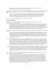intriguing world that lives just beneath their feet and describes how this world is affected by human activity on the surface just above it. (Ages 4-8)

Zoehfeld, Kathleen Weidner. WHAT LIVES IN A SHELL? Illustrated by Helen K. Davie. (Let's-Read-and-Find-Out Science, Stage 1) HarperCollins, 1994. 32 pages. (0-06-022999-3 ) \$14.89 (paperback 0-06-445124-0, \$4.95)

A land snail, a turtle and a hermit crab serve as examples of three different kinds of animals that depend on shells for shelter in a basic picture-book introduction to a subject of interest to many children. Accurate, realistic color paintings also show different kinds of whelks, conchs, and scallop shells, as well as inside and outside views of living clams and oysters. (Ages 4-8)

See also: The Desert is My Mother; Listen to the Desert; V for Vanishing

### Seasons and Celebrations

Chapman, Cheryl. SNOW ON SNOW ON SNOW. Illustrated by Synthia Saint James. Dial, 1994. 32 pages. (0-8037-1457-2) \$14.89

Inspired by Christina Rossetti's poem "In the Bleak Midwinter," this picture story begins "Once upon a winter's day / I woke up / under blankets under blankets under blankets." Using repeating prepositional phrases, Chapman's young narrator tells of going out with a dog and sled to play. Although the dog disappears for a moment, all live "happily ever after ever after ever after." Saint James' artwork picturing a brown-skinned child and mother with abstract features was rendered in oil and acrylic on canvas. Her landscapes are filled with bright skies and a rainbow of playmates and snowsuits. (Ages 3-6)

Jewell, Nancy. CHRISTMAS LULLABY. Illustrated by Stefano Vitale. Clarion, 1994. 24 pages. (0-395-66586-8) \$14.95

"The donkey brought hay for the Baby's bed, / the lamb brought fleece to pillow His head. The cow gave the Baby a drink of her milk, the spider a blanket she spun from fine silk." Six additional lines complete the freshly conceived litany of gifts to the infant Jesus. A second visual story involving a frisky cat, a mouse and two tiny angels adds a wee bit of levity, but not enough to awaken those who will be calmed by this beautiful 9 3/8 x 8 3/8" volume. The glowing artwork in warm colors was created in oil paint on wooden panels. (Ages 2-5)

- Mora, Pat. PABLO'S TREE. Illustrated by Cecily Lang. Macmillan, 1994. 32 pages. (0-02-767401-0) \$14.95 Five-year-old Pablo tries to guess how his grandfather Lito will decorate the tree he planted to celebrate Pablo's adoption as an infant. One year the little tree was covered with balloons and another with paper lanterns. As part of Pablo's birthday celebration, Lito recounts the story of the tree, which is actually the loving tale of how he and Pablo's Mamá planned and waited for Pablo. Spanish words and phrases are incorporated into the text's flow, adding substance to the Mexican-American people and setting depicted. This warm, joyous books is illustrated with images created with cut paper and dyes. (Ages 2-5)
- Oxenbury, Helen. IT'S MY BIRTHDAY. U.S. edition: Candlewick Press, 1994. 24 pages. (1-56402-412-1) \$9.95 A delectable cumulative story begins with a child seeking ingredients for a birthday cake, gathering them, one by one, from an enchanting array of generous animal volunteers. After the eggs, flour, butter and milk, pinch of salt, sugar and cherries for the top are acquired by a helpful chicken, bear, cat, pig, dog and monkey, the whole cast sets out to make  $\sim$  and eat!  $\sim$  the cake in a playful birthday celebration. (Ages 2-4)

Schur, Maxine Rose. DAY OF DELIGHT; A JEWISH SABBATH IN ETHIOPIA. Illustrated by Brian Pinkney. Dial, 1994. 32 pages. (0-8037-1414-9) \$15.89

For more than 1,000 years, Jews have inhabited the high mountains of Ethiopia. Using the narrative voice of a young boy, Menelik, Schur describes the hardworking inhabitants of one of these Jewish communities. The villagers make pottery, prepare raw cotton or weave, work the soil they sharecrop, grind grain into flour and forge the iron for which they are known. Children help by collecting cowdung for fuel or harvesting honey. The work and worries of the week are set aside for the Sabbath. Menelik tells how his mother bakes *dabo* (white Sabbath bread) and makes wat (peppery chicken stew). Families bathe and don clean *shammas* before the Sabbath eating, singing, rest and worship begin. Pinkney's full-color artwork contains important cultural details and was prepared using scratchboard, black ink, oil pastels, oil paints and gouache. (Ages 5-9)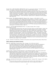Wensell, Ulises. THEY FOLLOWED A BRIGHT STAR. Based on a poem by Joan Alavedra. Translated from the German. U.S. edition: G.P. Putnam's Sons, 1994. 32 pages. (0-399-22706-7) \$15.95

Joan Alavedra's 1943 poem about the Nativity *crèche* figures concluded with a tribute to peace and love. Basing the oratotio El Pessebre (1960) upon his Catalonian friend's poem, cellist-composer Pablo Casals sought to draw attention to the danger of nuclear war. Like Alavedra, he wanted to honor the spinning woman, the fisherman, the ploughman - symbols of working people promised and deserving of a joyous world, of transcendency. The full-color paintings of noted Spanish artist Ulises Wensell expand the smoothly translated dialogue. "Let the world rejoice," indeed, at the U.S. publication of such a splendid book! (Ages 4-8)

Winter, Jeanette. THE CHRISTMAS TREE SHIP. Philomel, 1994. 32 pages. (0-399-22693-1) \$14.95 For 25 years, beginning in 1887, Captain Herman Schuenemann cut evergreens to load in a ship he then sailed south on Lake Michigan from Manistique, Michigan, to Chicago. In 1912, a bottle washed up on the Wisconsin shore containing Captain Herman's message to his wife Hannah and their girls about a storm's severity, confirming his death and the loss of the ship. For 22 more years, Hannah Schuenemann and her three daughters continued to sail to Chicago bringing trees in time for Christmas. Based on a true event and real people, a relatively small  $(9\frac{1}{4} \times 8\frac{3}{4})$  full-color picture book briefly relays this amazing piece of Great Lakes history. (Ages 5-9)

Yerxa, Leo. LAST LEAF FIRST SNOWFLAKE TO FALL. U.S. edition: Orchard, 1994. 32 pages. (0-531-06824-2) \$14.95

A Woodland Indian child travels by canoe and on foot with a parent to an island campsite. During a day and a night, autumn becomes winter. Details of the familiar transition seem new within a wondrous, sophisticated account distinctive in design and voice. First, a lengthy poetic commentary on creation: "before seeing, before being / before valentines and wild flowers... snow was born" and then - a unique naturalistic first person narrative. Neither uses conventional punctuation. "The blanket of leaves that yesterday / covered the earth / was now covered with a blanket / of snow / to keep her warm during her long winter sleep / My blanket was also covered in snow / I brushed the snow away / Gone were the colors of yesterday  $\overline{\prime}$  I arose from the earth  $\prime$  and walked into the light  $\prime$  of a new season." Stunning fullcolor collage assemblages sometimes fill double-page spreads and at other times decorate one corner of a full page of text. Illuminated letters and images of falling leaves assist in expressing the delicate instant when the season changes. (Age 10 and older)

See also: Christmas in the Big House, Christmas in the Quarters; Snow Leopard; This Way Home; Winter Poems

### Folklore, Mythology and Traditional Literature

Ehlert, Lois. MOLE'S HILL. Harcourt, Brace, 1994. 32 pages. (0-15-255116-6) \$14.95 Fox, Skunk and Raccoon have a problem. Mole's hill is in the way of the path they're planning to make to the pond before the next winter. Because Mole is attached to her home and doesn't want to move it, she thinks of a plan to help her three neighbors appreciate the beauty of her hill. A perfectly spare retelling of a traditional Seneca tale is appropriately illustrated with brilliantly colored, stylized art inspired by sewn beadwork and ribbon appliqué from Woodland Indian traditions. (Ages 3-9)

Gershator, Phillis. TUKAMA TOOTLES THE FLUTE; A TALE FORM THE ANTILLES. Illustrated by Synthia Saint James. A Richard Jackson Book / Orchard, 1994. 32 pages. (0-531-06811-0) \$15.95

Tukama ignores his grandmother's warning to stay away from the rocks near the sea. He would much rather play there all day than stay home and help her with the chores, despite her fear that he'll meet the same fate as other children who've played there - capture by the two-headed giant. Tempting fate once too often, Tukama falls into the giant's clutches, but he is able to use his wits - and his flute-playing - to trick the giant's wife into helping him escape. Synthia St. James' oil paintings, with their bold use of color and form, highlight the telling of this cautionary tale. (Ages 4-7)

Goble, Paul. IKTOMI AND THE BUZZARD. A Richard Jackson Book / Orchard, 1994. 32 pages. (0-531-06812- 9) \$14.95

It seems that with each retelling of an Iktomi tale, Goble refines his style a little further, so that art and text are blended into a seamless aesthetic whole. Here he employs three different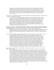typography styles to tell this humorous Lakota trickster tale in three different voices: that of the narrator, that of the narrator's critical alter-ego, and that of the vain Iktomi himself. In this particular tale, Iktomi manages to hitch a ride across a river on a buzzard's back but, in spite of the buzzard's generosity, Iktomi cannot resist making rude signs behind the bird's back, unaware that the buzzard is seeing it all by watching their shadows on the ground. Iktomi gets his comeuppance but, as usual, bounces back to find another unsuspecting sucker. But that's another story... (Ages 4-9)

González, Lucía M. THE BOSSY GALLITO = EL GALLO DE BODAS. Illustrated by Lulu Delacre. Scholastic, 1994. 32 pages. (0-590-46843-X) \$14.95

On his way to his uncle's lavish wedding, a showy rooster cannot resist two kernels of corn he sees in the street, even though eating them dirties his beak. He commands the grass to clean his beak and when it refuses, he tells the goat to eat the grass but the goat refuses as well. Each refusal leads to another demand from the bossy little rooster in this cumulative folk story from Cuba. Side-by-side bilingual text (with the Spanish set in a darker typeface to distinguish it from the English) is accompanied by full-color mixed media paintings that aptly capture the character of the arrogant *gallito*, as well as the exasperated neighbors he attempted to rule. Endnotes include a pronunciation guide and extensive notes about the story's background, cast and setting in Little Havana, Miami. (Ages 3-6)

Jaramillo, Nelly Palacio. GRANDMOTHER'S NURSERY RHYMES; LULLABIES, TONGUE TWISTERS, AND RIDDLES FROM SOUTH AMERICA = LAS NANAS DE ABUELITA; CANCIONES DE CUNA, TRABALENGUAS Y ADIVINANZAS DE SURAMÉRICA. Illustrated by Elivia. Henry Holt, 1994. 32 pages. (0-8050-2555-3) \$14.95 Familiar Hispanic nursery rhymes and riddles are presented in their original Spanish versions, along with outstanding translations into English which truly capture the spirit and usually the meanings of the originals. Watercolor illustrations enhance the playful exuberance of the rhymes. (Ages 18 months-6 years)

Lester, Julius. JOHN HENRY. Illustrated by Jerry Pinkney. Dial, 1994. 40 pages. (0-8037-1607-9) \$16.99 The mythic railroad worker from the African-American oral tradition comes to life in this outstanding retelling that recounts his extraordinary accomplishments. Julius Lester's uses of anthropomorphism and anachronism mark the story with his own distinctive flair as a skillful storyteller for contemporary children. Jerry Pinkney's vibrant colored pencil and watercolor paintings depict John Henry as an ordinary mortal, just a little taller than everybody else. This is in keeping with Lester's historical note concerning the academic research into whether or not the legendary John Henry was based on a real man. The story retold for this picture-book account was based on three specific versions of the African-American folk ballad about the famous contest between John Henry and a steam drill in the building of Big Bend Tunnel in the Allegheny Mountains. Visual images of rainbows and meteors add cosmic scope throughout. The final page combines John Henry with another icon of power: the White House. Winner, 1994 CCBC Caldecott Award Discussion; Winner, 1994 CCBC Coretta Scott King Award Discussion: Illustration; and Honor Book, 1994 CCBC Newbery Award Discussion. (Ages 4-12)

Lester, Julius. THE LAST TALES OF UNCLE REMUS. Illustrated by Jerry Pinkney. Dial, 1994. 156 pages. (0- 8037-1304-5) \$16.89

Lester's incomparable storytelling shines once again in a collection of 39 tales that wholly honors and embraces the African-American oral tradition from which the stories emerged. Vibrant and witty, Lester's language resonates with voices of the past while firmly establishing the stories as tales for today. In his introduction, Lester writes that "storytelling is a human event, an act of creating relationship," and in his storytelling he creates a bond between storyteller and reader that is direct and friendly. Lester also notes in the introduction that while the character of Uncle Remus is sometimes criticized as a stereotype, "it is the same Uncle Remus who preserved the culture through the tales. Without Uncle Remus, how much of black folk culture would have survived?" Lester continues to preserve that culture in this volume of lively tales that are illustrated with Jerry Pinkney's black-and-white drawings, as well as fullcolor paintings that span across the two-page spread of some stories. Readers familiar with Lester's earlier Uncle Remus collections, The Tales of Uncle Remus (Dial, 1987), More Tales of Uncle Remus (Dial, 1988) and Further Tales of Uncle Remus (Dial, 1990) will welcome this collection chronicling additional adventures of Brer Rabbit, Brer Bear, Brer Fox and many others, while new readers to the tales will eagerly seek out the predecessors. (Ages 8-12)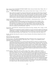Mayo, Gretchen Will. BIG TROUBLE FOR TRICKY RABBIT! (Native American Trickster Tales) Walker, 1994. 37 pages. (0-8027-8275-2) \$12.95

\_\_\_\_\_\_\_\_\_\_. HERE COMES TRICKY RABBIT! (Native American Trickster Tales) 38 pages. (0-8027-8273-6) \$12.95

Mayo continues her exploration of American Indian trickster tales begun with *Meet Tricky Coyotel* and That Tricky Coyote! (Walker, 1993) with these companion volumes that feature the exploits of Rabbit, who creates trouble and amusement for Coyote, Wolf, Grizzly Bear, Fox, Bobcat and others. Each volume contains five stories from various American Indian oral traditions; a brief note at the end of each story details from who or where this particular version was adapted. Simple, short sentences and appealing acrylic artwork are effectively combined in this book designed for transitional readers. (Ages 6-9)

Temple, Frances. TIGER SOUP; AN ANANSI STORY FROM JAMAICA. A Richard Jackson Book / Orchard, 1994. 32 pages. (0-531-06859-5) \$15.95

An engaging folktale from Jamaica features the trickster Anansi from African traditions. Here, Anansi plays two tricks: first he tricks Tiger into a swimming lesson so he can eat the good soup Tiger's spent the day cooking; next, he tricks a group of playful monkeys into taking the blame by teaching them a song with the chorus: "Just a little while ago / We ate the Tiger soup / Yum, yum, yum..." Illustrated with brightly colored collages, it is as satisfying as Tiger soup itself, and perfect for sharing in a preschool storyhour. (Ages 3-6)

Yep, Laurence. THE GHOST FOX. Illustrated by Jean and Mou-Sien Tseng. Scholastic, 1994. 70 pages. (0-590- 47204-6) \$13.95

Little Lee becomes determined to outsmart a ghostly fox, even if he must defy the adults in his family and neighborhood. According to information provided by the publisher, an ancient Chinese literary tradition involved ghost storytelling. Yep adapted this tale from one collected by a seventeenth century scholar. The small volume looks like an easy "chapter book." Yes, it is easy, and it is also scary! (Ages 8-11)

See also: The Baby Chicks Sing; The Creation; De Colores; Dreamtime; They Followed a Bright Star; The Three Golden Keys

# Historical People, Places and Events

Bachrach, Susan D. TELL THEM WE REMEMBER; THE STORY OF THE HOLOCAUST. Photographs from the United States Holocaust Memorial Museum. Little, Brown, 1994. 112 pages. (0-316-69264-6) \$19.95 (paperback 0-316-07484-5, \$10.95)

A sampling of materials from the U.S. Holocaust Memorial Museum includes the excerpted texts from taped oral and video histories and photos of people, artifacts and maps. The specific stories of 20 young people link the artifacts through the effective device of museum-created "identity cards." The youth were born between 1911 and 1934 in Austria, Denmark, Germany, Greece, Hungary, Poland and Romania; they suffered or died during the Holocaust in Europe between 1933 and 1945. The book is divided into three sections: Nazi Germany, The "Final Solution"; and Rescue, Resistance, and Liberation. A lengthy chronology, suggestions for further reading and glossary place the highly emotional material within its historical context. Dr. Bachrach received her Ph.D. in Modern European History from the University of Wisconsin - Madison. (Age 9 and older)

Foreman, Michael. WAR GAME. First U.S. edition: Arcade, 1994. 72 pages. 1-55970-242-7) \$16.95 Following a summer of soccer practice, four British youths enlist in the British Army, expecting to be home for the Christmas of 1914. After becoming immersed in war's realities, the young soldiers lose their innocence and - some of them - their lives. The heart of WAR GAME is based upon the documented instance of a Christmas cease fire during which British and German soldiers took time to bury their respective dead in a joint service, share food and gifts mailed from families, give haircuts and play soccer - all in a self-declared No-Man's-Land. That emotional oasis contrasts powerfully with final pages showing a bleak snowy terrain dotted with bloodstains transformed by Foreman's paintbrush into images of the poppies that later symbolized the casualties of that war. The  $77/8 \times 101/2$ " book's fictionalized text contains several deftly conceived light moments, an abundance of full-color original artwork and occasional black-and-white reproductions of posters, letters and photos. Foreman also created WAR BOY (U.S. edition: Arcade, 1990.), also about World War I. (Ages 8-12)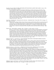Freedman, Russell. KIDS AT WORK; LEWIS HINE AND THE CRUSADE AGAINST CHILD LABOR. Clarion, 1994. 104 pages. (0-395-58703-4) \$16.95

As an investigative reporter for the National Child Labor Committee during the early 20th century, photographer Lewis Hine documented the fact that children were being exploited in factories, mills, mines and fields across the nation. Just as Hine had found ways earlier to set up his camera quickly to record the faces of immigrant families in the harsh, poorly lit circumstances of Ellis Island, he brashly entered domains where he was unwelcome to document evidence of the little boys and girls laboring. Fifty-nine of Hine's photographs are reproduced here with great technical skill. His works retain the power to astonish and anger, as does Freedman's account of the psychological and physical oppression of children used as beasts of burden. Freedman's written portrait of Hine at work is equally moving; Hine was a man who defined his work and was later defined by that work. Born in 1874, Hine grew up in Oshkosh, Wisconsin. (Ages 8-14)

Getz, David. FROZEN MAN. Illustrated by Peter McCarty. A Redfeather Book / Henry Holt, 1994. 68 pages. (0- 8050-3261-4) \$14.95

Hiking across the Alpine Similaun Glacier between Austria and Italy during 1991, two tourists discovered a frozen body. This hiking victim carried a tool from the Stone Age. The probable identity of the wellpreserved corpse was unraveled through the combined efforts of scientists and others with academic knowledge of life more than 5,000 years ago in that region. As riveting as a modern thriller, the high interest, easy-to-read text is interspersed with color photos, black-and-white sketches and maps. (Ages 8-16)

Hansen, Joyce. THE CAPTIVE. Scholastic, 1994. 195 pages. (0-590-41625-1) \$13.95

Kofi was 12 seasons old in 1788 when his father, a royal man within the Ashanti Kingdom, was betrayed by a trusted slave. The boy's subsequent bondage followed several captures and escapes, each expertly unfolded through a first-person narrative, carefully developed action and colorful historical details. Moving from West Africa to New England and back in 1811, Kofi's story addresses the involvement of Africans in the slave trade, indentured servants, cultural differences and the incongruity of Christian doctrine. Hansen based her fast-paced novel on "The Life of Olaudah Equiano or Gustavus Vassa, the African," and of what is known about the real Captain Paul Cuffe. Showing valuable glimpses of the rich cultural past brought by African captives to North America, *The Captive* offers unique depictions of late 18th century life in West Africa and in Massachusetts. (Ages 11-16)

McKissack, Patricia C. and Fredrick, Jr. BLACK DIAMOND; THE STORY OF THE NEGRO BASEBALL LEAGUES. Scholastic, 1994. 184 pages. (0-590-45809-4) \$13.95

After being shut out of major league baseball for nearly a century, African-Americans formed their own leagues. Any reliable recounting of this history must include examples of the heroes on and off the diamond, the scoundrels who sabotaged efforts to provide talented black athletes with a way to compete for audiences across the nation, and the conditions of pay and daily life endured by all involved in the Negro leagues. The authors meet that challenge by using primary source documents, oral histories, archival visual materials and unflinching details about acts of racism. (Ages 9-16)

McKissack, Patricia C. and Fredrick L. CHRISTMAS IN THE BIG HOUSE, CHRISTMAS IN THE QUARTERS. Illustrated by John Thompson. Scholastic, 1994. 68 pages. (0-590-43027-0) \$17.95

To depict daily life for the two communities living in parallel realities on a Virginia plantation during December, 1859, the authors gained access to primary source materials from Tidewater plantation records and held interviews there to find out more family histories. Wisely setting their text immediately before the outbreak of the Civil War, the McKissacks offer an amazing balance of perspectives while they report the distinctive culture of the Quarters. Showing the misery as well as the dignity of families in captivity, they allow readers to draw their own conclusions. Thompson's detailed paintings rendered in acrylic and reproduced in full-color recreate the season and the buildings as well as some of the individually distinct Afro-centric head-wraps of enslaved women and holiday decorations in the Big House. Both the text and the illustrations move far beyond conventional media-induced images of plantation life. Incomparable in scope, content and emotional impact, this well designed, easy-to-read account furnishes provocative information and offers dynamic year-round reading. Winner, 1994 CCBC Coretta Scott King Award Discussion: Writing. (Ages 8-13)

McKissack, Patricia and Fredrick L. THE ROYAL KINGDOMS OF GHANA, MALI, AND SONGHAY; LIFE IN MEDIEVAL AFRICA. Henry Holt, 1994. 142 pages. (0-8050-1670-8) \$15.95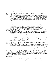The ancient civilizations of the Western Sudan flourished between 500 and 1700 C.E. Drawing upon recent scholarship in archeology, anthropology, linguistics and history, the McKissacks present a compelling Afro-centric interpretation of what is now known about these important kingdoms and trading centers. Extensive notes and a long bibliography document the authors' sources for this important book. (Age 10 and older)

Marrin, Albert. UNCONDITIONAL SURRENDER; U.S. GRANT AND THE CIVIL WAR. Atheneum, 1994. 200 pages. (0-689-31837-5) \$19.95

So vivid are the descriptions in this outstanding biography of the commander in chief of the Union forces that readers may feel as though they've been picked up and set back down in the middle of a battlefield during The War Between the States. Marrin always sticks to the human dimensions of the Civil War in describing Ulysses S. Grant's role, bringing the subject matter ever closer to contemporary readers. Carefully documented, the text is further supported by numerous black-and-white photographs and newspaper illustrations from the Civil War era. (Ages 11-16)

Medearis, Angela Shelf. OUR PEOPLE. Illustrated by Michael Bryant. Atheneum, 1994. 32 pages. (0-689- 31826-X) \$14.95

An African-American girl proudly compares the realities of her everyday life to the accomplishments of people of African descent throughout history. The stories her daddy has told her of builders, explorers, inventors, adventurers and heroes influence her present-day play and inspire her dreams for of the future. The connections between past and present are imaginatively drawn with watercolor and colored pencil illustrations for this cheerful picture book. Honor Book, 1994 CCBC Coretta Scott King Award Discussion: Illustration. (Ages 4-8)

Spedden, Daisy Corning Stone. POLAR, THE TITANIC BEAR. Illustrated by Laurie McGaw. Little, Brown, 1994. 64 pages. (0-316-80625-0) \$16.95

Once upon a time, a little American boy's mother, Daisy Spedden, created a book for him, a book about his Steiff bear, a story about a boy whose stuffed animal had traveled with him on the Titanic and survived. Created in 1913, the book was discovered decades later in Daisy's trunk. That homemade volume became the core of *Polar*, an astonishing record of the disaster as well as a social history. *Polar* can be understood on one or more levels. Most children will read it from the perspective of a child passenger on the Titanic. Some may see Polar as one example of the economic privilege of the few who could afford that voyage. Older readers will notice the epilogue that foreshadows the transience of such leisure. Archival photos of toys from the era, family pictures, entries from Daisy Spedden's diaries, and facts about the Titanic are successfully integrated within an intriguing volume. Because the juvenile appearing jacket art does not do justice to the content, children who can appreciate it the most will probably not notice the book on their own. (Ages 7-9)

Turner, Glennette Tilley. RUNNING FOR OUR LIVES. Illustrated by Samuel Byrd. Holiday House, 1994. 198 pages. (0-8234-1121-4) \$15.95

Escaping from slavery in Missouri, Luther and his younger sister, Carrie, are separated from their parents during their journey north on the Underground Railroad. Hoping to be reunited with them, the two continue on, guided by "conductors" and others whose commitment to the cause of abolition is as strong as the children's own desire for freedom. Among those they meet on their way are Frederick Douglass and Alan Pinkerton. An uplifting novel that follows one family as they build a new life that is rooted in freedom. (Ages 8-11)

Jo Louis Won the Title; Where the Flame Trees Bloom See also: The Barn; Battlefields and Burial Grounds; Bill; Brooklyn Doesn't Rhyme; The Christmas Tree Ship; The Circlemaker; Coming Home; Crazy Horse; The Days Before Now; Dear Benjamin Banneker; Escape From Slavery; First Apple; Goody O'Grumpity; Harriet Beecher Stowe; I've Got an Idea; Lostman's River; May'naise Sandwiches and Sunshine Tea; Missing Sisters; Native American Rock Art; On the Long Trail Home; The Sunday Outing; When

# Biography and Autobiography

Ada, Alma Flor. WHERE THE FLAME TREES BLOOM. Illustrated by Antonio Martorell. Translated from the Spanish by Rosa Zubizarreta. Atheneum, 1994. 75 pages. (0-689-31900-2) \$14.95

In eleven wonderfully entertaining chapters, Ada recreates scenes and characterizes people from her childhood in Cuba. Readers meet members of Ada's extended family and become acquainted with some of the stories she heard. Today's children can gain a sense of the lovely land and loving people she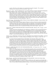recalls. All but three of the chapters were translated by the author's daughter. The occasional illustrations are reproduced in brown and white. (Ages 9-12)

Blos, Joan W., adaptor. THE DAYS BEFORE NOW; AN AUTOBIOGRAPHICAL NOTE BY MARGARET WISE BROWN. Illustrated by Thomas B. Allen. Simon & Schuster, 1994. 32 pages. (0-671-79628-3) \$15.00

When asked in 1951 to write an autobiographical essay for H.W. Wilson's Junior Book of Authors, Margaret Wise Brown submitted a characteristically lyrical, sensuous, and direct piece of prose. More than forty years later, Joan Blos recognized the essay as "vintage Margaret Wise Brown," in other words, a perfectly paced, child-centered picture-book text that required only a little shaping and editing by Blos and the pleasingly soft-edged illustrations of Thomas B. Allen to bring it to life. Their combined efforts have given us Brown's own autobiography, written in the style and form she single-handedly invented, nurtured and passed on to future generations. (Ages 3-9)

Brust, Beth Wagner. THE AMAZING PAPER CUTTINGS OF HANS CHRISTIAN ANDERSEN. Ticknor & Fields, 1994. 80 pages. (0-395-66787-9) \$15.95

During a visit to the Hans Christian Andersen Museum in Odense, Denmark, the author learned about the paper cuttings often created by Andersen as gifts to young people. In an amazing book illustrated with 33 black-and-white paper cuttings, Brust shares her admiration for this dimension of the Danish writer whose world fame stems from autobiographical writings based on his harsh early years. The bibliography and source notes are organized according to the six short chapters. (Ages 8-12)

Cooper, Floyd. COMING HOME; FROM THE LIFE OF LANGSTON HUGHES. Philomel, 1994. 32 pages. (0-399- 22682-6) \$15.95

Cooper's lyrical prose and striking full-color paintings are combined in a brief, moving portrait about a prominent writer of the Harlem Renaissance. His grandma took care of young Langston Hughes in Kansas; she had once worked on the Underground Railroad, and so he heard those stories, along with ones she told him about John Brown, the Buffalo soldiers and his own grandfather. Although Hughes apparently felt emotionally homeless as a youth, his life and works continue to offer both hope and home to many. A tour de force by Floyd Cooper. (Ages 4-12)

Dalokay, Vedat. SISTER SHAKO AND KOLO THE GOAT; MEMORIES OF MY CHILDHOOD IN TURKEY. Translated from the Turkish by Güner Ener. U.S. edition: Lothrop, Lee & Shepard, 1994. 96 pages. (0-688-13271-5) \$14.00

In a memoir about his Turkish boyhood, Vedat Dalokay writes about the village woman whose independence and individuality remained memorable to him throughout his adulthood. Dalokay, an architect who once served as Ankara's mayor, recalled the dignity of Sister Shako whose stable shelter was granted by his father, the village landlord. He muses about her kinship with six goats, the way she created spaces for them and for herself, and the large space she occupied in his heart. He also mourns the later flooding of the entire village during the construction of a modern dam, resulting in the loss of its thousand-year-old melon gardens, almond and walnut trees, its minaret, its people and history. Ener's graceful translation of this brief, powerful text is set on beautifully designed pages. (Ages 9-14)

Fritz, Jean. HARRIET BEECHER STOWE AND THE BEECHER PREACHERS. G.P. Putnam's Sons, 1994. 144 pages. (0-399-22666-4) \$15.95

Born in 1811, Harriet Beecher Stowe was the third living daughter of the renowned Henry Beecher who made no secret of his preference for sons. Nineteenth century constraints upon girls and women frequently thwarted her preferences and hopes in childhood and adult life. The national and international impact of her anti-slavery story Uncle Tom's Cabin initially published in installments in 1851, established a reputation that many agree has outshone that of her preacher father and brothers. Fritz had access to primary resources in the Stowe-Day Library; that scholarship as well as her facility in developing compelling biographical writing about significant individuals in U.S. history are evident in this portrait of a white woman living in a time that perhaps enabled her to understand the tyranny of slavery from the perspective of domestic servitude. (Ages 11-16)

Mohr, Nicholasa. GROWING UP IN THE SANCTUARY OF MY IMAGINATION. (In My Own Words) Julian Messner, 1994. 118 pages. (0-671-74171-3) \$14.00

An autobiographical memoir of a major U.S. author unfolds many of the experiences and insights that later fueled her outstanding novels and short fiction for youth, including El Bronx Remembered, Felita, In Nueva York and Nilda, all initially published by Harper, as well as her varied works for adult readers.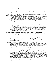Providing the same strong sense of place and people and the emotional content one discovers in her fiction, Mohr's selection of details underscore her memories, her strong sense of family and the spirituality of her mother's culture. Mohr's imagination offered deliverance and salvation throughout the years when she (along with many other Puerto Rican - American children whose first home was New York City and first language was English) found herself discounted by the educational system and invisible in the larger society. (Age 12 and older)

Oodgeroo. DREAMTIME; ABORIGINAL STORIES. Illustrated by Bronwyn Bancroft. U.S. edition: Lothrop, Lee & Shepard, 1994. 96 pages. (0-688-13296-0) \$16.00

An original and unusual collection that begins with a series of stories that are humorous, revealing and unflinchingly honest reminescences about Oodgeroo's childhood with her Aboriginal family on Stradbroke Island, off the coast of Queensland, Australia. In Part II, Oodgeroo retells a number of Aboriginal legends and in doing so places her own story firmly in their midst. Bancroft draws upon her Aboriginal heritage in her full-page black-and-white and color paintings and detail artwork that beautifully capture both the natural and emotional landscape of the stories. (Ages 11-14)

Pinkney, Andrea Davis. DEAR BENJAMIN BANNEKER. Illustrated by Brian Pinkney. Gulliver Books / Harcourt, Brace, 1994. 32 pages. (0-15-200417-3) \$14.95

Beginning to teach himself mathematics and astronomy at age 57, Benjamin Banneker later became known for his scientifically developed predictions concerning the weather. He was the first black person to create a published almanac. Banneker can also be remembered for the forthright letter he wrote in 1791 to Secretary of State Thomas Jefferson concerning slavery and the need for equal opportunity for all people. This 11 1/4 x 8 1/4" picture biography created by a wife-and-husband team brings to life Banneker's early years and later accomplishments. The full-color illustrations were rendered using scratchboard colored with oil paint. (Ages 5-9)

St. George, Judith. CRAZY HORSE. G.P. Putnam's Sons, 1994. 180 pages. (0-399-22667-2) \$17.95 St. George recreates several decades of this famous leader's life by describing what is known about Tashunka Witko, his people and the battles in which they fought. This highly readable, compelling portrait of a man who consistently refused to be photographed and whose most famous battle offers continuing controversy shows him to be a man "of and for his people" and "only secondly as the celebrated Oglala warrior of Sioux Wars fame." In addition to traveling throughout the Northern Great Plains where "Crazy Horse" and his people had camped, hunted, wintered and fought, St. George made extensive use of primary source material at the Nebraska State Historical Society, such as transcripts of interviews with people who had known him and other documentation from people who had survived the Sioux Wars. (Ages 10-16)

Stevenson, James. FUN - NO FUN. Greenwillow, 1994. 32 pages. (0-688-11674-4) \$14.00 Stevenson catalogs a collection of his own childhood memories, categorizing each recollection as "Fun" or "No Fun." From joyous ("Fun was when we raked up all the leaves, when my friends and I could jump in the pile") to sad ("No fun was was when my parents went on a trip without me"), each reminiscence is enhanced with simple watercolor illustrations that are visual extensions of the mood. Children will recognize the truth in these memories and the feelings they evoke as if they were there own. (Ages 4-8)

Swanson, Gloria M. and Margaret V. Ott. I'VE GOT AN IDEA; THE STORY OF FREDERICK MCKINLEY JONES. Runestone Press / Lerner, 1994. 95 pages. (0-8225-3174-7) \$13.13

From the time he was a small child taking apart his father's watch, Frederick McKinley Jones showed a fascination and genius for things mechanical. By the time he was fourteen, the young African-American was admired for his expertise with car engines. By the time he was seventeen, he was designing and building racing cars. Jones' inventive mind was never quiet, and over the course of his life, from 1893 to 1961, he acquired over 60 patents for his ideas, which ranged from movie theater ticket machines and sound systems to mobile refrigeration units that enabled perishable food to be carried long distances. An appealing biography focusing on his personal and professional life and containing numerous black-andwhite photos of Frederick Jones in his wide and varied creative pursuits. (Ages 9-11)

See also: Escape from Slavery; Focus; Frank Lloyd Wright for Kids; Jacques-Henri Lartigue; Jazz; Kids at Work; Scorpion Man; Unconditional Surrender; Zora Hurston and the Chinaberry Tree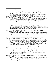#### Contemporary People, Places and Events

Ancona, George. THE PIÑATA MAKER = EL PIÑATERO. Harcourt, Brace, 1994. 40 pages. (0-15-261875-9) \$16.95 (paperback 0-15-200060-7, \$8.95)

In Ejutla de Crespo, a village in southern Mexico, seventy-seven-year-old Don Ricardo makes piñatas for all the festive occasions. Tio Rico, as the children call him, is clearly valued among children and adults alike in the community. Color photographs and text show how Tio Rico makes both traditional and unusual piñatas for parties and holiday celebrations. A brief authors's note at the end of this bilingual book provides suggestions for making simple piñatas. (Ages 8-10)

Angelou, Maya. MY PAINTED HOUSE, MY FRIENDLY CHICKEN, AND ME. Photographs by Margaret Courtney-Clarke. Clarkson Potter, 1994. 40 pages. (0-517-59667-9) \$16.00

In Angelou's engaging first-person narrative young readers meet Thandi, an eight-year-old Ndebele girl in South Africa. Thandi relates details of her own life and of Ndebele culture, and these details are brought into focus through Courtney-Clark's shining, colorful photographs of Ndebele people. The Ndebele custom of painting houses with intricate, colorful patterns forms the inspiration for the design of this vibrant book that is an invitation to friendship. (Ages 5-8)

Brown, Tricia. L'CHAIM; THE STORY OF A RUSSIAN ÉMIGRÉ BOY. Photographs by Kenneth Kobré. Henry Holt, 1994. 44 pages. (0-8050-2354-2) \$15.95

Zev Tsukerman is a young émigré from the Ukraine whose family has settled in San Francisco. A narrative written in Zev's first person voice and accompanied by lively full-color photographs depicts Zev's life in his new country, where he attends a Jewish day school, takes kung fu lessons, plays computer games, and learns about the religion he was never before able to practice. (Ages 8-11)

Crum, Robert. EAGLE DRUM; ON THE POWWOW TRAIL WITH A YOUNG GRASS DANCER. Four Winds Press, 1994. 48 pages. (0-02-725515-8) \$16.95

"I almost can't remember a time when I wasn't a dancer," says nine-year-old Louis Pierre. Louis, a Pend Oreille Indian, lives on the Flathead Reservation in Montana. Louis' knowledge of traditional dance has been passed on to him from his grandfather, along with an understanding of the importance of dance to the history and culture of his people. This photodocumentary shows Louis as he learns a new dance the grass dance - and dances it in a powwow for the first time. (Ages 8-11)

Krull, Kathleen. THE OTHER SIDE; HOW KIDS LIVE IN A CALIFORNIA LATINO NEIGHBORHOOD. Photographs by David Hautzig. (A World of My Own) Lodestar, 1994. 48 pages. (0-525-67438-1) \$15.99

Twelve-year old Cinthya Guzman and brothers Francisco and Pedro Tapia, ages eight and twelve, all were born in Mexico and are living now in Castle Park, a Latino neighborhood in Chula Vista, California. For all three, moving to the United States meant making many adjustments, but because Chula Vista is only seven miles from Tijuana, Mexico, they have also been able to remain grounded in their cultures of birth, regularly returning to visit family. Text and photographs examine the similarities and differences of the children's lives and communities on both sides of the border. (Ages 7-11)

Kunstadter, Maria A. WOMEN WORKING A TO Z. Photographs by Shari Stanberry. Highsmith Press, 1994. 32 pages. (0-917846-25-7) \$15.00

"When you grow up, what do you want to be? A girl can be anything from A to Z. Look through this book and see the many things girls just like you have become. Then, think some more. Your opportunities are endless." Twenty-five women in traditional and non-traditional vocations such as airplane pilot, engineer, mother, postmaster and zookeeper are briefly profiled in this text that includes two photos of each woman - one of her at work today, and one of her as a child. The entry for the letter Y is "You...When you grow up, just like the girls in this book, you can use your special talents to be anything you want to be." (Ages 5-8)

Lourie, Peter. EVERGLADES; BUFFALO TIGER AND THE RIVER OF GRASS. Boyds Mills Press, 1994. 47 pages. (1- 878093-91-6) \$16.95

Writer-photographer Peter Lourie's desire to learn about the Everglades takes him on a journey into the "River of Grass." His guide is Buffalo Tiger, chief of the Miccosukee Indians, who grew up in the Everglades more than sixty years ago, when the area was not yet polluted and the tribe could still live off of the land. Lourie's appreciation for this unique and fragile environment, and for Buffalo Tiger's willingness to share his personal experience and expertise, unfolds through full-color photos and a text that skillfully weaves a brief, fascinating history of the Miccosukee into a compelling portrait of nature in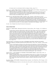the "grassy water," an environment which is in danger of dying. (Ages 9-11)

Peterson, Cris. EXTRA CHEESE, PLEASE! MOZZARELLA'S JOURNEY FROM COW TO PIZZA. Photographs by Alvis Upitis. Boyds Mills Press, 1994. 32 pages. (1-56397-177-1) \$13.95

- Author Cris Peterson explains how the milk from her dairy farm in Grantsburg, Wisconsin, becomes cheese that tops the home-made pizza which is a Friday-night tradition in her home. The simple, appealing narrative, accompanied by full-color photographs, describes what happens from farm to factory in order to turn milk into cheese. (Ages 5-8)
- Raimondo, Lois. THE LITTLE LAMA OF TIBET. Scholastic, 1994. 40 pages. (0-590-46167-2) \$15.95 A child is recognized as the new incarnation of Ling Rinpoche, the late tutor of the Dalai Lama. He lives in exile in the mountains of Dharamsala, India, studying scriptures, reading religious stories and otherwise preparing spiritually to pass on Buddhist teachings to his people. This young monk was six years old during the year when Raimondo was granted permission to interview and photograph him. Her photographs are reproduced in full color, providing unparalleled glimpses of his daily discipline and that of those who teach him. The Tibetan alphabet is reproduced on the endpapers. (Ages 7-10)

See also: Day of Delight; Frozen Man; The Search for Seismosaurus

# Issues in Today's World

Bunting, Eve. SMOKY NIGHT. Illustrated by David Diaz. Harcourt, Brace, 1994. 36 pages. (0-15-269954-6) \$14.95

A young African-American child describes a night of fear when rioting occurs in his city neighborhood. "Rioting can happen when people get angry," his mother explains to him. "They want to smash and destroy. They don't care anymore what's right and what's wrong." In the middle of the night, a fire forces the boy and his mother to flee their apartment building and take refuge in a shelter, where African-American, Korean-American and Latino neighbors, some of whom are strangers to one another, have gathered in the confusion. Tensions between African-American and Korean-American residents of the neighborhood are specifically addressed. The child's anxiety is soothed but not extinguished by his mother's deliberate calm for the sake of her child, and these are the most powerful elements of the text. David Diaz' explosive artwork is a powerful complement - he sets his intense paintings against a multimedia backdrop that is suggested by elements of the text and created with items culled from everyday life. (Ages 6-10)

Echo-Hawk, Roger C. and Walter R. Echo-Hawk. BATTLEFIELDS AND BURIAL GROUNDS; THE INDIAN STRUGGLE TO PROTECT ANCESTRAL GRAVES IN THE UNITED STATES. Lerner, 1994. 80 pages. (0-8225-2663- 8) \$19.95

In part I of this thought-provoking text, the authors discuss the significance of American Indian burial practices to the cultures and examine the history of Indian burial ground desecration in the United States, exploring the centuries-old double-standard that has seen white graves respected, and protected by law, while American Indian graves were being legally robbed, and even destroyed. In Part II, they chronicle the successful efforts of their own tribe, the Pawnee, to reclaim and rebury their dead. A book remarkable in both tone and content, explaining events and actions in light of the attitudes toward indigenous peoples that prevailed at various times throughout United States history, but never excusing injustice. Illustrated with historical and contemporary photographs. (Age 12 and older)

Mullins, Patricia. V FOR VANISHING; AN ALPHABET OF ENDANGERED ANIMALS. HarperCollins, 1994. 32 pages. (0-06-023556-X) \$15.00

Mullins' incredibly detailed collage artwork highlights animals which are in danger of becoming extinct in this alphabet book with an environmental twist. From A (Pink Fairy Armadillo) to Z (Cape Mountain Zebra), each page is alive with natural color and form. Information provided for the animals includes their common and scientific names and the countries or regions in which they are found - for now. (Ages 5-10)

Nye, Naomi Shihab. SITTI'S SECRETS. Illustrated by Nancy Carpenter. Four Winds Press, 1994. 32 pages. (0-02- 768460-1) \$14.95

Mona's grandmother, Sitti, lives "on the other side of the earth" in a Palestinian village on the West Bank.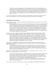Despite their uncommon language, she and her grandmother share daily life and special moments together when Mona and her father take a trip to visit Sitti. Upon her return to the United States, Mona writes a letter to the president: "If the people of the United States could meet Sitti, they'd like her for sure. You'd like her, too." Paired with Nancy Carpenter's sun-drenched illustrations, Naomi Shihab Nye's poetic text explores a child's feelings and fears about a grandparent living far away in a part of the world that most children in the United States know only one-dimensionally, if at all, through reports in the news. (Ages 6-10)

See also: Eagle; Everglades; The Golden Lion Tamarin Comes Home; Kids at Work; The Living Earth; Lostman's River; The Royal Kingdoms of Ghana, Mali and Songhay; Tell Them We Remember; The Third Planet

# Understanding Oneself and Others

Bauer, Marion Dane, editor. AM I BLUE? COMING OUT FROM THE SILENCE. HarperCollins, 1994. 273 pages. (0-06-024254-X) \$14.89

Sixteen original works of short fiction created for this anthology by a who's-who of accomplished authors of young adult literature "explore aspects of growing up gay or lesbian or with gay or lesbian friends or parents." The editor writes that "one out of ten teenagers attempts suicide. One out of three of those does so because of concern about being homosexual... The intention of this anthology is to tell challenging, honest, affecting stories that will open a window for all who seek to understand themselves or others." The authors are C. S. Adler, Francesca Lia Block, Bruce Coville, Nancy Garden, James Cross Giblin, Ellen Howard, M. E. Kerr, Jonathan London, Lois Lowry, Gregory Maguire, Lesléa Newman, Cristina Salat, William Sleator, Jacqueline Woodson, Jane Yolen and editor Marion Dane Bauer. A one-page biography for each author is included. (Age 16 and older)

Carlson, Lori M. editor. AMERICAN EYES; NEW ASIAN-AMERICAN SHORT STORIES FOR YOUNG ADULTS. Introduction by Cynthia Kadohata. Edge Books / Henry Holt, 1994. 144 pages. (0-8050-3544-3) \$14.95 Ten authors use "their own voices and visions - their American eyes - to Americanize all of us in new ways," according to the editor. Some of the stories involve experiences of assimilation or prejudice. Others examine the theme of Home and/or Homeland. Two are excerpted from longer works. The authors are Peter Bacho, Lan Samantha Chang, Mary Chen, Cynthia Kadohata, Marie G. Lee, Katherine Min, Nguyen Duc Minh, Faye Myenne Ng, Ryan Oba and Lois-Ann Yamanaka. Short biographies of the authors are included; their backgrounds and experiences vary, in that their heritages are Chinese, Filipino, Korean, Japanese and Vietnamese. (Age 14 and older)

Harris, Robie H. IT'S PERFECTLY NORMAL; CHANGING BODIES, GROWING UP, SEX & SEXUAL HEALTH. Illustrated by Michael Emberley. Candlewick Press, 1994. 89 pages. (1-56402-199-8) \$19.95 (paperback 1- 56402-159-9) \$12.99

A fact-filled book about the birds and the bees comes complete with its own personal bird and bee, cartoon characters whose sidebar questions and comments enliven the serious, direct explanations and illustrations concerning human sexuality and sexual health. Intended for prepubescent males and females, the information is organized into six sections: What is Sex?; Our Bodies; Puberty; Families and Babies; Decisions; and Staying Healthy. (Ages 9-12)

Kuklin, Susan. AFTER A SUICIDE; YOUNG PEOPLE SPEAK UP. G.P. Putnam's Sons, 1994. 121 pages. (0-399- 22605-2) \$15.95 (paperback 0-399-22801-2, \$9.95)

These interviews with suicide survivors include people who are family members, friends and schoolmates of someone who committed suicide as a teenager as well as individuals who attempted suicide but survived. Kuklin chose not to include statistics or try to explain suicide or those who attempt it. Her stated reasons are "to help other survivors; to encourage people who are feeling suicidal to talk about it with a professional or a trusted adult; and to help people understand that suicide is never a way to solve problems." Kuklin's black-and-white photos of her interviewees and their families bring human faces to the moving accounts, reminding readers that this dimension of experience is real. (Ages 11-18)

Wiener, Lori S., Aprille Best, and Philip A. Pizzo, compilers. BE A FRIEND; CHILDREN WHO LIVE WITH HIV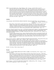SPEAK. Foreword by Robert Coles. Albert Whitman, 1994. 40 pages. (0-8075-0590-0) \$13.95 More than 350 youth with AIDS or HIV infection came to the National Cancer Institute in Bethesda, Maryland during the decade beginning in 1983. While undergoing treatment, the children and teenagers met with social workers who gave them opportunities to express their feelings in a variety of ways. Be A Friend is a 41-item collection of selected art and writings of youth between ages 5 and 19. The slim volume has bright page colors and is divided into three sections: I Often Wonder...; Living with HIV; and Family, Friends and AIDS. In comments preceding the powerful collective testimony, Dr. Robert Coles observes that "these children... ask questions, speculate, turn to moral, philosophical, and spiritual reflection. In a sense the words and pictures... affirm the rock-bottom humanity of the young speakers and writers, the artists." (Ages 9-14)

### Activities

Creasy, Rosalind. BLUE POTATOES, ORANGE TOMATOES. Illustrated by Ruth Heller. Sierra Club Books for Children, 1994. 40 pages. (0-87156-576- 5) \$15.95

Blue potatoes, orange tomatoes, purple string beans, yellow zucchini, red corn and a colorful array of radishes. These aren't your everyday garden-variety vegetables...or are they? From writing to seed companies to planting, caring for and harvesting the crop, readers are shown how they can grow uncommon varieties of the foods we eat. The text includes general gardening tips as well as guidelines for growing specific foods. Mouth-watering illustrations reflect a garden's bounty. (Ages 7-11)

Hall, Nancy Abraham and Jill Syverson-Stork. LOS POLLITOS DICEN; JUEGOS, RIMAS Y CANCIONES INFANTILES DE PAÍSES DE HABLA HISPANA = THE BABY CHICKS SING; TRADITIONAL GAMES, NURSERY RHYMES, AND SONGS FROM SPANISH-SPEAKING COUNTRIES. Illustrated by Kay Chorao. Little, Brown, 1994. 32 pages. (0- 316-34010-3) \$15.95

Seventeen songs and rhymes from a variety of Spanish-speaking countries are presented in Spanish with English translation in this appealing collection. Kay Chorao's lovely, lively color illustrations span each double-page spread, which features one or two songs or rhymes with musical notation and directions for any accompanying hand-clapping, jump-roping, pantomiming, or other activity involved. (Ages 9 months  $-4$  years)

Thorne-Thomsen, Kathleen. FRANK LLOYD WRIGHT FOR KIDS; HIS LIFE AND IDEAS. Chicago Review Press (814 N. Franklin St., Chicago, IL 60601), 1994. 138 pages. (pbk. 1-55652-207-X) \$14.95

Both a biography and an activity book, this unique text takes a hands-on approach to presenting the famous architect's life and work. The engaging biography, illustrated with black-and-white photographs and line drawings, is punctuated with information and ideas that are expanded upon in the activity section of the book. Most of the 21 activities are designed to enhance understanding of Frank Lloyd Wright's architecture and architectural philosophy, which was strongly rooted in observation of the world around him and the desire to create a unity with nature. (Ages 8-11)

See also: *De Colores; "I Have a Song to Sing, O!"* 

## The Arts

Cech, John. JACQUES-HENRI LARTIGUE; BOY WITH A CAMERA. Four Winds Press, 1994. 32 pages. (0-02- 718136-7) \$15.95

Born in Paris in 1902, Jacques-Henri Lartigue got his first camera when he was seven. "I know that many, many things are going to ask me to have their pictures taken and I will take them all," he wrote in his diary. Young Jacques-Henri's keen eye and innate sense of when to click the shutter resulted in photographs that suspend movement and transcend time. He captured his family and friends in the midst of action and forever froze the moment, creating images that are humorous, exciting and sometimes even eery. Jacques-Henri's black-and-white photographs are the cornerstone of a wholly approachable and engaging text telling about his early life and the pictures he took. (Ages 8-11)

Jones, K. Maurice. SAY IT LOUD; THE STORY OF RAP MUSIC. Millbrook Press, 1994. 128 pages. (1-56294- 386-3) \$19.90 (paperback 1-56294-724-9, \$12.95)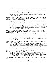"Rap is the voice of a population that has been ignored by mainstream leaders and institutions. It is a culture," writes the author in the first chapter of this book that is a fascinating exploration of Rap music. Jones begins by tracing the origins of rap from African societies where great value was placed on the skills of oratory - the embellished word. He continues by looking at the experience of the African in the western world, from times of bondage to the present day, always focusing on the importance of language and expression in variant forms within the culture. He then turns his attention to rap as an artistic/musical form, discussing its musical stylings, individual performers and the very global nature of the music. Color and black-and-white photographs of performers illustrate a text dynamic in both design and content. (Ages 12-16)

Langstaff, John, editor. "I HAVE A SONG TO SING, O!"; AN INTRODUCTION TO THE SONGS OF GILBERT AND SULLIVAN. Illustrated by Emma Chichester Clark. Piano arrangements by Brian Holmes. Margaret K. McElderry Books, 1994. 74 pages. (0-689-50591-4) \$17.95

In his introductory note to young readers, John Langstaff writes that when he was a child, his entire family sang - and even acted out - Gilbert and Sullivan songs. "There were solos, duets, and trios we performed together, with everyone joining in the rousing chorus refrains." Whether this collection is used to add to the repertoire for family sing-alongs and classroom choruses, or to prepare young theatergoers for a Gilbert and Sullivan experience, the sixteen songs chosen from eight operettas will undoubtedly please, as will Emma Chichester-Clark's full-page illustrations - in both color and blackand-white - that perfectly embody the zany Gilbert and Sullivan style. Even Brian Holmes' musical arrangements are a delight, with directions such as "Pompous but bold," "Jaunty and boastful" and "With matter of fact haughtiness" to help young singers cast just the right mood to the song. Preparing for a long car trip? This is a book to bring, O! (Ages 8-12)

La Pierre, Yvette. NATIVE AMERICAN ROCK ART; MESSAGES FROM THE PAST. Illustrated by Lois Sloan. Thomasson-Grant (One Morton Drive, Suite 500, Charlottesville, Virginia 22903; 804/977-1780), 1994. 48 pages. (1-56566-064-1) \$16.95

Petroglyphs and pictographs - carvings and paintings on rocks - done by the earliest human inhabitants of North America, can be found from Nova Scotia to the deserts of the Southwest. Yvette La Pierre explores what is known and how it was determined, as well as what is not known, about these ancient forms of art and communication and the people who created them. Though the illustrations and the fictionalized scenarios that open each chapter seem to assume that rock artists were always male, the unique information presented here makes this a valuable text, which includes photographs of rock art throughout North America. Among the "Sites to Visit" listed in the final chapter is Roche a Cri State Park in Wisconsin. (Ages 8-12)

Monceaux, Morgan. JAZZ; MY MUSIC, MY PEOPLE. Foreword by Wynton Marsalis. Alfred A. Knopf, 1994. 64 pages. (0-679-85618-8) \$18.00

An exciting collection of multi-media portraits and short biographies of performers who have made jazz music a vital, vibrant art form. The artwork pulsates with the color, tones and rhythms of each performer's music, while the narratives are transformed beyond mere telling of fact by smooth, delightful descriptions of musical stylings and the author/artist's relation of his own listening experiences. Readers will discover Buddy Bolden, Leadbelly, Duke Ellington, Billie Holiday, Ethel Waters, Charlie Parker, Nat King Cole and many others in this unique and lively history of jazz. (Age 11 and older)

Orozco, José-Luis, compiler. DE COLORES AND OTHER LATIN-AMERICAN FOLK SONGS FOR CHILDREN. Selected, arranged and translated by José-Luis Orozco. Illustrated by Elisa Kleven. Dutton, 1994. 56 pages. (0-525-45260-5) \$16.99

Each of the twenty-seven Latin American songs, chants and rhymes chosen by performer/songwriter Orozco for inclusion in this text are presented with lyrics in Spanish and English, simple musical arrangement, and explanatory notes about the song's subject and how it is traditionally sung. Kleven's brightly colored collage illustrations are lively, joyous accompaniments to the music. (Ages 5-10)

Wolf, Sylvia. FOCUS: FIVE WOMEN PHOTOGRAPHERS. Albert Whitman, 1994. 64 pages. (0-8075-2531-6) \$18.95

The five photographers whose lives and work are profiled span 130 years of the art of photography. Each of them has, through the style, content and purpose of her work, made a unique and stunning contribution to photographic arts. Julia Margaret Cameron was a 19th century portrait photographer who focused on revealing the inner essence of her subjects through her pictures. Margaret Bourke-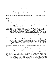White chronicled history as it happened through her lens in the mid-20th century. Flor Garduño captures life, rituals and traditions in Latin American cultures on film. Sandy Skoglund creates avant garde still-life photographs that expose her quirky and expansive imagination. Lorna Simpson pairs images with words to challenge prejudice and stereotypes as she creates art rooted in African-American history and her own experience as an African-American woman. A fascinating documentary of five distinct approaches to art - and life - filled with photographs displaying each women's unique perspective. (Ages 11-14)

See also: The Amazing Paper Cuttings of Hans Christian Andersen; Luka's Quilt; They Followed a Bright Star

### **Poetry**

Brink, Carol Ryrie. GOODY O'GRUMPITY. Illustrated by Ashley Wolff. North-South, 1994. 32 pages. (1-55858-327-0) \$14.95

Ashley Wolff's autumn-hued, hand-colored linoleum prints lend bold visual context to Carol Ryrie Brink's lively poem, making a 17th century Pilgrim settlement come alive. The mouthwatering smells coming from Goody O'Grumpity's spice cake - "...cinnamon bark and lemon rind, / And round, brown nutmegs grated fine..." - waft across pages showing details of Pilgrim life. Wolff did research for her illustrations in Plymouth, Massachusetts, which is also the origin of the 17th century spice cake recipe included at the end of this picture book. (Ages 5-9)

Carlson, Lori, ed. COOL SALSA; BILINGUAL POEMS ON GROWING UP LATINO IN THE UNITED STATES. Introduction by Oscar Hijuelos. An Edge Book / Henry Holt, 1994. 123 pages. (0-8050-3135-9) \$14.95

"Life / to understand me / you have to know Spanish / feel it in the blood of your soul. / If I speak another language / and use different words / for feelings that will always stay the same / I don't know / if I'll continue being / the same person." ("Learning English" by Luis Alberto Ambroggio.) In sections titled "School Days," "Home and Homeland," "Memories," "Hard Times," "Time to Party" and "A Promising Future," poems of 29 Latin American writers are presented in both English and Spanish. A collection rich with language and memories, events and emotions grounded in Latino experience. (Age 12 and older)

Florian, Douglas. BEAST FEAST; POEMS AND PAINTINGS. Harcourt, Brace, 1994. 48 pages. (0-15-295178-4) \$14.95

"Just when you think you know the boa, / There's moa and moa and moa and moa." The boa and twenty other common and no-so-common critters (armadillo, bat, grasshopper, rhea, sloth, etc.) are subjects of these witty, playful poems, each of which is accompanied by a full-page color illustration. Verbal and visual puns abound in the poems and paintings, which are a creative delight. "The kangaroo loves to leap. / Into the air it zooms, / While baby's fast asleeep / Inside its kangaroom." Get the picture? (Ages 7-11)

Grimes, Nikki. MEET DANITRA BROWN. Illustrated by Floyd Cooper. Lothrop, Lee and Shepard, 1994. 32 pages. (0-688-12074-1) \$15.00

Thirteen poems about the friendship of two young African-American girls living in a city neighborhood. Title character Danitra Brown has a strong sense of heritage, self and self-respect, giving her a dynamic presence. Her best friend, Zuri Jackson, is shy and less confident, but it is her narrative voice which carries each poem, the themes of which extend from their friendship and families to growing up African-American and female. Together, Nikki Grimes' free-verse text and Floyd Cooper's warm-toned paintings capture the moments of joy and moments of sadness that best friends share. (Ages 7-10)

Mora, Pat. THE DESERT IS MY MOTHER = EL DESIERTO ES MI MADRE. Illustrated by Daniel Lechón. Piñata Books / Arte Público Press (University of Houston, Houston, TX 77204), 1994. 32 pages. (1-55885-121-6) \$14.95

A lovely extension of the metaphor expressed in the title, the text of this poem is a soothing recitation of the many ways in which the desert cares for the speaker: "I say feed me. / She serves red prickly pear on a spiked cactus. / I say tease me. / She sprinkles raindrops in my face on a sunny day...." Each doublepage spread pairs a single idea stated in English and Spanish on the left page with the artist's full-color visual rendering of the concept on the right. (Ages 4-7)

Mora, Pat. LISTEN TO THE DESERT = OYE AL DESIERTO. Illustrated by Francisco X. Mora. Clarion, 1994. 24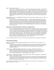#### pages. (0-395-67292-9) \$14.95

"Listen to the owl hoot, whoo, whoo whoo. / Listen to the owl hoot whoo whoo whoo. = Oye la lechuza, uuu, uuu, uuu. / Oye la lechuza uuu, uuu, uuu." A simple, rhythmic poem in which each colorful double-paged spread invites the reader to listen to - and hear - a different desert sound expressed in both English and Spanish. The repeating pattern and rhythm of each line creates a pleasing sense of certainty, and also anticipation, about what the next page will bring, while pacing the poem to evoke a sense of having stopped for a moment to listen to the sounds of the desert - and the languages. Francisco Mora's paintings combine geometric patterns with images suggested by the text to form a pleasing backdrop. (Ages 4-7)

Rogasky, Barbara, selector. WINTER POEMS. Illustrated by Trina Schart Hyman. Scholastic, 1994. 40 pages. (0- 590-42872-1) \$15.95

Twenty-five poems evoke possibilities of the season - its weather, bird-watching, skiing, moon, deer, geese, even its germs, as well as its indoor warmth. It's the warmth that readers of this incomparable anthology can experience, the warmth resulting from reading or hearing superb classic poetry in many voices and forms; from seeing pictures of a home, its people, its work and its pleasure; from noticing landscapes and families in new ways. Hyman's paintings reproduced in full color on every page were rendered in acrylics on illustration board, contributing significantly to the excellence of the appealing volume. (Ages 5-14)

Schertle, Alice. HOW NOW, BROWN COW. Illustrated by Amanda Schaffer.

Browndeer Press / Harcourt Brace, 1994. 32 pages. (0-15-276648-0) \$14.95

"You come across her standing there / as common as a box. As square. / Her lower jaw revolves the cud; her hooves stand foursquare in the mud. / Come closer. View with mild surprise / the gentle softness of her eyes." In "The Cow" and fourteen other poems, poet Alice Schertle both contemplates and celebrates cows in verses that range from thoughtful to whimsical to outrageous. In "Taradiddle," she even writes of the stuff of which legends are made: "...She landed hard, / they say, / and afterward was slightly lame. For several days / the curious came to stare, / and many hoped / that she would dare / to try the trick again. / They went away dissatisfied. / She never tried / to jump again, / but gazed for hours at the moon. / They never found the dish and spoon." Amanda Schaffer's bold full-page oil paintings delightfully realize the mood and setting of each verse. (Ages 7-10)

See also: Christmas Lullaby; The Creation; The Dream Keeper; Grandmother's Nursery Rhymes; My Black Me

### Books for Babies and Toddlers

Bunting, Eve. FLOWER GARDEN. Illustrated by Kathryn Hewitt. Harcourt Brace, 1994. 32 pages. (0-15- 228776-0) \$13.95

A pleasant, lilting text describes the shopping expedition of a brown-skinned toddler and her dad who are planning a special surprise for mom's birthday. The shifting perspectives of the brightly colored goauche paintings add to the sense of anticipation felt by all involved in the preparations for a celebration. (Ages 2-4)

Fleming, Denise. BARNYARD BANTER. Henry Holt, 1994. 32 pages. (0-8050-1957-X) \$15.95 Boldly colored batik-like illustrations enliven a noisy account of an array of farm animals-- all in their proper places except for one wayward goose who muddles her way in and out of every picture. An engaging read-aloud for young children presents playful sounds and images as well as an invitation to participate in a 32-page long goose hunt. (Ages 2-4)

Greenfield, Eloise. SWEET BABY COMING. Illustrated by Jan Spivey Gilchrist. HarperFestival / HarperCollins, 1994. 12 pages. (0-694-00578-9) \$5.95

An African-American family looks forward to the arrival of a new baby in this board book written from the point of view of their young daughter who appears to be about two years old. Greenfield's simple verses capture the sense of excitement, curiosity and, yes, a bit of trepidation on the part of the soon-tobe older sister. (Ages 6 months-2 years)

Greenfield, Monica. THE BABY. Illustrated by Jan Spivey Gilchrist. HarperFestival / HarperCollins, 1994. 12 pages. (0-694-00577-0) \$4.95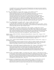A straightforward account of a baby's repertoire ("The baby kicks/cries/sleeps/eats/yawns/stretches/ eats again...") is accompanied by engaging watercolor illustrations of an African-American mother and child. (Ages 6 months-2 years)

Heo, Yumi. ONE AFTERNOON. Orchard, 1994. 32 pages. (0-531-06845-5) \$15.95

Minho accompanies his mother on her errands through noisy city streets ("honk/honk/denga/denga") as she stops at the laundromat ("tump-thud/tump-thud"), the beauty parlor ("snip/snip/snip"), the ice cream store ("reeeeeeee"), the pet store ("wuf/wuf/tweedle/wuf"), the shoe repair store ("whurra/whurra") and the supermarket ("kaching!/clink/clink") before returning to a comparatively quiet home ("plink!"). Yumi Heo's mixed-media illustrations use collage and oil painting to capture the hub-bub of an urban routine, seen through the eyes (and ears) of a small child. While this Korean-American artist's style is uniquely modern, Heo's text is comfortably traditional and child-centered, reminiscent of Margaret Wise Brown. Honor Book, 1994 CCBC Caldecott Award Discussion. (Ages 2-4)

Hoban, Tana. WHAT IS THAT? Greenwillow, 1994. 10 pages. (0-688-12920-X) \$4.95

- ----------. WHO ARE THEY? Greenwillow, 1994. 10 pages. (0-688-12921-8) \$4.95 Board books in black and white show the silhouettes of things familiar to most young children. What Is That? shows objects such as pacifier, stroller, balloon, and car while Who Are They? shows animals such as ducks, pigs, dogs, and cats. (Ages 2 months-2 years)
- Hughes, Shirley. HIDING. U.S. edition: Candlewick Press, 1994. 20 pages. (1-56402-342-7) \$13.95 Continuing her excellent series of books aimed at young toddlers, Shirley Hughes has chosen a favorite activity of the very young, and has expanded upon it a bit with her witty verbal and visual treatments. After a small girl describes the ways she and her baby brother enjoy hiding from their parents and each other, she goes on to talk about instances in which things or people seem to hide -- the sun behind clouds, mom's wallet when it's time to go shopping, etc. (Ages 18 months-3 years)

Johnson, Angela. JOSHUA BY THE SEA. Illustrated by Rhonda Mitchell. Orchard, 1994. 10 pages. (0-531- 06846-3) \$4.95

A small but self-confident African-American boy recounts the events of a quiet day at the seaside. Within the confines of a small, square board book, artist Rhonda Mitchell remarkably manages to capture the immensity of the ocean and Joshua's sense of wonder in its presence. (Ages 2-4)

Johnson, Angela. JOSHUA'S NIGHT WHISPERS. Illustrated by Rhonda Mitchell. Orchard, 1994. 10 pages. (0- 531-06847-1) \$4.95

The same small boy featured in *Joshua by the Sea* is a little less confident at bedtime, when the wind brings night whispers into his bedroom. But self-reliant Joshua knows just what to do: go down the hallway to find Daddy so that they can listen to the night whispers together. (Ages 2-4)

- Narahashi, Keiko. IS THAT JOSIE? Margaret K. McElderry Books, 1994. 27 pages. (0-689-50606-6) \$14.95 From the time she awakens in the morning to the time she goes to bed at night, a small Asian-American girl imagines all the every-day activities of an ordinary human girl to be the comparable every-day actions of various animals: Josie's thumping down the stairs becomes a kangaroo hopping, for example, and her evening bathing becomes a dolphin diving. Watercolor paintings show an energetic child accompanied by the pictures she has inside her head. (Ages 2-4)
- Rathmann, Peggy. GOOD NIGHT, GORILLA. G.P. Putnam's Sons, 1994. 36 pages. (0-399-22445-9) \$12.95 As the zookeeper makes his final nocturnal rounds, bidding his animal charges good-night, he is followed by a mischievous young gorilla who unlocks the cage of every animal after the keeper passes. Before long, there's a long line of animals following the unwitting zookeeper all the way home to his bedroom! Wryly expressive illustrations help to tell the story in this perfect bedtime book for young children who will delight in the little gorilla's antics. (Ages 2-5)
- Scott, Ann Herbert. HI. Illustrated by Glo Coalson. Philomel, 1994. 32 pages. (0-399-21964-1) \$14.95 Waiting in line with her mother at the post office, little Margarita greets every stranger who passes by, only to be ignored. By the time she reaches the front of the line, she has become so dejected that she doesn't even hazard a smile at the postal clerk, so she is pleasantly surprised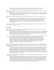when the postal clerk greets *her* first! Glo Coalson's watercolor paintings aptly capture a Latina toddler's many moods, expressed through body postures and facial expressions. (Ages 2-4)

Shaw, Nancy. SHEEP TAKE A HIKE. Illustrated by Margot Apple. Houghton Mifflin, 1994. 32 pages. (0-395- 68394-7) \$13.95

The irrepressible sheep in their fifth picture-book adventure have ventured out on a nature walk, only to fall in the mud and get lost besides! But, not to worry, they've unknowingly marked their trail with their own bits of fleece along the way. (Ages 2-4)

Vulliamy, Clara. BLUE HAT RED COAT. U.S. edition: Candlewick Press, 1994. 12 pages. (1-56402-361-3) \$4.95

Beginning with a pair of orange mittens, a blue hat and a red coat, one small toddler disrobes, piece by piece, stopping only at the pink birthday suit. A clever board book combines dressing (actually, undressing!) with color concepts in a simple storyline that invites toddlers to guess which article of clothing will be removed next. It even has a perfect toddler-inspired ending: "All gone!" (Ages 9 months-2 years)

See also: All Night Near the Water; Christmas Lullaby; It's My Birthday; The Nursery Collection; One Sun Rises; Pablo's Tree; Snow on Snow on Snow

# Picture Books

Belton, Sandra. MAY'NAISE SANDWICHES & SUNSHINE TEA. Illustrated by Gail Gordon Carter. Four Winds Press, 1994. 32 pages. (0-02-709035-3) \$14.95

Belton's child narrator remembers her grandmother's stories, especially the one about her friendship with Bettie Jean and the fun they had with imaginary play. One family was working class and the other was not. Belton handles an important theme seldom approached in books for the young in a picture book story featuring African-American characters. (Ages 5-8)

Best, Cari. TAXI! TAXI! Illustrated by Dale Gottlieb. Little, Brown, 1994. 32 pages. (0-316-09259-2) \$14.95 Tina, a school-aged daughter of divorced parents, looks forward to the Sunday afternoons she spends with her *papi*, driver of the most yellow taxi in New York City. Each Sunday, Tina and Papi drive to the country to tend their flower and vegetable garden and to enjoy quiet times in each other's company. Spanish words and phrases are sprinkled throughout this realistic picture of life in a bilingual, divorced family. Boldly colored pastel paintings enhance the spirited account of a loving relationship between a father and daughter. (Ages 4-8)

Blanco, Alberto. ANGEL'S KITE = LA ESTRELLA DE ANGEL. Illustrated by Rodolfo Morales. English translation by Dan Bellm. Children's Book Press (6400 Hollis Street, #4, Emeryville, CA 94608), 1994. 32 pages. (0-89239- 121-9) \$13.95

An enchanting picture book featuring lively, colorful collage art and an engaging, original story about Angel, a young man who consoles himself over the disappearance of the church bell in his Mexican town by making beautiful kites. His "comets" and "stars," as the kites are called, cheer everyone but Angel himself, until he creates one particular kite that is not only beautiful, but magical as well. Originally written in Spanish, the text is presented in English and Spanish. The singular illustrations are alive with detail created from items that the artist in every child will recognize: string, foil stars, tissue paper, fabric and other art box treasures. (Ages 4-7)

Cisneros, Sandra. HAIRS = PELITOS. Illustrated by Terry Ybáñez. Apple Soup / Alfred A. Knopf, 1994. 32 pages. (0-679-96171-2) \$15.00

A young Latina lyrically describes the hair of every member of her family, as each is distinctively unique. She especially delights in her mama's hair which has "...the warm smell of bread before you bake it / ...the smell when she makes room for you on her side of the bed..." This eloquently spare celebration of differences within one close-knit, loving family first appeared as a short chapter in Cisnero's adult novella, House On Mango Street. For this picture-book edition the text is printed in Spanish and English and the striking illustrations playfully extend the theme of individuality. (Ages 3-7)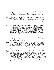Friend, Catherine. THE SAWFIN STICKLEBACK; A VERY FISHY STORY. Illustrated by Dan Yoccarino. Hyperion, 1994. 32 pages. (1-56282-474-0) \$13.95

As Katie and her younger brother, Mark, sit with their Grandpa in his icehouse waiting for a fish to bite, they imagine a series of incredible -- and highly improbable -- fish lurking below the ice; in fact, Mark thinks he can even see them when he peers down into his ice hole. And when he catches his first whopper, Katie and Grandpa conspire to turn it into a whopper of a different sort -- the horrible, humongous sawfin stickleback. Dan Yaccarino's human figures have large, round heads atop tiny bodies, adding to the humor and overall "fishiness" of the story. (Ages 4- 8)

Gauch, Patricia Lee. TANYA AND EMILY IN A DANCE FOR TWO. Illustrated by Satomi Ichikawa. Philomel, 1994. 32 pages. (0-399-22688-5) \$15.95

- In this new 11 1/2 x 8 3/4" picture story about a small wiggly child who wants to be a ballet dancer, Tanya meets Emily, one of those kids with inborn coordination and grace. But Emily is also new to the class and always alone afterwards. The indomitable Tanya approaches Emily, demonstrating to "dance" an ostrich and a flamingo, even though it's difficult for Emily to do that when they are called a *jete* or an equil *bire*. Gauch and Ichikawa's best book yet shows the action, imagination and fun of two children, each talented in different ways. (Ages 3-7)
- Geisert, Arthur. AFTER THE FLOOD. Houghton Mifflin, 1994. 32 pages. (0-395-66611-2) \$16.95 Everyone familiar with the Noah's Ark story knows that the ark rested on Mount Ararat after the flood, but it takes the special skills of Arthur Geisert to show how Noah et al. moved the ark and all its passengers down onto dry land below and then turned the ark over to build a shelter. Geisert's trademark fascination with pulleys and ramps is evident, as is his droll humor, and his imagination suggests other practicalities, as well. "Seeds and shoots were planted. Trees began to bloom. There was time for the family." Detail is important in Geisert's stunning etchings, appropriately tinted with the colors of the rainbow. A welcome sequel to *The Ark* (1988) also published by Houghton. (Ages 4-10)
- Guback, Georgia. LUKA'S QUILT. Greenwillow, 1994. 32 pages. (0-688-12155-1) \$14.00 The traditional Hawaiian quilt Luka's tutu (grandmother) makes for her looks nothing like the elaborate, brightly colored quilt Luka had pictured in her head, and she cannot hide her disappointment when Tutu presents it to her. When the two attend a Lei Day celebration, Luka's nontraditional approach to lei-making gives Tutu an idea about enhancing the quilt to suit both generations. Charming cut-paper collages reveal a surprising amount of cultural detail through the folk-art-style illustrations. (Ages 4-8)
- Harrison, Joanna. DEAR BEAR. U.S. edition: Carolrhoda, 1994. 32 pages. (0-87614-839-9) \$18.95 Katie is afraid of the bear she imagines living in the closet under the stairs, so her mom suggests she write him a letter telling him to go away. Thus begins an engaging correspondence between the two and, after a series of letters, Katie is no longer afraid. In fact, she is anxious to meet the bear, who turns out to be a lonely teddy. Perceptive readers will no doubt realize that Katie's parents are behind it all, helping to channel Katie's imagination along a more positive route. In any case, it all works, thanks to Harrison's adept use of illustrations to show Katie's mental images of the bear, growing friendlier with each turn of the page. (Ages 4-8)

Isaacs, Anne. SWAMP ANGEL. Illustrated by Paul O. Zelinsky. Dutton, 1994. 36 pages. (0-525-45271-0) \$14.99

"On August 1, 1815, when Angelica Longrider took her first gulp of air on this earth, there was nothing to suggest that she would become the greatest woodswoman in Tennessee. The newborn was scarcely taller than her mother and couldn't climb a tree without help." So begins this original tall tale about a woman who'd give Paul Bunyan a run for his money. Isaac's amusing, folksy account centers on Angelica's magnificent battle with a huge bear known as Thundering Tarnation who'd been terrorizing the whole state of Tennessee -- that is, until he crossed paths with the great woodswoman nicknamed "Swamp Angel." Zelinsky's brilliantly rendered illustrations were painted with oils on cherry, maple, and birch veneers, as would befit the greatest of Tennessee woodswomen. His wry, larger-than-life depictions of the Swamp Angel and her "most wondrous heap of trouble" provide the perfect complement to Anne Isaacs' delightful story. (Ages 3-8)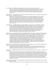Lee, Huy Voun. AT THE BEACH. Henry Holt, 1994. 24 pages. (0-8050-2768-8) \$14.95 There's no better place for Xiao Ming to practice his Chinese character writing than in the sand at the beach, where real people and objects mirror the images of the characters he's writing. Cut-paper collages work beautifully to convey abstract symbols through simple, concrete images, from "big" (a man stretched out on the beach) to "good" (mother and child together). (Ages 6-10)

McMullan, Kate. GOOD NIGHT, STELLA. Illustrated by Emma Chichester Clark. U.S. edition: Candlewick Press, 1994. 24 pages. (1-56402-065-7) \$14.95

- With all sorts of questions running through her head (Can your eyeballs fall out? If a vampire bites you, will water spurt out your neck when you try to drink?), Stella just can't fall asleep. Even her dad's suggestion ("Try closing your eyes") doesn't help. And, besides, she can't stop swallowing! Kate McMullan has perfectly characterized the mind-set of an imaginative, restless child who has more energy than anyone else in her household. Luckily, Stella has an equally imaginative dad who comes up with a solution that suits everyone. The amusing illustrations show a wide-eyed Stella whose brain stays switched on long after everyone else has gone to sleep. (Ages 5-8)
- Meddaugh, Susan. MARTHA CALLING. Houghton Mifflin, 1994. 32 pages. (0-395-69825-1) \$14.95 The dog who suddenly began speaking after a bowl of alphabet soup went to her brain instead of her stomach in Martha Speaks (Houghton, 1992) is back again. This time she's learning that there's a downside to communication. Not all words are pleasing, and three in particular are downright rude: "No dogs allowed." When Martha wins a vacation to a seaside resort in a telephone contest, she must suffer the ultimate indignity of being disguised as a human. Once again, Susan Meddaugh combines understatement, dialogue balloons and humorously expressive illustrations to allow Martha to speak for herself. (Ages 4-8)

Miller, William. ZORA HURSTON AND THE CHINABERRY TREE. Illustrated by Cornelius Van Wright and Ying-Hwa Hu. Lee & Low (228 East 45th St., New York, NY 10017), 1994. 32 pages. (1-880000-14-8) \$14.95 A picture-book account of the childhood of African-American writer Zora Neale Hurston focuses on the influence of her mother, who told Zora all the world belonged to her, contrary to the messages she got from her father and society at large. When her mother died, young Zora, who liked climbing trees, wearing pants, and listening to old men spin their stories at the town store or around a night-time camp fire, promised herself that she would live up to her mother's expectations. Miller has chosen small, significant details to give a sense of Zora's intellect and

personality through his spare account of her childhood. Somber pencil and watercolor paintings provide the perfect match for the text and depict Zora as a strong, active girl, even when she appears in the background as an observer. (Ages 6-9)

Nikola-Lisa, W. BEIN' WITH YOU THIS WAY. Illustrated by Michael Bryant. Lee & Low (228 East 45th St., New York, NY 10017), 1994. 32 pages. (1-880000-05-9) \$14.95

A rhyming, patterned text celebrates human diversity with an otherwise straightforward series of observations about physical differences. Energetic watercolor and colored pencil illustrations show children of various colors and sizes at play in a busy city park. (Ages 3-6)

Olaleye, Isaac. BITTER BANANAS. Illustrated by Ed Young. Boyds Mills Press, 1994. 32 pages. (1-56397-039- 2) \$14.95

Set in the heart of the African rain forest, this original story by a Nigerian writer has many folkloric qualities. Young Yusef gathers palm sap to sell at the market but notices with dismay that someone has been raiding his stores. When he discovers that the thieves are a family of baboons, he devises a scheme to discourage them from stealing from him. Frequent repetition of the phrases "Oh no! Oh no!" and "Oh yes! Oh yes!" to signal a bad or good turn of events, along with a generous use of onomatopoeia, makes this a great read-aloud. Ed Young's stunning artwork features his pastel and watercolor paintings, employed with a cut-paper technique that layers images to give a three-dimensional sense of the dense rain forest. (Ages  $4-8$ )

Peterson, Jeanne Whitehouse. MY MAMA SINGS. Illustrated by Sandra Speidel. HaperCollins, 1994. 32 pages. (0-06-023859-3) \$14.89

"My mama sings me no new songs. We get along with used tunes from the radio, and hymns she learned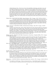with the Harmony Choir....She has one song for when daffodils are blooming, and winter is over, and everything's turning green, green, green, - and one for hot, hot summer nights when I'm too sticky to sleep. Then my mama sings me the same soft blues her mama taught her. Low and slow, the wavery tune smooths the warm sheets in my tiny room." A poetic text describes the loving relationship between a young African-American boy and his single-parent mother, and the special role that music plays in their lives. When the mother loses her job, she comes home too sad to sing, and in his need for reassurance the little boy imagines his own song to make his mother happy again. Sandra Speidel's warm, colorful paintings fill many of the two-page spreads. In some instances, this creates a difficulty in reading the words from a distance, but it will not detract from sharing this lyrically written picture book one on one. (Ages 4-7)

Pinkney, Brian. MAX FOUND TWO STICKS. Simon & Schuster, 1994. 32 pages. (0-671-78776-4) \$15.00 On a day when Max doesn't feel like talking to anyone, he sits brooding on the front steps of his apartment building until he notices two sticks on the ground. They make perfect drum sticks, and as people in Max's neighborhood pass by and say hello, Max responds by beating a rhythm with his sticks on something left behind by the previous passer-by. Primary and secondary colors brighten Pinkney's sweeping scratchboard illustrations which are filled with rhythmic motions. Honor Book, 1994 CCBC Coretta Scott King Award Discussion: Illustration. (Ages 3-7)

Pinkney, Gloria Jean. THE SUNDAY OUTING. Illustrated by Jerry Pinkney. Dial, 1994. 32 pages. (0-8037- 1198-0) \$14.99

A prequel to Back Home (Dial, 1992), Sunday Outing shows the days and steps leading up to Ernestine's visit to her relatives' rural southern home. Both stories, set in the early 20th century, provide a view of one middle-class African-American family's means of keeping in touch and passing down family traditions to their children. In Sunday Outing the Pinkneys depict Ernestine's close relationship with her Aunt Odessa through their mutual interest in trains and adventure. A wise elder, Aunt Odessa knows exactly how to encourage Ernestine's budding sense of independence and assure that the child will be able to make the long train trip back home by herself. (Ages 5-8)

Rattigan, Jama Kim. TRUMAN'S AUNT FARM. Illustrated by G. Brian Karas. Houghton Mifflin, 1994. 32 pages. (0-395-65661-3) \$13.95

Young Truman has learned from experience to approach his Aunt Fran's gifts with caution but what could possibly go wrong with an ant farm? Well, it's an *aunt* farm, for starters. And the aunts begin to arrive immediately to get down to business with their daily schedule of events: Tickle Practice, Headstands, Roller Skating, Hug Relay, Stories, Naps, Listening, and Tiptoeing. It's all too much for one small boy to handle, and Truman has to find a way to engage the help of other nieces and nephews. Delightfully playful illustrations show a great variety of dancing, singing, napping, cookie-baking, soccer-playing, and, of course, head-standing aunts, marching their way through the story. (Ages 4-8)

Reiser, Lynn. THE SURPRISE FAMILY. Greenwillow, 1994. 32 pages. (0-688-11672-8) \$13.93 The surprise begins with an egg which cracks open under the watchful eye of a little boy, immediately recognized as "mama" by the fluffy yellow chick who emerges. It continues with five duck eggs which "mama" generously places in the chicken's empty nest some months later. Each generation has a slightly different way of doing things but all live together happily, awaiting the next surprise. Lynn Reiser's excellent pacing is accomplished with a patterned text and an outstanding design and layout, illustrated by cheerfully colored watercolor and pen-and-ink paintings. (Ages 3-6)

Rochelle, Belinda. WHEN JO LOUIS WON THE TITLE. Illustrated by Larry Johnson. Houghton Mifflin, 1994. 32 pages. (0-395-66614-7) \$\$14.95

Jo Louis is so tired of people making fun of her name that she dreads her first day in a new school. But her grandpa manages to raise her spirits by telling her the story behind her name, a story that begins when he was a young man and had just arrived in Harlem on the day of the fighter Joe Louis's great victory. Artist Larry Johnson is so skillful with a paint brush that he manages to pull feeling and drama from the stance of a listening child, and he aptly characterizes the grandfather and granddaughter with expressions of great mutual affection and respect. (Ages 5-8)

Ryder, Joanne. A HOUSE BY THE SEA. Illustrated by Melissa Sweet. Morrow, 1994. 32 pages. (0-688-12676-6) \$14.93

"If I could live in a little house / I'd live in a house by the sea..." Joanne Ryder's gentle, rhyming text voices the dreams of a small boy and his sister who long for the every-day adventure and excitement a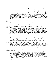seaside home would provide. Charming watercolor paintings of the two brown-skinned siblings deftly depict their wildly imaginative and playful vision of a perfect life. (Ages 3-5)

Sis, Peter. THE THREE GOLDEN KEYS. Doubleday, 1994. 56 pages. (0-385-47292-7) \$19.95 Peter Sis grew up in Prague, and this book represents his homage to the city of his childhood. His tribute involves three keys, three stories and three aspects of the famous Czech city. Memories entwine with history, legends, specific houses and streets, the ancient stone bridge and the famous astronomical clock, images of cats and the lure of three padlocks. With its subtle colors and complex images, The Three Golden Keys is one of the most elegant, intriguing books published during this decade. Jacqueline Kennedy Onassis participated in the editing of the elaborately produced 12 x 10 1/2" volume. The Three Golden Keys succeeds on multiple levels and surely invites repeated "readings" of several kinds. (Age 5 and older)

Spinelli, Eileen. IF YOU WANT TO FIND GOLDEN. Illustrated by Stacey Schuett. Albert Whitman, 1994. 32 pages. (0-8075-3585-0) \$14.95

Expertly composed acrylic and pastel paintings illustrate an imaginative color concept book in which a young boy and his mother look for objects of particular hues in the busy streets of their urban neighborhood. From the bright blue mail box to the steely gray pigeons, mother and son find every color of the rainbow because they know exactly where to look. (Ages 3-5)

Sun, Chyng Feng. MAMA BEAR. Illustrated by Lolly Robinson. Houghton Mifflin, 1994. 32 pages. (0-395- 63412-1) \$14.95

From the moment she first saw it in the toy shop window, Mei-Mei has desperately wanted the huge stuffed bear, even though she knows her mama doesn't earn enough money in her job at the neighborhood Chinese restaurant to buy such extravagant luxuries. Mei-Mei manages to earn some money of her own with occasional odd jobs around the restaurant but she still can't save enough to buy "the softest, warmest bear in the whole world." Luckily, Mei-Mei's mama is soft and warm and gives great bear hugs, and that is the most important thing of all. The warm, quiet tone of the refreshingly realistic story is echoed in the softly colored illustrations that accompany it. (Ages 4-8)

Sun, Chyng Feng. ON A WHITE PEBBLE HILL. Illustrated by Chihsien Chen. Houghton Mifflin, 1994. 32 pages. (0-395-68395-5) \$14.95

What a glorious adventure Mimi has at the dinner table where she climbs a tree (or broccoli stalk) on top of a white pebble hill (or bowl of rice) to see a far-off lake (or vegetable soup). The child's imagination goes wild during an otherwise routine dinner, and both the author and the illustrator have remarkably left plenty of room for interpretation on the part of individual readers. Come and get it! (Ages 4-8)

Weston, Martha. APPLE JUICE TEA. Clarion, 1994. 32 pages. (0-395-65480-7) \$14.95

Because her grandmother lives far away, Polly doesn't see her very often. When she does come to visit Polly and her mom and dad, she seems like a stranger and Polly is reluctant to include her in her life. But Gran is obviously an old pro with children and she knows just the right way to give Polly the time and space she needs to get acquainted. The muted tones of Martha Weston's pen-and-ink and watercolor illustrations perfectly carry her understated story about the challenges of being a family together and apart. (Ages 3-6)

Wild, Margaret. OUR GRANNY. Illustrated by Julie Vivas. U.S. edition: Ticknor & Fields, 1994. 32 pages. (0- 395-67023-3) \$13.95

"Some grannies...baby-sit / drive trucks / fix the plumbing / go to college / travel / write books / work in an office / play in a band / or make sick people better. Our granny marches in demonstrations." Two children describe their own Granny's home life, physical appearance and activities in comparison to those of many other grannies in a fresh book that combines the comfort of things familiar with the surprise of the unexpected. Margaret Wild's warm, witty text and Julie Vivas' soft, vibrant watercolors showing grannies of all shapes, sizes and colors engaged in various activities combine to form a book that celebrates difference and love. (Ages 2-4)

Wormell, Mary. HILDA HEN'S SEARCH. U.S. edition: Harcourt, Brace, 1994. 32 pages. (0-15-200069-0) \$13.95

All elements of design, from composition to typeface, work together to create an exquisite picture story of Hilda Hen's search for the perfect spot to build her nest. When there's no room for a nest in the chicken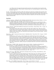coop, Hilda wanders throughout the barnyard but each time when she thinks she has found the right cozy spot (the hay mow, a bicycle basket, a laundry basket, etc), something happens to make her change her mind. (Ages 4-7)

See also: All About Alligators; The Bossy Gallito; The Christmas Tree Ship; Day of Delight; The Days Before Now; The Desert is My Mother; Eagle; Fun-No Fun; Goody O'Grumpity; Iktomi and the Buzzard; John Henry; Listen to the Desert; Meet Danitra Brown; Mole's Hill; My Painted House, My Friendly Chicken and Me; One Sun Rises; Our People; Sitti's Secrets; Smoky Night; Snow Leopard; They Followed a Bright Star; This Way Home; Tiger Soup; Tukama Tootles the Flute

### Easy Fiction

Calmenson, Stephanie. MARIGOLD AND GRANDMA ON THE TOWN. Illustrated by Mary Chalmers. An I Can Read Book / HarperCollins, 1994. 64 pages. (0-06-020813-9) \$14.00

A new hat, a windy trip to the park, lunch in a restaurant and silly pictures in a photobooth are the highlights of Marigold's special day with Grandma in this simple chapter book that captures a dynamic, loving grandmother/granddaughter relationship. Marigold and Grandma, who are rabbits, are convincingly personified in Calmenson's warm text and Chalmers' charming illustrations. (Ages 6-8)

DeGross, Monalisa. DONAVAN'S WORD JAR. Illustrated by Cheryl Hanna. HarperCollins, 1994. 71 pages. (0- 06-020191-6) \$13.89

Third grader Donavan Allen collects words like other kids collect trading cards. When his word jar becomes filled to the brim with the slips of paper on which the words he's collected and memorized are written, Donavan has a problem. What should he do with all of them? Donavan's search for the perfect solution is at the center of this story featuring his loving, supportive African-American family. A perfect read-aloud! (Ages 7-10)

Hesse, Karen. SABLE. Illustrated by Marcia Sewall. A Redfeather Book / Henry Holt, 1994. 81 pages. (0-8050- 2416-6) \$14.95

Tate has always wanted a dog, so when the skinny stray wanders into her yard one October, she's determined to keep it. She names the dog Sable because of her dark, silky coat. But when Sable proves to be too much to handle - always wandering off and returning with things that belong to the neighbors both Mam and Pap agree the dog has to go, and Sable is given away to a doctor in a another town. Tate's anger at losing her dog turns to single-mindedness - she'll do whatever it takes to prove to her parents how important it is for her to get Sable back. An unsentimental, satisfying animal story featuring strong prose and a compassionate, capable young girl as protagonist make this a noteworthy transitional reader. (Ages 8-11)

Picó, Fernando. THE RED COMB. Illustrated by María Antonia Ordóñez. Translation and adaptation by Argentina Palacios. U.S. edition: BridgeWater, 1994. 48 pages. (0-8167-3539-5) \$14.95

Because Pedro Calderón has received rewards for capturing runaway slaves, considered "lawbreakers," he is envied by other young men in his Puerto Rican village. "Black folks should help black folks, not hurt them," counsels Old Rosa Bultrón. Ultimately Rosa tricks Pedro and saves a runaway girl. Picó is a history professor in Puerto Rico. The Cuban-born artist, whose illustrations appear in full color in this 8 1/2 x 9 1/4" book, has lived in Puerto Rico since 1961. (Ages 7-11)

Russell, Ching Yeung. FIRST APPLE. Illustrated by Christopher Zhong-Yuan Zhang. Boyds Mills Press, 1994. 127 pages. ( 1-56397-206-9) \$13.95

An easy-to-follow story set in China during the late 1940s involves nine-year-old Ying, an active girl whose constant activities bring almost daily mishaps. Ying's determination to get an apple for her grandmother requires her to do boring chores, and she gets into one scrape after another. The idea that there are children as well as adults who have only read about but never tasted "sweet and crunchy" apples will intrigue many U.S. readers. The fast-paced plot includes cultural details that do not get in the way of the sparkling dialogue that may have a few too many American idioms; however, these will make the short "chapter book" even more appealing for U.S. readers, even as a "read-aloud." (Ages 6-9)

Stolz, Mary. COCO GRIMES. HarperCollins, 1994. 89 pages. (0-06-024233-7) \$13.89 Thomas, who has just turned eleven, is dying to go to Miami to meet Coco Grimes, a man who once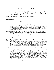played baseball in the Negro Leagues. But Grandfather's old pickup truck is too unreliable to make the trip across Florida. Thomas' disappointment turns to excitement when Grandfather is able to borrow a car, but his visit to Coco Grimes in Miami proves disconcerting when the former athlete talks with excitement and certainty about his days on the playing field one minute and is confused and yelling at Thomas the next. The fourth book featuring this African-American grandfather and grandson whose relationship continues to grow was preceded by other equally successful books to read aloud or for newly independent readers: *Storm in the Night* (1988), Go Fish (1991) and *Stealing Home* (1992), all published by HarperCollins. (Ages 7-10)

See also: Polar the Titanic Bear; The Sandman and the Turtles; Twelve Tales

### Fiction for Children

Avi. THE BARN. Orchard, 1994. 106 pages. (0-531-06861-7) \$13.95

- When his father becomes ill, nine-year-old Ben leaves boarding school in Portland, where he's been since his mother's death the previous year, and returns to his family's home in the Oregon Territory to help his older brother and sister take care of Father and run the farm. The "fit of palsy" Father suffered has left him as helpless as an infant, unable to feed himself, clean himself, or communicate in any way. Caring for Father, Ben desperately looks for signs of improvement - the smallest movement, the tiniest sound. Finally, he determines that if he, Nettie and Harrison construct - with no one's help - the barn that Father had wanted so badly to build, Father will have something to live for. It is Ben's trust that this barn - this gift - will make Father better that is at the heart of this bittersweet story of determination and faith as only a child knows them. (Ages 9-12)
- Bauer, Marion Dane. A QUESTION OF TRUST. Scholastic, 1994. 130 pages. (0-590-47915-6) \$13.95 Fourteen-year-old Brad is having a hard time accepting the fact that his mother is divorcing his father. Even though she seems much happier, he refuses to visit or talk to her, and he expects his eight-year-old brother, Charlie, to do the same. Throwing all of his energy and emotion into the care of a stray cat and her kittens who are living in their backyard shed, Brad is devastated when he and Charlie find one of the kittens dead, and he is certain the mother cat is at fault. Only when he is at risk of losing everything he will let himself care about does Brad finally reach out to *both* his parents, and in doing so realizes that beyond his hurt and anger, love has never gone away. (Ages 10-14)

Blos, Joan W. BROOKLYN DOESN'T RHYME. Illustrated by Paul Birling. Charles Scribner's Sons, 1994. 86 pages. (0-684-19694-8) \$12.95

Writing about her family for a school assignment, eleven-year-old Rosey Sachs, a first generation Jewish American born in 1895, begins to understand her teacher's statement that, in doing so, she will come to know herself. Rosey's stories about her family and friends become a means by which her own compassion for those around her is revealed. Each chapter of this appealing text is a separate story by Rosey that warmly depicts Jewish life around the turn of the century in Brooklyn. (Ages 8-10)

Collington, Peter. THE COMING OF THE SURFMAN. U.S. edition: Alfred A. Knopf, 1994. 32 pages. (0-679- 84721-9) \$16.00

The Surfman's arrival in a bleak urban neighborhood brings with it a transformation. Rival gangs, the Hammers and the Nails, lay down their weapons to ride the waves in the surfing tank the Surfman builds for them. The young narrator, who has always been caught between the gangs, begins to sense purpose in helping the Surfman repair the machine when it fails. But when the wave machine breaks down for an entire day and the narrator is unable to fix it - he was always too busy thinking about surfing to pay close attention to what the Surfman was telling him - the truce breaks down with it, and the destruction that follows results in the Surfman's departure. Thought-provoking without being didactic, Peter Collington's highly original picture book for older readers features full-page, full-color paintings heavy with emotional impact. The grim urban environment is traced in hard edges and shaded in grays and blacks, while the respite from this oppression brought on by the Surfman's activities is realized in the use of neon-bright colors. (Ages 8-12)

Creech, Sharon. WALK TWO MOONS. HarperCollins, 1994. 280 pages. (0-06-023337-0) \$15.89 Singular, vividly realized characters are at the heart of this moving, funny and astonishing novel. On a cross-country trip to Idaho to visit her mother, thirteen-year-old Sal fascinates and delights her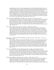grandparents with the story of mystery surrounding her best friend Phoebe Winterbottom, or Peeby as Gram and Gramps refer to her. But in telling Phoebe's story, Sal is also telling her grandparent's her own - how she is dealing with the changes in her life since her mother left their Kentucky home and she and her father moved to Ohio. The narrative moves back and forth between Sal on the road with her grandparents and Sal's story of Phoebe, but throughout, she privately reflects on her own memories of life back in Kentucky before her mother went away, when things seemed calm and whole. The journey west with her grandparents, who are colorful, quirky characters with boundless love, is healing for Sal as she comes to understand and accept why her mother went away. An added bonus for Wisconsin readers are the stops Sal and her grandparents make in downtown Madison and the Wisconsin Dells as they journey west. Winner, 1994 CCBC Newbery Award Discussion. (Ages 10-14)

- DeFelice, Cynthia. LOSTMAN'S RIVER. Macmillan, 1994. 160 pages. (0-02-726466-1) \$13.95 Tyler's family moved to Florida to escape their past, but the past catches up with them in an unpredictable way when someone who appears to be a naturalist engages 13-year-old Tyler to draw certain plume birds for him and then is murdered. Tyler becomes involved in protecting what would now be called part of the Everglades ecosystem. The setting is Lostman's River in the Ten Thousand Islands region of Florida, the year is 1906, and the action is plentiful in this fast-paced first-person novel with a surprisingly contemporary theme. The author used the resources of the Seminole Museum in writing her book. (Ages 10-13)
- Dorris, Michael. GUESTS. Hyperion, 1994. 119 pages. (0-7868-2036-5) \$13.89

A novel offering young readers the opportunity to consider the life and perspective of an American Indian child at the time of the first European settlement in North America features Moss, a young boy who is unhappy that his father has asked outsiders to share his village's harvest meal. "Someday, you'll understand," his father tells him, but to Moss that answer is only another way in which he is treated as a child. Impatient to grow up and unhappy at the change in tradition, Moss ventures alone into the forest, thinking he will have his "away-time," the time when a boy seeks out solitude in the hopes of returning with his adult identity and new understanding. But in the forest Moss finds Trouble, a girl from his village whose desire to go against tradition makes her as restless and unhappy in her own way as he is in his. (Ages 9-11)

Farmer, Nancy. THE EAR, THE EYE AND THE ARM. A Richard Jackson Book / Orchard, 1994. 311 pages. (0- 531-08679-3) \$18.95

When the three children of General Amadeus Matsika connive their way out of their high-security home, they are looking for change and excitement. They find it, but the ordeal of being kidnapped provides more than they had expected. Moving from an ancient toxic waste dump, to Resthaven, where people attempt to live in the ways of long ago, to the hideout of a powerful street gang in the Mile-High MacIlwaine Hotel, the children are always one step ahead of the trio of mutant detectives--the Ear, the Eye, and the Arm--who are following their trail in the hopes of rescuing them. Set in Zimbabwe in the year 2194, this complex, action-filled adventure of the future combines elements of science fiction with Shona mythology and a running sense of humor. Honor Book, 1994 CCBC Newbery Award Discussion. (Ages 10-14)

Fine, Anne. FLOUR BABIES. U.S. edition: Little, Brown, 1994. 178 pages. (0-316-28319-3) \$14.95 The constituents of Room 8 were always Sads or Bads--the regular Lads and Brains were placed elsewhere. So it's not too surprising when Room 8 pursues a Flour Baby project for the Science Fair under the mistaken expectation that it will culminate in a glorious flour explosion. Carting around a six pound sack of flour for three weeks, let alone keeping it dry, clean and constantly tended, is not their idea of fun. The premise is ripe for comedy which the author delivers, but these students, despite their teacher's and their own low expectations, discover a great deal about caring, responsibility and themselves during the course of the project. (Ages 11-14)

Hickman, Janet. JERICHO. Greenwillow, 1994. 135 pages. (0-688-13398-3) \$14.00

Stuck at her grandmother's in boring Gatesville is not the way twelve-year-old Angela was counting on spending her summer, but she and her mother must stay to help Grandma take care of GrandMin, Angela's great-grandmother. Struggling with loneliness, first love, and the difficulty of watching someone she loves dying, Angela wishes she could be any place else but the tiny town that was once known as Jericho. In an effective weaving of stories, Angela's emotional turbulence over the course of the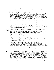summer is used as a launching point to tell the story of GrandMin's life, which is locked in the elderly woman's memory so that the reader is able to discover what Angela will never know. (Ages 11-14)

Koertge, Ron. TIGER, TIGER, BURNING BRIGHT. A Melanie Kroupa Book / Orchard, 1994. 179 pages. (0-531- 06840-4) \$15.95

The dusty beauty of the desert landscape features prominently in this adventurous novel about growing up and growing old. Jesse's grandfather, Pappy, swears he's seen tiger tracks in the California desert near their home. If his mother finds out, Jesse is sure she'll have Pappy put in a nursing home. Pappy's forgetfulness, like when he fell asleep while cooking, already has her worried. She thinks it's too dangerous for Pappy to be on his own anymore, while Jesse thinks it would kill Pappy to send him away. Determined to prove that Pappy is fine, Jesse sets out on a course that almost ends in disaster before both he and his mother are able to see the other side of truth. (Ages 10-13)

McEwan, Ian. THE DAYDREAMER. Illustrated by Anthony Browne. HarperCollins, 1994. 192 pages. (0-06- 024426-7) \$14.00

Ten-year-old Peter Fortune has a knack for winding up in the most unlikely of situations: terrorized and held at bay by a doll in his sister's collection, climbing inside the skin of William, the family cat, or disappearing altogether with the help of vanishing cream, just to name a few. Peter's vivid imagination is at the bottom of it all in this unusual novel that invites readers to suspend disbelief and explore the wonder of it all. Anthony Browne's full-page black-and-white drawings provide an intriguing balance to the highly colorful workings of Peter's mind while capturing the mood - foreboding, warm, frightening of each of Peter's adventures. (Ages 10-12)

Maguire, Gregory. MISSING SISTERS. Margaret K. McElderry Books, 1994. 152 pages. (0-689-50590-6) \$14.95

Out of necessity, feisty Alice Colossus has learned to make her own way. This twelve-year-old has a hearing disability that affects her spoken communication and, as the novel begins, she lives in an orphanage operated by a unique array of Catholic nuns. As Alice attempts to find out about her birth family, readers become caught up in the drama surrounding her search. Thoughtful readers will also begin to notice Maguire's accumulating array of images related to doubles, mirror images, opposites, twins and - sisters. Dualities abound: each nun and girl has two names, the city of Troy is half-dissolved in mist, a bus passenger becomes a savior as well as a persecutor, Alice lands the part of Eliza Doolittle and shares the two-pronged role with another girl. Maguire is on-target with several touchy matters, such as the characterization of a white couple of good will who adopted an African-American child during the 1960s. His playful sense of description and beautifully phrased prose complement a satisfying story with memorable characters. (Ages 9-12)

- Maguire, Gregory. SEVEN SPIDERS SPINNING. Clarion, 1994. 132 pages. (0-395-68965-1) \$13.95 A hyperactive, off-the-wall novel for young readers involving the escape of seven rare Siberian snow spiders *en route* to a laboratory at Harvard University. The spiders end up building webs on the outskirts of Hamlet, Vermont, where the school year has just begun. In the class of the almost-too-good-to-be-true teacher Miss Earth, the Tattletales and the Copycats, rival clubs of girls (Tattletales) and boys (Copycats), are already planning for the next round of their ongoing battle of the sexes. Horror! Unbeknownst to the Copycats, the Tattletales, Miss Earth, or the rest of Hamlet's citizenry, the seven spiders are making their way one by one to Miss Earth's classroom. Has it been mentioned that the bite of a Siberian snow spider is deadly? (Ages 8-11)
- Morpurgo, Michael. THE SANDMAN AND THE TURTLES. Philomel, 1994. 79 pages. (0-399-22672-9) \$14.95 A lovely fantasy adventure set on the coast of Wales, where each year Michael spends his summer vacations with his cousin and best friend, Barry. But this year Barry has a broken leg, so Michael finds himself spending his mornings on the beach with Barry's seven-year-old sister, Polly. When Polly demands that they build a giant out of sand, Michael complies. When Polly insists they save the giant from the incoming tide, Michael balks, but then finds himself busily scooping out a channel in the sand in order to protect their creation. Then the Sandman, as Polly calls him, begins to stretch and come alive, and Michael can barely believe his eyes. But to Polly, it's perfectly natural - of course the Sandman and all the other characters who feature in Gramps' wonderful stories are real! A warm, lively family is at the center of this charming, funny story in which the boundaries between real and imagined are delightfully blurred. (Ages 8-10)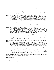- Nelson, Theresa. EARTHSHINE. A Richard Jackson Book / Orchard, 1994. 182 pages. (0-531-06867-6) \$15.95 Slim's dad has AIDS, and the twelve-year-old is hoping for a miracle. As unlikely as it seems, she gets one - in a way - a miracle of love, courage, strength and understanding. As Slim struggles with the fact that her father's condition is worsening, the adults around her have the wisdom to let her be herself, to feel and not feel, to rage and be silent, all in her own time. Surprisingly, there are light moments. A deeply moving, unsentimental novel seamlessly weaves life, death and a bus trip to Oz into a tapestry of human experience. (Ages 11-14)
- Paterson, Katherine. FLIP-FLOP GIRL. Lodestar, 1994. 120 pages. (0-525-67480-2) \$13.99 After her daddy dies, Vinnie, her little brother, Mason, and Momma must move from Washington to Virginia to live with Grandma. To make matters worse, Mason won't talk to anyone - he hasn't since Daddy died - and Vinnie thinks that everyone is so concerned about him that no one cares about her. Then Vinnie meets Mr. Clayton, her new fourth grade teacher; the attention he gives Vinnie and her capacity to imagine become her greatest source of pleasure. Sometimes Mr. Clayton also pays a lot of attention to another girl in her class - Lupe - but Vinnie is certain that she herself is the one he finds special. As a result, when Mr. Clayton announces he is getting married, her feelings of betrayal and jealousy are so strong that she lashes out in an act of anger which powerfully satisfies her rage, but then terrifies her into letting Lupe being blamed as the perpetrator. Firmly grounded in Vinnie's point of view, Paterson's storytelling magnificently renders the emotional landscape of childhood. (Ages 10-12)
- Reaver, Chap. BILL. Delacorte Press, 1994. 216 pages. (0-385-31175-3) \$14.95 Thirteen-old-Jess, her dog Bill, and her father live in rural Kentucky, where he scrabbles out their livelihood by making moonshine. Through the agent attempting to put her father out of business, so to speak, Jess glimpses the promise of a new life for herself. To whom and what will she be true? The late author's skill is evident; he created believable characters about whom readers care, weaving both humor and action into a first-person narrative set in prohibition years. (Ages 10-13)
- Stewart, Elisabeth J. ON THE LONG TRAIL HOME. Clarion, 1994. 106 pages. (0-395-68361-0) \$13.95 Basing a short adventure novel upon her own great-grandmother's escape from the historic and tragic Trail of Tears endured by the Cherokee people, Stewart succeeds in creating characters whose motivations and actions seem credible for their circumstances and time. Meli is the protagonist determined to return home in this 11-chapter survival story set in various parts of Oklahoma, Missouri, Illinois, Tennessee and North Carolina. (Ages 10-13)

Woodson, Jacqueline. I HADN'T MEANT TO TELL YOU THIS. Delacorte, 1994. 115 pages. (0-385-32031-0) \$14.95

"Sometimes Lena walked like somebody broken. When I found myself behind her in the crowded hallway, I wanted to punch her back straight, to yank her head up, to focus her eyes away from the floor. Other times she moved through the hallway like a steel wall, impenetrable and upright. Then I was a little bit afraid that she would turn around, see me behind her, and explode." In Chauncey, where issues of race and class mean everything, twelve-year-olds Marie and Lena seem an unlikely match in friendship. Marie, who is middle class and black, is at first irritated but eventually intrigued by the efforts of Lena, a new girl at her school who is poor and white, to be friends with her. The friendship that develops between them helps Marie deal with the hurt and confusion she feels over her mother's desertion, and gives Lena respite from life with an abusive father. Together, the two girls create a haven - for Lena, it is a place of safety and comfort, for Marie a place to build strength and find courage. For them both, it is also, quite simply, a place to be children a few moments longer. Honor Book, 1994 CCBC Coretta Scott King Award Discussion: Writing. (Ages 11-14)

See also: The Captive; Coco Grimes; Donavan's Word Jar; The Ghost Fox; John Henry; Last Leaf First Snowflake to Fall; Platero and I; Running for Our Lives; Sable; War Game

### Fiction for Teenagers

Brooks, Martha. TRAVELING ON INTO THE LIGHT AND OTHER STORIES. U.S. edition: A Melanie Kroupa Book / Orchard, 1994. 146 pages. 0-531-06863-3) \$14.95

Eleven short stories highlight teenagers moving into adulthood, a transition which is depicted by this Canadian author as seldom smooth, and often traumatic. Rather than the common cliches of first love,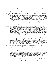friends, and school angst, these young men and women deal with issues ranging from caring for their own children to irrevocable parental rejection. The author's empathetic and elegant prose creates characters which ring true, and their often harsh lives are not without humor and beauty. The last three stories pick up where the novel TWO MOONS IN AUGUST (Joy Street Books, 1991) left off, following Sidonie and Bobbi Fallows into adulthood. (Age 14 and older)

Casey, Maude. OVER THE WATER. U.S. edition: An Edge Book / Henry Holt, 1994. 246 pages. (0-8050-3276-2) \$15.95

"We live in England, but. We live in England but all year long we are preparing for the journey home." Mary has lived in England for all of her life, but it is Ireland that is still considered "home" to her family, especially her mother, who "is so afraid of scornful glances at her Irish voice (in England) that she opens her mouth to no one." In Ireland with her family during the summer of her 14th year, Mary is at a loss for what it means to be "home" - to be grounded in a sense of self and connected to a place. Her relationship with her mother creates even greater isolation, for it seems she is judged harshly by her mother on everything she says and does. But with the help of her mother's youngest sister, Aunt Nuala, Mary slowly begins to understand and accept the beauty, the sadness and the strength of her Irish identity - an identity she carries with her wherever she goes. Casey's exquisitely written, powerfully moving narrative depicts a young woman's seeringly painful and joyous journey of discovery and selfacceptance. (Age 14 and older)

- Cushman, Karen. CATHERINE, CALLED BIRDY. Clarion, 1994. 169 pages. (0-395-68186-3) \$13.95 12th day of September (1290): "I am commanded to write an account of my days: I am bit by fleas and plagued by family. That is all there is to say." Fourteen-year-old Catherine has struck a deal: she can forego spinning, a task she loathes, if she agrees to keep a diary of her daily life. Catherine's chronicle of her life as lady-of-the-manor-in-training (a position she has no desire to fulfill) is witty, acerbic and altogether delightful. Over the course of a year, Catherine writes about events ranging from the number of fleas she's had to pick off herself (29 one day) to arrangements being made for her pending marriage to the man she calls "Shaggy Beard" - a marriage Catherine - independent of mind and spirit - does not wish to make. A fascinating and entertaining novel rich with detail of life in the middle ages. (Age 12 and older)
- Howarth, Lesley. MAPHEAD. Candlewick Press, 1994. 154 pages. (1-56402-416-4) \$14.95 Maphead has problems. He wants to meet his mother for the first time, which is problem enough, but he also has to deal with being an alien from the Subtle World who's trying to act like a run-of-the-mill human boy. Some things get easier with practice, like natural sounding speech patterns and hanging out with friends, but others remain a mystery, like just how to tell his human mother who he is, and how to convince his alien father that he'd like to keep up this existence for a while, rather than traveling on to commune with plants as usual. Wholly original characters and a science fiction plot firmly grounded in contemporary England make this quick-moving novel outstanding in its genre. (Ages 10-14)
- Lee, Marie G. SAYING GOODBYE. Houghton Mifflin, 1994. 219 pages. (0-395-67066-7) \$14.95 Cambridge, Massachusetts, is a long way from Arkin, Minnesota. Starting her freshman year at Harvard College, Ellen Sung quickly realizes that the distance from college to her home town is measured in more than miles. In Arkin, where her family was more concerned with fitting into their Midwest surroundings than emphasizing their cultural identity, she was labeled "Oriental" by members of the community. But at Harvard, she is looked upon as "Korean-American," and with this comes wonderful discoveries about her cultural heritage, but also pressures and expectations she could never have imagined. When tensions build between members of an African-American and Korean-American student group on campus, Ellen feels torn between loyalty to her closest friend - her African-American roommate, Leecia - and loyalty to her fellow Korean-American students, and must struggle with difficult decisions to come to her own point of truth. A courageous novel exploring racism, identity and friendship continues Ellen's story, which began in *Finding My Voice* (1992) and continued in If It Hadn't Been for Yoon Jun (1993), both published by Houghton. (Age 14 and older)

Marsden, John. LETTERS FROM THE INSIDE. U.S. edition: Houghton Mifflin, 1994. 146 pages. (0-395-68985- 6) \$13.95

When Mandy and Tracey first begin exchanging letters as pen pals, everything seems straightforward as they write about school, home, their love lives. As the letters grow more personal, a real friendship begins to take hold. At the same time, Mandy begins to suspect that Tracey is not always being honest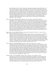about the details of her life. When her suspicion is confirmed, she presses Tracey to tell the truth - and the truth is that Tracey is in prison. Tracey expects this will scare Mandy off, but Mandy continues to write - about her daily life and about the problems in her own life - most of which center on her violent older brother, while Tracey slowly reveals more and more about her own life in prison. While she won't tell Mandy the crime she committed, the tough, hard-edged girl Tracey describes herself as being is not the person Mandy recognizes as the real Tracey - the Tracey who reveals herself in her writing. With Mandy's support and encouragement, Tracey begins to drop the tough facade and dares to imagine a life beyond the walls of prison when she turns 21. Told entirely through the correspondence, this intense novel moves skillfully from the mind of one young woman to the other, and its masterful pacing establishes and then heightens the anxiety as it draws toward a conclusion that is devastating in its implications. (Age 15 and older)

Myers, Walter Dean. THE GLORY FIELD. Scholastic, 1994. 375 pages. (0-590-45897-3) \$14.95 An ambitious novel tracing the history of an African-American family from its first member to come to this country in 1753 - in the bonds of slavery - up to the present time. The fictitious Lewis family's story begins with a short chapter telling of the capture of eleven-year-old Muhammad Bilal in Sierra Leone, Africa. Each subsequent section of the book moves the story forward in time and follows the family's journey from place to place - from the Civil War and then the turn of the 20th century on Curry Island off the coast of South Carolina, to Chicago in 1930, to Johnson City, South Carolina in 1964, and finally to Harlem in 1994. As the story moves forward in time, it is enriched with greater and greater detail about the daily life of that generation of family members and the social and political climate in which they lived. At the same time that he creates a compelling history of an extended African-American family, Myers paints an unflinching portrait of life for African-Americans in the United States at various times and places throughout this nation's history. Honor Book, 1994 CCBC Coretta Scott King Award Discussion: Writing. (Ages 11-14)

Reuter, Bjarne. THE BOYS FROM ST. PETRI. Translated from the Danish by Anthea Bell. U.S. edition: Dutton, 1994. 215 pages. (0-525-45121-8) \$14.99

At first a small group of young men only think of pranks to achieve secretly, and these are accomplished undetected. Their strenuous initiations continue without anyone else discovering what is literally happening on top of their heads, above the church sanctuary. The group becomes bold, planning actions of greater consequence, dangerous actions. But are they still a group or club, or are they now a gang? When, if ever, is such activity justified? The nation is Denmark, the time is World War II, and the Nazis occupy the village. Gunnar and Lars are brothers, their father is a pastor, and the family boarder might be Jewish. All in the group have various motives. The novel is suspenseful, full of action and even a dash of first love. Although the outcome is unrealistic, breathless readers probably won't mind a happier ending than actual historical events would have provided. (Ages 12-15)

Schur, Maxine Rose. THE CIRCLEMAKER. Dial, 1994. 182 pages. (0-8037-1354-1) \$14.99 "Nothing is really unconnected. Nothing exists alone." This is what twelve-year-old Mendel concludes after his father teaches him about the power of circlemaking in their Jewish culture and religion: "only the closed circle can keep us whole." Mendel's understanding of what this means is severely tested after he must flee his village, leaving behind his parents and everyone and everything that is familiar to him, to avoid conscription into the czar's army. Making the dangerous journey across the Green Border, the forest that separates Russia from the Austrian Empire, Mendel is thrown together with Dovid, an older boy from his village who has always cruelly bullied him, and this pairing and the events they encounter help Mendel learn that closing the circle is not just about connectedness, it is about remaining true to one's self. An author's note provides historical information on the setting of this novel, which takes place in the Ukraine in 1852, during a time when Jewish boys from ages 12-18 were seized for 25 years of service in the army of Czar Nicholas I. (Ages 11-15)

Sebestyen, Ouida. OUT OF NOWHERE. Orchard, 1994. 183 pages. (0-531-06839-0) \$15.95 When Harley's mother and her latest boyfriend abandon him on a highway in the Arizona desert, he's determined to make it on his own; at thirteen, he's been through this before. Still, when middle-aged May offers Harley a ride, he can't help but be a little hopeful. May is on her way home - a home she hasn't been to in more than thirty years, about to start her life over after a divorce. Harley is sure she could use some help - sure he can convince her she does if he tries. May reluctantly agrees, and from this hesitant beginning grows a union that embraces the meaning of family. (Ages 12-15)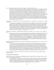- Soto, Gary. JESSE. Harcourt, Brace, 1994. 166 pages. (0-15-240239-X) \$14.95
	- "By the time I was seventeen, in junior college, and living on fruit snatched from neighborhood trees and Top Ramen, I no longer thought God was the creaks rising from the wood floor. I knew God was found in prayer, not in the sudden closing of the hallway door just as you stepped from the bathroom." A provocative opening to a provocative novel about a young Mexican-American man coming face to face with adulthood, and the havoc it plays on his dreams. Jesse has left high school early, eager to start junior college and get an education. An aspiring artist, he lives with his older brother, Abel, and the two attend classes each weekday and then work as field laborers on the weekend to earn money for food. But Jesse sometimes wonders if he hasn't entered the adult world too quickly. His life at home with his mother and stepfather wasn't easy, but being out on his own means a struggling survival and decisions that can bring their own kind of difficulty and pain. The political struggles of César Chávez and migrant laborers figure prominently in this novel set in the early 1970's, while the Vietnam war rages quietly in the background. (Age 15 and older)

Temple, Frances. THE RAMSAY SCALLOP. A Richard Jackson Book / Orchard, 1994. 310 pages. (0-531-06836- 6) \$17.95

A riveting adventure spanning across much of Europe in the middle ages follows the journey of fourteenyear-old Elenor and Lord Thomas, the man to whom she is betrothed, who have been sent on a religious pilgrimage from England to Spain by the priest in their village of Ramsay. Father Gregory hopes that their travel to the holy place of Santiago will bring atonement for the sins of the Ramsay villagers. He also hopes that Elenor, who is frightened of marriage, and Thomas, whose experience on The Crusade has left him disillusioned and weary, will find love along with companionship. With strong characterizations and attention to historical details, Temple's chronicle of Thomas' and Elenor's travels on the Pilgrim Way paints a vivid picture of this aspect of medieval life. (Ages 11-15)

Watkins, Yoko Kawashima. MY BROTHER, MY SISTER AND I. Bradbury, 1994. 275 pages. (0-02-792526-9) \$16.95

Continuing the story begun in *So Far From the Bamboo Grove* (Lothrop, Lee & Shepard, 1986), Yoko, now thirteen, her sister Ko, seventeen, and brother Hideyo are living in poverty in Kyoto, Japan, in the years immediately following World War II. For them, a cup of rice is precious, and a handful of vegetable greens and fruit peelings are a treat on the day Hideyo turns 21. They are also still hoping to find their father, who has been missing since the war. Their struggles are complicated after a fire destroys the warehouse in which they'd been living and seriously injures Ko. Drawing strength from one another, they never lose hope or grow bitter, and hard work and acts of kindness which they bestow upon others comes full circle in their lives. (Age 12 and older)

Wright, Richard. RITE OF PASSAGE. Afterword by Arnold Rampersad. HarperCollins, 1994. 151 pages. (0-06- 023420-2) \$12.89

The story of fifteen-year-old Johnny Gibbs was written in the 1940s but published for the first time in 1994. A good student with a loving family, Johnny comes home from school one day and his world is torn apart: he is told he is being sent away. Unknown to Johnny, his parents were really his foster parents, and welfare authorities have determined that Johnny must move to another family placement. Frightened and dazed, Johnny bolts into the streets of New York, entering a nighttime world of loneliness and fear wholly foreign to him. Over one night, Johnny careens on a whirlwind course of events that are survival-driven, forced to make split-second decisions that will forever change his life. Set in the 1940s, the themes of this tale of racism and urban violence are chillingly timely still. (Age 14 and older)

See also: Am I Blue?; American Eyes; The Call of the Wild; The Ear, the Eye and the Arm; Earthshine; Jericho; Walk Two Moons

### New Editions of Classic Literature

Adoff, Arnold, editor. MY BLACK ME; A BEGINNING BOOK OF BLACK POETRY. Revised edition: Dutton, 1994. 83 pages. (0-525-45216-8) \$14.99

The compiler's new introduction to the 20th anniversary edition of his important fifty-poem anthology encourages youth to "use these poems for power and love" and to "Stay strong for yourself. Strong for the people." He suggests that the poems are "for all sisters and brothers. Of every race. Every open face." The 26 poets represented include Imamu Amiri Baraka, Sam Cornish, Lucille Clifton, Julia Fields, Nikki Giovanni, Langston Hughes, Ray Patterson and Sonia Sanchez. (Age 11 and older)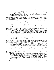Andersen, Hans Christian. TWELVE TALES. Selected, translated and illustrated by Erik Blegvad. U.S. edition: Margaret K. McElderry Books, 1994. 92 pages. (0-689-50584-1) \$18.95

This elegant edition of Andersen tales translated by Blegvad, whose first language is Danish, should itself become a classic. The handsomely designed volume is enhanced by Blegvad's more than five dozen illustrations rendered with ink line and watercolor; one or more are wonderfully reproduced in full color on each double page spread. Blegvad's introduction expresses pride in Andersen's triumphs over personal adversity and the literary acclaim achieved by his fairy tales that "speak with great clarity of universal truths and human qualities." (Ages 5-9)

Douglass, Frederick. ESCAPE FROM SLAVERY; THE BOYHOOD OF FREDERICK DOUGLASS IN HIS OWN WORDS. Edited and illustrated by Michael McCurdy. Foreword by Coretta Scott King. Alfred A. Knopf, 1994. 63 pages. (0-679-84652-2) \$15.00

This handsomely designed edition is a shortened version of Narrative of the Life of Frederick Douglass, An American Slave, Written by Himself. Initially published in Boston by the Anti-Slavery Office in 1845, it was the first of Frederick Douglass's three autobiographies. In this edition, the action and events of the longer work are emphasized for young readers. Although the editor reports separating some of Douglass's paragraphs and chapters for clarity in modern times, he says the author's own words, spelling and distinctive punctuation were retained. A helpful introduction provides the context for each section. Eleven black-and-white drawings by McCurdy are interspersed among Douglass's inspiring passages. (Ages 11-16)

Hughes, Langston. THE DREAM KEEPER AND OTHER POEMS. Illustrated by Brian Pinkney. Introduction by Lee Bennett Hopkins. Alfred A. Knopf, 1994. 83 pages. (0-679-84421-X) \$12.00

This handsome volume features Brian Pinkney's dignified scratchboard artwork accompanying Hughes' 66 poems for youth, 59 of which appeared in an earlier edition. The splendid layout and design, choice of paper and judicious use of two colors for the text add elegance to this tribute to an important poet who wrote both in dialect and in standard English. (Age 11 and older)

Hughes, Shirley. THE NURSERY COLLECTION. U.S. edition: Lothrop, Lee & Shepard, 1994. 52 pages. (0-688- 13583-5) \$17.00

Five of Shirley Hughes' miniature-sized easy concept books (Bathwater's Hot, When We Went to the Park, Colors, All Shapes and Sizes, and Noisy) are compiled into a single volume measuring 10 1/2 and 8 3/4." A welcome reissue. (Ages 2-4)

Jiménez, Juan Ramón. PLATERO Y YO = PLATERO AND I. Selected, translated and adapted from the Spanish by Myra Cohn Livingston and Joseph F. Domínguez. Illustrations by Antonio Frasconi. Text ®1957. Translation and illustrations 81994. Clarion, 1994. 47 pages. (0-395-62365-0) \$14.95

Designed to introduce today's youth to the winner of the 1956 Nobel Prize for Literature and to introduce a classic known to most children in the Spanish-speaking world, this intriguing volume captures the essence of a place and time: Moguer, an Andalusian village in the South of Spain, in 1914. Readers are invited to consider the universals within a man's specific musings as he travels by donkey, enjoying the festivals and people of the countryside and yet understanding their poverty and loss. Nineteen one-page passages from Jiménez' longer work of 138 chapters appear in side-by-side Spanish and English translations. The excerpts are illustrated with superb full-color images created in woodcuts and mixed media by Uruguayan-born Antonio Frasconi. (Ages 9-12)

Johnson, James Weldon. THE CREATION. Illustrated by James E. Ransome. Holiday House, 1994. 32 pages. (0- 8234-1069-2) \$15.95

Ransome's paintings accompanying Johnson's poem alternate between two types of images, one being a contemporary male storyteller under a large shade tree with five African-American children. The other images show some of the landscapes and creatures named in this poem about the beginning of the universe according to a story in Genesis. Excerpted from Johnson's poetic sermon, God's Trombones, this full-color picture book can be an inspiration as well as an introduction to the works of an achiever of the past century. (Ages 4-9)

London, Jack. THE CALL OF THE WILD. Illustrated by Barry Moser. Introduction by Gary Paulsen. Macmillan, 1994. 127 pages. (0-02-759455-6) \$19.95

In an introduction as stark and spare as London's fictional terrain, Paulsen provides comments about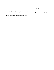Klondike gold rush times and what he calls London's "classic man-dog story and grand adventure epic." Those remarks are juxtaposed with Paulsen's observations concerning tourism and permanent alterations to that vast landscape: "It is all gone, all changed, all tamed and pacified and cleaned and boiled and sanitized..." All the more reason, he writes, "...to open these pages and let Jack London take you back." The sixteen black-and-white drawings by Moser that appear throughout the elegantly designed and produced volume were rendered in ink, watercolors, and graphite with brush, pen and pencil. (Age 11 and older)

See also: They Followed a Bright Star; section on Folklore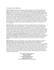### The Compilers of CCBC CHOICES 1994

Kathleen T. Horning is a librarian and coordinator of Special Collections at the Cooperative Children's Book Center of the School of Education at the University of Wisconsin-Madison. She is also a children's librarian at Madison Public Library. She was the editor of ALTERNATIVE PRESS PUBLISHERS OF CHILDREN'S BOOKS: A DIRECTORY (3rd ed., 1989) and the co-author with Ginny Moore Kruse of MULTICULTURAL LITERATURE FOR CHILDREN AND YOUNG ADULTS (3rd ed., DPI, 1991). She was a contributor to THE MULTICOLORED MIRROR: CULTURAL SUBSTANCE IN LITERATURE FOR CHILDREN AND YOUNG ADULTS (Highsmith, 1991). She developed a column on Small Press Children's Books for BOOKLIST and collaborated on one about Issues in Public Library Services for Children published in WILSON LIBRARY BULLETIN. She chaired ALA/ALSC's 1995 John Newbery Medal Committee and has served on ALA/ALSC's Notable Children's Books Committee and an earlier Newbery Medal Committee. She chaired USBBY's Hans Christian Andersen Award Committee which selected U.S. nominees for the international award in 1992. She served on the ALA/SRRT Coretta Scott King Award Committee and chaired ALA/ALSC's first Committee on Social Issues in Relationship to Materials and Services for Children. Katy frequently lectures to librarians on issues in evaluating literature for children and young adults. She has a B.A. in Linguistics and a Master's Degree in Library and Information Studies, both from the University of Wisconsin-Madison.

Ginny Moore Kruse is a librarian and director of the Cooperative Children's Book Center of the School of Education at the University of Wisconsin-Madison. She is a former classroom teacher, school librarian, public librarian and college teacher of children's literature. As part of the CCBC's outreach services, she frequently lectures at the CCBC and elsewhere and teaches continuing education courses on contemporary children's literature themes and topics, and intellectual freedom and books for youth. Ginny is active on state and national intellectual freedom committees and is the founder of the award-winning CCBC Intellectual Freedom Information Services. She has chaired or served on national children's literature award and distinction committees including the John Newbery, Randolph Caldecott, Mildred L. Batchelder, May Hill Arbuthnot, Laura Ingalls Wilder, Coretta Scott King, Boston Globe-Horn Book, Jane Addams, and Teachers' Choices committees. She chaired the Editorial Advisory Board of the ALA journal BOOK LINKS during its first four years and just completed a term on the Advisory Board of CHILDREN'S LITERATURE IN EDUCATION. She is co-author with Kathleen T. Horning of MULTICULTURAL LITERATURE FOR CHILDREN AND YOUNG ADULTS (3rd edition, DPI, 1991) and contributor to THE MULTICOLORED MIRROR; CULTURAL SUBSTANCE IN LITERATURE FOR CHILDREN AND YOUNG ADULTS (Highsmith, 1991). She originated CCBC CHOICES with Susan C. Griffith in 1980. She has a B.S. Degree in Education from UW-Oshkosh and a Master's Degree in Library Science from the University of Wisconsin-Madison.

Megan Schliesman is a librarian and administrator at the Cooperative Children's Book Center of the School of Education at the University of Wisconsin-Madison. Megan compiled and edited CHILDREN'S BOOKS BY WISCONSIN AUTHORS AND ILLUSTRATORS AND CHILDREN'S BOOKS ABOUT WISCONSIN; AN IDENTIFICATION RECORD OF TITLES PUBLISHED IN 1993 (1994) and is currently working on the 1995 edition of this unique documentation record. She produced the CCBC 30th Anniversary commemorative program booklet and a bibliography of Virginia Hamilton's works in 1993. With Ginny and Katy, she co-teaches Educational Telecommunications Network (ETN) continuing education courses for librarians and teachers across the state, and she is an active member of the American Library Association. Megan oversees daily information requests received at the CCBC public service desk and manages the CCBC's book examination collection, as well as planning and supervising the transfer of CCBC cataloging on OCLC. Megan has worked as a writer and editor on several publications in the Madison area, and continues this work in various capacities outside the CCBC. Megan has a B.A. degree in English from UW-Whitewater and a Master's Degree in Library and Information Studies from the University of Wisconsin-Madison.

> The Cooperative Children's Book Center 4290 Helen C. White Hall School of Education University of Wisconsin-Madison 600 North Park Street Madison, Wisconsin 53706 608-263-3720 (phone) 608-262-4933 (fax)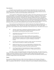### Vision Statement

All children and young adults deserve excellent literature which reflects their own experience and encourages them to imagine experiences beyond their own, which satisfies their innate curiosity, and which invites them to dream. We believe such literature fosters a fundamental understanding of themselves and one another, stimulates their creativity, and, most importantly, enriches their lives.

At the Cooperative Children's Book Center (CCBC), a library of the School of Education at the University of Wisconsin-Madison, we are committed to identifying excellent literature for children and adolescents and bringing this literature to the attention of those adults who have an academic, professional, or career interest in connecting young readers with books. The identity of the Cooperative Children's Book Center is grounded in literature for children and young adults. This is reflected in its collections, its role as a book examination center and research library, and its staff expertise in book arts, book evaluation, multicultural literature, alternative press publishing, and intellectual freedom. Within each of these areas, the CCBC is acknowledged as a leader and a catalyst for change. We are committed to fulfilling these roles by advocating and actively modeling a philosophy that embraces diversity, promotes understanding and respects the rights of the individual child.

The concepts of access and inclusiveness are vital to the discussion and evaluation of literature for children and young adults. These elements are also central to any discussion of the CCBC itself with regard to its collections and information services. Therefore, the CCBC seeks to expand both the means by which CCBC information is made available and the types of information to which users have access. We will be at the forefront in:

- ! collecting a wide range of contemporary and historical literature for children and young adults, including literature published by alternative presses and that created by current and former Wisconsin residents;
- ! encouraging awareness and discussion of issues essential to literature for children and young adults;
- ! advocating the First Amendment rights of children and young adults by: 1) providing Wisconsin teachers and librarians with in-depth information on literature whenever a minor's access to books is questioned, and 2) preparing Wisconsin teachers and librarians to respond to challenges to intellectual freedom;
- ! providing educational support for students in higher education and individuals with an interest in literature for children and young adults;
- shaping electronic means of access to and dissemination of information about literature for children and young adults, within the School of Education, across the university, throughout the state of Wisconsin, and beyond; and
- ! networking nationally and internationally with colleagues in related fields to create coalitions which recognize the importance of high quality materials for all children and young adults.

The CCBC is a unique and vital gathering place for books, ideas and expertise. The CCBC vision for the future is the continued pursuit of excellence in literature for children and young adults by whatever resources are available, unwavering commitment to the First Amendment rights of children and young adults, and the establishment of a national and international network to connect all who share the belief that excellent literature can insure a brighter future for the world's children.

## Purpose

The Cooperative Children's Book Center (CCBC) of the School of Education at the University of Wisconsin-Madison is a noncirculating examination, study and research children's and young adult literature library for adults. The purposes of the CCBC are: 1) to provide a collection of current, retrospective and historical books for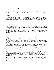children and young adults; 2) to provide Wisconsin librarians, teachers, students and others informational and educational services based on the collection; and 3) to support teaching, learning and research needs related to children's and young adult literature.

The CCBC is funded for these purposes by the UW-Madison, especially through the School of Education, and by the Wisconsin Department of Public Instruction/Division for Libraries and Community Learning. The CCBC was established in 1963.

### **Collection**

The library collection contains review copies of newly published juvenile trade books; recommended children's and young adult trade books; historical children's books; contemporary and historical reference materials related to children's and young adult literature; children' and young adult books by Wisconsin authors and illustrators; and alternative press books for children.

### Access

The Dewey Decimal classification system is used to catalog all materials except the Alternative Press and Wisconsin Collections. Subject analytics are used extensively for card catalog access to reference materials.

Author, title, illustrator, translator and subject card catalog entries are made for children's and young adult books. Any known national award or distinction or selection tool recommendation is noted on the endpaper in the front of each children's and young adult book.

Beginning in January 1995, all materials cataloged at the CCBC are in OCLC and in the University of Wisconsin-Madison Electronic Library on-line catalog. CCBC records until 1990 are entered in the WISCAT statewide database.

The CCBC collection is noncirculating.

### Services

Reference assistance from student employees is available to anyone on a walk-in basis. Reference assistance from a professional librarian/children's literature specialist is available to university students and faculty and Wisconsin librarians and teachers, usually by advance arrangement. Specialized reference assistance and children's literature consultation is also available by mail and phone to the above constituents anywhere in the state. Intellectual freedom information services are available to anyone serving minors in Wisconsin libraries and schools.

Tours and/or lectures are arranged as possible for university classes, library and school book selection groups and school inservice groups coming to the Book Center. CCBC publications on selected children's and young adult literature topics are available along with selected award and distinction lists and annual CCBC Wisconsin-related literature publications. Children's and young adult literature displays can be seen by walk-in library users. Monthly book discussions apply literary standards and book evaluation techniques to new books and are open to any student, faculty member, librarian, teacher or other interested adult who reads some of the scheduled books beforehand, as are the annual awards discussions.

Continuing education courses are taught throughout the year by the CCBC professional staff. As possible, the CCBC participates in statewide and regional conferences through the provision of book examination exhibits and/or leadership in scheduled sessions. A two-day children's and young adult literature conference is cosponsored every other year. The CCBC often cosponsors conferences and workshops provided by UW-Madison Extension Programs.

Persons interested in attending lectures, workshops or conferences or in obtaining CCBC publications are asked to send a self-addressed, stamped envelope when they write requesting a list of CCBC Materials or a copy of THE CCBC THIS SEASON, a quarterly flyer briefly listing current CCBC on-campus and off-campus information and program services.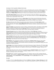### Governance of the Cooperative Children's Book Center

**The CCBC Executive Committee** is responsible for policies and funding of the Cooperative Children's Book Center. During 1994-95, the Executive Committee was comprised of School of Education Associate Dean Michael Streibel with Michael Subkoviak, Interim Dean of the School of Education, University of Wisconsin-Madison; Administrator William Wilson, DPI Division for Libraries and Community Learning, and the CCBC Director.

The CCBC Advisory Board represents CCBC users on the University of Wisconsin-Madison campus and from libraries and schools throughout Wisconsin. The 1994-1995 Advisory Board was chaired by Kris Adams Wendt, Assistant Director, Rhinelander District Library.

Members of the 1994-95 Advisory Board are: Karen Adams, Library Media Specialist, Rhinelander Elementary Schools; Susan Matoba Adler, Assoc. Lecturer and Doctoral Candidate, Department of Curriculum & Instruction, School of Education, UW-Madison; James Brownlow, Librarian, Bay Lane Middle School, Muskego;

Eve Bruce, Media Specialist, Willow Springs Elementary School, Menomonee Falls; JoAnn Gadicke, Media Specialist, Howards Grove School District; Mary Louise Gomez, Assistant Professor, Curriculum and Instruction, School of Education, UW-Madison; Miriam Hansen, Resource Sharing Coordinator, Indianhead Library System, Eau Claire;

Dianne M. Hopkins, Associate Professor, School of Library and Information Studies, UW-Madison (1994); Jacque Karbon, Consultant, Reading Education, Program Development Section, Division for Instructional Services, Wisconsin Department of Public Instruction; John Kean, Professor, Curriculum and Instruction, School of Education, UW-Madison & CCBC Faculty Contact with the University Library Committee;

Thomas R. Kennedy, Supervisor of Library/Media, School District of Beloit; Ellen Last, Consultant, English/Language Arts Education, Division for Instructional Services, Wisconsin Department of Public Instruction; Char Lemke, District Director of Media and High School Library Media Specialist, Arcadia School District; Anne Lundin, Assistant Professor, School of Library and Information Studies, UW-Madison (1995);

JoAnne Marshall, Reading Specialist, Iowa-Grant Elementary/Middle School, Livingston; Mildred McDowell, Media Specialist, Francis Starms Early Childhood Center, Milwaukee; Judy Moberg, Library Media Specialist, Fox Point School District, and children's literature instructor, Dept. of Curriculum & Instruction, UW-Milwaukee; Lillian Nolan, Youth Librarian, Fond du Lac Public Library;

Mary Pinkerton, Chair, Department of English, UW-Whitewater; Christine Prevetti, Librarian, Finney Public Library, Milwaukee; Cathy Retzer, Media Specialist, Medford Area Elementary School; Marianne Scheele, Acquisitions Librarian, Reference and Loan Library, Bureau for Interlibrary Loan and Resource Sharing, Wisconsin Department of Public Instruction;

Gyneth Slygh, Doctoral Student, Department of Curriculum & Instruction, School of Education, UW-Madison; Kris Stabo, Youth Librarian, Maude Shunk Youth Library, Menomonee Falls; Joan Thron, Doctoral Student, Curriculum and Instruction, School of Education, UW-Madison (1994) & Lecturer in Literature/Language/ Education, UW-Green Bay;

Carole Troxel, 5th Grade Teacher, Jefferson School, Richland Center; Elizabeth Vollrath, Youth Services Librarian, Portage County Public Library, Stevens Point; and Shirley S. Wilbert, Professor of Library Science, College of Education and Human Services, UW-Oshkosh.

Mary Keefer, EMC Coordinator and Reference Librarian, UW-Oshkosh, chairs the CCBC Long Range Planning Committee. Other members are **Mary Ann Ehrike**, Elementary Librarian, Douglas Elementary School, Watertown; Dianne Hopkins (1994); Gretchen Revie (1994); Gyneth Slygh (1995) and Joan Thron with the CCBC professional staff.

# The Staff

In addition to Director Ginny Moore Kruse and Librarians Kathleen T. Horning and Megan Schliesman, the CCBC is staffed by undergraduate and graduate students. The student staff during the creation of CCBC CHOICES 1994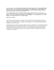included: graduate students Dana Bjerke, Tara DeLeon, Polly Forsell, Katie Jones (1994), Bonnie Kalla, Kimberly King, Nina Lindsay (1994), Lesley Lundgren, Gail Oosterhuis (1994), Kathy Richter and Stacey Walpert; and undergraduate students Susan Burke (1994), Emily Edgette, Jenny Henrichs, Margaret Heuring, Nikki Jacob, Aimee Ray, Shari Seidel (1995) and Tammy Woznick (1994).

Volunteer staff members from the Friends of the CCBC, Inc., during 1994-1995 were retired professional librarians Marion Fuller Archer (1994), Sally A. Davis and Barbara Seif, along with professional librarian Tana Elias and graduate students Gretchen Dombrock (1995), Julie Fingerson (1995), Martha Flotten (1994), Nina Lindsay (1995), Megan McGuire (1994) and Beth Wright.

# Public Service Schedule

The CCBC is open twelve months a year for public service to adults interested in contemporary or historical children's and young adult literature. The CCBC is open for public service 49 hours weekly during the Fall and Spring semesters: Monday-Thursday 10-8, Friday 10-4 and Saturday 10-1. Professional reference assistance is available on call 30 hours weekly.

During Summer School, CCBC is open weekly: Monday-Friday 10-4 and Saturday 10-4. During Intersession and University breaks, the CCBC is open: Monday-Friday 10-4. Phone 608-263-3720 to confirm the public service hours during a particular university semester or other time. Extended public service hours can be arranged to accommodate campus course schedules as well as out-of-town users' arrivals and departures. Requests for extended service must be made more than two weeks in advance and will be accommodated if at all possible according to staff availability.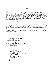### INDEX

#### INTRODUCTION

In keeping with the CCBC's emphasis on multicultural literature, this year's index intends to provide basic access to the ethnic background of the persons, fictional and real, portrayed in this year's CCBC CHOICES selections. These entries are as specific as possible, and include cross-references to point the reader to other groups of interest. For example, "Asians and Asian-Americans" includes a cross-reference to "Japanese and Japanese-Americans" and other culturally-specific sub-groups. For fictional works, the index includes broad groupings based on human and community relationships and themes, such as "Siblings" or "Urban Violence." The enhanced index, being a trial effort, does not seek to be comprehensive; rather, it seeks to provide access to this year's selections in light of traditional and contemporary storytime and classroom uses, such as a storytime theme of grandparents or a classroom unit on AIDS.

The books indexed include only those published for children and young adults in 1994. Other works are referenced in the text but not indexed.

Entries for titles, book creators, ethnic backgrounds/origin, and relationships are interfiled, and arranged in word-by-word order. The filing arrangement ignores both cases, all articles (including those in Spanish), and all punctuation. "Mc" and "Mac" are identified at the beginning of the letter "m." Citations for subject entries point only to the title's annotated entry, not for other locations in which the title may appear. For space reasons, only the main title was included in this year's index; bilingual books include entries under both English and Spanish titles.

The CCBC is interested in how CCBC CHOICES readers use this index and in any suggested improvements for providing partial subject access.

Ada, Alma Flor 25 Adler, C. S. 31 Adoff, Arnold 13,54 African and African-American Origin JOHN HENRY 21 THE LAST TALES OF UNCLE REMUS 21 TIGER SOUP 22 African and African-American Themes JAZZ 34 SAY IT LOUD 33 Africans and African-Americans see also Ndebelese Characters THE BABY 37 BITTER BANANAS 41 BLACK DIAMOND 24 THE CAPTIVE 23 CHRISTMAS IN THE BIG HOUSE, CHRISTMAS IN THE QUARTERS 24 COCO GRIMES 45 COMING HOME 26 DAY OF DELIGHT 19 DEAR BENJAMIN BANNEKER 27 DONAVAN'S WORD JAR 45 THE DREAM KEEPER AND OTHER POEMS 54 ESCAPE FROM SLAVERY 54 THE GLORY FIELD 52 I HADN'T MEANT TO TELL YOU THIS 50 I'VE GOT AN IDEA 28 JOHN HENRY 21 JOSHUA BY THE SEA 37 JOSHUA'S NIGHT WHISPERS 38 MAX FOUND TWO STICKS 42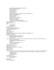MAY'NAISE SANDWICHES & SUNSHINE TEA 39 MEET DANITRA BROWN 35 MY BLACK ME 54 MY MAMA SINGS 42 OUR PEOPLE 24 RITE OF PASSAGE 53 THE ROYAL KINGDOMS OF GHANA, MALI, AND SONGHAY 24 RUNNING FOR OUR LIVES 25 SAYING GOODBYE 51 SMOKY NIGHT 30 SNOW ON SNOW ON SNOW 18 THE SUNDAY OUTING 42 SWEET BABY COMING 37 WHEN JO LOUIS WON THE TITLE 43 ZORA HURSTON AND THE CHINABERRY TREE 41 AFTER A SUICIDE 32 AFTER THE FLOOD 11, 40 AIDS BE A FRIEND 32 EARTHSHINE 49 Alavedra, Joan 9, 19 ALL ABOUT ALLIGATORS 16, 44 ALL NIGHT NEAR THE WATER 16, 38 ALL SHAPES AND SIZES 55 Allen, Judy 16 Allen, Thomas B. 26 AM I BLUE? 31, 54 THE AMAZING PAPER CUTTINGS OF HANS CHRISTIAN ANDERSEN 26, 34 AMERICAN EYES 9, 31, 54 American Indian Origin BIG TROUBLE FOR TRICKY RABBIT! 22 HERE COMES TRICKY RABBIT! 22 MOLE'S HILL 20 American Indians see also Cherokee Indians, Miccosukee Indians, Pawnee Indians, Pend Oreille Indians, Sioux Indians, Woodland Indians BATTLEFIELDS AND BURIAL GROUNDS 30 GUESTS 47 NATIVE AMERICAN ROCK ART 34 WALK TWO MOONS 46 Ancona, George 7, 16, 28 Andersen, Hans Christian 5, 54 Angelou, Maya 13, 28 ANGEL'S KITE = LA ESTRELLA DE ANGEL 39 APPLE JUICE TEA 44 Apple, Margot 38 Arnosky, Jim 16 Asians and Asian-Americans see also Chinese and Chinese-Americans, Filipinos and Filipino-Americans, Japanese and Japanese-Americans, Koreans and Korean-Americans, Vietnamese and Vietnamese-Americans AMERICAN EYES 31 IS THAT JOSIE? 38 ONE AFTERNOON 37 AT THE BEACH 8, 41 Australian Aboriginal Origin DREAMTIME 27 Avi 12, 46 Aymé, Marcel 14 Ayoub, Abderrahman 10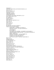THE BABY 37 THE BABY CHICKS SING (LOS POLLITOS DICEN) 22, 32 Bacho, Peter 31 Bachrach, Susan D. 22 Bancroft, Bronwyn 27 THE BARN 12, 25, 46 BARNYARD BANTER 37 BATHWATER'S HOT 55 BATTLEFIELDS AND BURIAL GROUNDS 8, 25, 30 Bauer, Marion Dane 31, 46 BE A FRIEND 32 Bearden, Romare 6 BEAST FEAST 35 BEIN' WITH YOU THIS WAY 13, 41 Bell, Anthea 52 Bellm, Dan 39 Belton, Sandra 39 Best, Aprille 32 Best, Cari 39 BIG TROUBLE FOR TRICKY RABBIT! 22 Bilingual Books (Spanish/English) ANGEL'S KITE = LA ESTRELLA DE ANGEL 39 THE BOSSY GALLITO = EL GALLO DE BODAS 21 COOL SALSA 35 DE COLORES 34 THE DESERT IS MY MOTHER = EL DESIERTO ES MI MADRE 35 GRANDMOTHER'S NURSERY RHYMES = LAS NANAS DE ABUELITA 21 HAIRS = PELITOS 39 LISTEN TO THE DESERT = OYE AL DESIERTO 36 THE PIÑATA MAKER = EL PIÑATERO 28 PLATERY Y YO = PLATERO AND I 55 LOS POLLITOS DICEN = THE BABY CHICKS SING 32 BILL 25, 49 Birling, Paul 46 BITTER BANANAS 41 BLACK DIAMOND 7, 24 Blanco, Alberto 39 Blegvad, Erik 5, 54 Block, Francesca Lia 31 Blos, Joan W. 26, 46 BLUE HAT RED COAT 38 BLUE POTATOES, ORANGE TOMATOES 32 THE BOSSY GALLITO = EL GALLO DE BODAS 6 Bootman, Colin 21, 44 Boyd, Candy Dawson 14 THE BOYS FROM ST. PETRI 9, 52 Brink, Carol Ryrie 35 BROOKLYN DOESN'T RHYME 25, 46 Brooks, Martha 10, 50 Brown, Tricia 28 Browne, Anthony 48 Brust, Beth Wagner 26 Bryant, Michael 24, 41 Bulla, Clyde Robert 16 Bunting, Eve 30, 36 Butler, John 18 Byrd, Samuel 25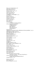Cherokee Indians THE CALL OF THE WILD 54, 55 Calmenson, Stephanie 44 THE CAPTIVE 6, 23, 50 Carlson, Lori M. 7, 9, 31, 35 Carpenter, Nancy 30 Carter, Gail Gordon 39 Casey, Maude 10, 50 CATHERINE, CALLED BIRDY 11, 51 Cech, John 33 Chalmers, Mary 44 Chang, Lan Samantha 31 Chapman, Cheryl 18 Chartier, Normand 17 Chen, Chihsien 44 Chen, Mary 31 ON THE LONG TRAIL HOME 49 Chinese and Chinese-Americans AMERICAN EYES 31 AT THE BEACH 41 FIRST APPLE 45 THE GHOST FOX 22 MAMA BEAR 43 Chorao, Kay 32 CHRISTMAS IN THE BIG HOUSE, CHRISTMAS IN THE QUARTERS 7, 20, 24 CHRISTMAS LULLABY 18, 36, 38 THE CHRISTMAS TREE SHIP 19, 25, 44 CIRCLE OF GOLD 14 THE CIRCLEMAKER 25, 52 Cisneros, Sandra 7, 39 Clark, Emma Chichester 33, 41 Coalson, Glo 38 COCO GRIMES 11, 45, 50 Cole, Joanna 16 Coles, Robert 32 Collington, Peter 10, 46 COLORS 55 COMING HOME 6, 25, 26 THE COMING OF THE SURFMAN 10, 46 COOL SALSA 7, 35 Cooper, Floyd 6, 26, 35 Courtney-Clarke, Margaret 13, 28 Coville, Bruce 31 CRAZY HORSE 25, 27 Creasy, Rosalind 32 THE CREATION 5, 22, 36, 55 Creech, Sharon 11, 46 CROCODILE SMILE 12 Crum, Robert 8, 29 Cuban and Cuban-American Origin THE BOSSY GALLITO  $=$  EL GALLO DE BODAS 21 Cubans and Cuban-Americans WHERE THE FLAME TREES BLOOM 25 Cushman, Karen 11, 51 Dalokay, Vedat 9, 26 Davie, Helen K. 18

DAY OF DELIGHT 19, 30, 44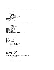THE DAYDREAMER 48 THE DAYS BEFORE NOW 25, 26, 44 DE COLORES AND OTHER LATIN-AMERICAN FOLK SONGS FOR CHILDREN 7, 22, 33, 34 DEAR BEAR 40 DEAR BENJAMIN BANNEKER 6, 25, 27 Death THE BARN 46 EARTHSHINE 49 FLIP-FLOP GIRL 49 TELL THEM WE REMEMBER 22 WALK TWO MOONS 46 DeFelice, Cynthia 47 Degen, Bruce 16 DeGross, Monalisa 10, 45 Delacre, Lulu 21 THE DESERT IS MY MOTHER = EL DESIERTO ES MI MADRE 7, 18, 35, 44 EL DESIERTO ES MI MADRE (THE DESERT IS MY MOTHER) 7, 18, 35, 44 Diaz, David 11, 30 **Divorce** EARTHSHINE 49 A QUESTION OF TRUST 46 TAXI! TAXI! 39 Domínguez, Joseph F. 55 DONAVAN'S WORD JAR 10, 45, 50 Dorris, Michael 47 Douglass, Frederick 6, 54 THE DREAM KEEPER AND OTHER POEMS 5, 36, 54 DREAMTIME 10, 22, 27 EAGLE 12, 16, 31, 44 EAGLE DRUM 8, 29 THE EAR, THE EYE AND THE ARM 13, 47, 54 EARTHSHINE 11, 12, 49, 54 Echo-Hawk, Roger C. 8, 30 Echo-Hawk, Walter R. 8, 30 Ehlert, Lois 8, 12, 20 Elivia 21 Emberley, Michael 31 Émigrés BROOKLYN DOESN'T RHYME 46 THE CIRCLEMAKER 52 L'CHAIM 28 MY BROTHER, MY SISTER AND I 53 OVER THE WATER 50 Ener, Güner 26 ESCAPE FROM SLAVERY 25, 28, 54 LA ESTRELLA DE ANGEL (ANGEL'S KITE) 39 Ethiopians DAY OF DELIGHT 19 EVERGLADES 8, 12, 29, 31 EXTRA CHEESE, PLEASE! 29 Families and Extended Families see also Grandparents and Siblings AFTER A SUICIDE 32 AM I BLUE? 31 AMERICAN EYES 31 THE BARN 46 BILL 49 CATHERINE, CALLED BIRDY 51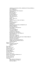CHRISTMAS IN THE BIG HOUSE, CHRISTMAS IN THE QUARTERS 24 COCO GRIMES 45 DAY OF DELIGHT 19 THE EAR, THE EYE AND THE ARM 47 EARTHSHINE 49 FLIP-FLOP GIRL 49 FLOUR BABIES 47 FLOWER GARDEN 36 THE GHOST FOX 22 THE GLORY FIELD 52 GUESTS 47 HAIRS = PELITOS 39 HIDING 37 I HADN'T MEANT TO TELL YOU THIS 50 JESSE 53 LOSTMAN'S RIVER 47 MAMA BEAR 43 MAPHEAD 51 MAY'NAISE SANDWICHES & SUNSHINE TEA 39 MISSING SISTERS 48 MY MAMA SINGS 42 THE NURSERY COLLECTION 55 OUR PEOPLE 24 OUT OF NOWHERE 52 OVER THE WATER 50 A QUESTION OF TRUST 46 RUNNING FOR OUR LIVES 25 THE SANDMAN AND THE TURTLES 49 SMOKY NIGHT 30 THE SUNDAY OUTING 42 SWEET BABY COMING 37 TRAVELING ON INTO THE LIGHT AND OTHER STORIES 50 TRUMAN'S AUNT FARM 42 WALK TWO MOONS 46 WHEN JO LOUIS WON THE TITLE 43 WHERE THE FLAME TREES BLOOM 25 WINTER POEMS 36 Farmer, Nancy 13, 47 Filipinos and Filipino-Americans AMERICAN EYES 31 EAGLE 16 Fine, Anne 47 FIRST APPLE 25, 45 Fleming, Denise 37 FLIP-FLOP GIRL 12, 49 Florian, Douglas 35 FLOUR BABIES 47 FLOWER GARDEN 36 FOCUS 28, 34 Foreman, Michael 23 FRANK LLOYD WRIGHT FOR KIDS 28, 33 Frasconi, Antonio 8, 55 Freedman, Russell 23 Friend, Catherine 39 Friendship BEIN' WITH YOU THIS WAY 41 THE BOYS FROM ST. PETRI 52 FLIP-FLOP GIRL 49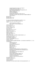I HADN'T MEANT TO TELL YOU THIS 50 LETTERS FROM THE INSIDE 51 MAY'NAISE SANDWICHES & SUNSHINE TEA 39 MEET DANITRA BROWN 35 MISSING SISTERS 48 OUT OF NOWHERE 52 SISTER SHAKO AND KOLO THE GOAT 26 TRAVELING ON INTO THE LIGHT AND OTHER STORIES 50 WAR GAME 23 Fritz, Jean 26 FROZEN MAN 23, 30 FUN-NO FUN 27, 44 EL GALLO DE BODAS (THE BOSSY GALLITO) 21, 44 GANEKWANE AND THE GREEN DRAGON 10 Gangs THE BOYS FROM ST. PETRI 52 THE COMING OF THE SURFMAN 46 Garden, Nancy 31 Gauch, Patricia Lee 40 Geisert, Arthur 11, 40 Gershator, Phillis 6, 20 Getz, David 23 THE GHOST FOX 9, 22, 50 Giblin, James Cross 31 Gilchrist, Jan Spivey 6, 37 Gillette, J. Lynett 17 THE GLORY FIELD 6, 52 Goble, Paul 13, 20 THE GOLDEN LION TAMARIN COMES HOME 16, 31 González, Lucía M. 21 GOOD NIGHT, GORILLA 38 GOOD NIGHT, STELLA 41 GOODY O'GRUMPITY 25, 35, 44 Gottlieb, Dale 39 GRANDMOTHER'S NURSERY RHYMES = LAS NANAS DE ABUELITA  $7, 21, 36$ Grandparents APPLE JUICE TEA 44 COCO GRIMES 45 DONAVAN'S WORD JAR 45 FIRST APPLE 45 FLIP-FLOP GIRL 49 JERICHO 48 LUKA'S QUILT 40 MARIGOLD AND GRANDMA ON THE TOWN 44 MAY'NAISE SANDWICHES AND SUNSHINE TEA 39 OUR GRANNY 44 THE SANDMAN AND THE TURTLES 49 SITTI'S SECRETS 30 TIGER, TIGER, BURNING BRIGHT 48 TUKAMA TOOTLES THE FLUTE 20 WALK TWO MOONS 46 WHEN JO LOUIS WON THE TITLE 43 Greenfield, Eloise 6, 37 Greenfield, Monica 6, 37 Griffith, Gershom 6 Grimes, Nikki 35 GROWING UP IN THE SANCTUARY OF MY IMAGINATION 7, 27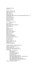Guback, Georgia 40 GUESTS 47  $HAIRS = PELITOS 7, 39$ Hall, Nancy Abraham 32 Hallett, Mark 17 Hanna, Cheryl 45 Hansen, Joyce 6, 23 HARRIET BEECHER STOWE AND THE BEECHER PREACHERS 25, 26 Harris, Robie H. 31 Harrison, Joanna 40 Hartmann, Wendy 17 Haugen, Tormod 9 Hautzig, David 7, 29 **Hawaiians** LUKA'S QUILT 40 Heller, Ruth 32 Heo, Yumi 10, 37 HERE COMES TRICKY RABBIT! 22 Hesse, Karen 45 Hewitt, Kathryn 36 HI 38 Hickman, Janet 48 HIDING 10, 37 Hijuelos, Oscar 35 HILDA HEN'S SEARCH 44 Hispanics see Latinos Hoban, Tana 37 Holmes, Brian 33 Hopkins, Lee Bennett 54 A HOUSE BY THE SEA 43 HOW NOW, BROWN COW 36 Howard, Ellen 31 Howarth, Lesley 51 Hu, Ying-Hwa 41 Hughes, Langston 5, 6, 54 Hughes, Shirley 10, 37, 55 Humphries, Tudor 16 Hyman, Trina Schart 36 I HADN'T MEANT TO TELL YOU THIS 6, 50 "I HAVE A SONG TO SING, O!" 33 Ichikawa, Satomi 40 IF YOU WANT TO FIND GOLDEN 43 IKTOMI AND THE BUZZARD 13, 20, 44 Imagination THE DAYDREAMER 48 DEAR BEAR 40 GOOD NIGHT, STELLA 41 A HOUSE BY THE SEA 43 IS THAT JOSIE? 38 MAX FOUND TWO STICKS 42 MAY'NAISE SANDWICHES AND SUNSHINE TEA 39 ON A WHITE PEBBLE HILL 44 THE SANDMAN AND THE TURTLES 49 TANYA AND EMILY IN A DANCE FOR TWO 40 THE THREE GOLDEN KEYS 43 Indians see American Indians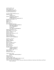IS THAT JOSIE? 8, 38 Isaacs, Anne 11, 40 IT'S MY BIRTHDAY 19, 38 IT'S PERFECTLY NORMAL 31 I'VE GOT AN IDEA 25, 28 JACQUES-HENRI LARTIGUE 28, 33 Jamaican Origin TIGER SOUP 22 Japanese and Japanese-Americans AMERICAN EYES 31 MY BROTHER, MY SISTER AND I 53 Jaramillo, Nelly Palacio 7, 21 JAZZ 28, 34 JERICHO 48, 54 JESSE 7, 53 Jewell, Nancy 18 Jews and Jewish-Americans BROOKLYN DOESN'T RHYME 46 THE CIRCLEMAKER 52 DAY OF DELIGHT 19 L'CHAIM 28 TELL THEM WE REMEMBER 22 Jiménez, Juan Ramón 8, 55 JOHN HENRY 5, 6, 21, 44, 50 Johnson, Angela 6, 37, 38 Johnson, Dolores 7 Johnson, James Weldon 5, 6, 55 Johnson, Larry 43 Jones, K. Maurice 33 JOSHUA BY THE SEA 37 JOSHUA'S NIGHT WHISPERS 38 Kadohata, Cynthia 31 Karas, G. Brian 42 KEEPING SECRETS 9 Kerr, M. E. 31 KIDS AT WORK 23, 28, 31 King, Coretta Scott 54 Kleven, Elisa 34 Kobré, Kenneth 28 Koertge, Ron 48 Koreans and Korean-Americans AMERICAN EYES 31 SAYING GOODBYE 51 Krull, Kathleen 7, 29 Kuklin, Susan 32 Kunstadter, Maria A. 29 Lakota Indian Origin IKTOMI AND THE BUZZARD 20 Lang, Cecily 19 Langstaff, John 33 La Pierre, Yvette 13, 34 LAST LEAF FIRST SNOWFLAKE TO FALL 8, 20, 50 THE LAST TALES OF UNCLE REMUS 21 Latinos see also Cubans and Cuban-Americans, Mexicans and Mexican-Americans, Puerto Ricans and Puerto Rican-Americans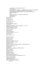ANGEL'S KITE = LA ESTRELLA DE ANGEL 39 COOL SALSA 35 DE COLORES AND OTHER LATIN-AMERICAN FOLK SONGS FOR CHILDREN 34 THE DESERT IS MY MOTHER = EL DESIERTO ES MI MADRE 35 GRANDMOTHER'S NURSERY RHYMES = LAS NANAS DE ABUELITA 21 HAIRS = PELITOS 39 HI 38 LOS POLLITOS DICEN = THE BABY CHICKS SING 32 SMOKY NIGHT 30 TAXI! TAXI! 39 Lauber, Patricia 17 L'CHAIM 28 Lechón, Daniel 35 Lee, Huy Voun 41 Lee, Marie G. 11, 31, 51 Lessin, Leonard 17 Lester, Julius 6, 21 LETTERS FROM THE INSIDE 51 Lewis, E. B. 6 LISTEN TO THE DESERT = OYE AL DESIERTO  $7, 18, 36, 44$ THE LITTLE LAMA OF TIBET 29 THE LIVING EARTH 12, 18, 31 Livingston, Myra Cohn 8, 55 Lobato, Arcadio 10 London, Jack 55 London, Jonathan 31 LOSTMAN'S RIVER 12, 25, 31, 47 Lourie, Peter 8, 29 Lowry, Lois 31 LUKA'S QUILT 34, 40 McCarty, Peter 23 McCurdy, Michael 54 McEwan, Ian 48 McGaw, Laurie 25 McKissack, Fredrick, Jr. 6, 7, 24 McKissack, Fredrick L. 6, 7, 24 McKissack, Patricia C. 5, 7, 24 McMullan, Kate 41 THE MAGIC SCHOOL BUS IN THE TIME OF THE DINOSAURS 16 Maguire, Gregory 12, 31, 48 MAMA BEAR 8, 11, 43 MAPHEAD 51 MARIGOLD AND GRANDMA ON THE TOWN 44 Maritz, Nicolaas 17 Marrin, Albert 24 Marsalis, Wynton 34 Marsden, John 51 MARTHA CALLING 41 Martorell, Antonio 25 MAX FOUND TWO STICKS 42 MAY'NAISE SANDWICHES & SUNSHINE TEA 25, 39 Mayo, Gretchen Will 22 Medearis, Angela Shelf 41 Meddaugh, Susan 6, 24 MEET DANITRA BROWN 35, 44 Mexicans and Mexican-Americans JESSE 53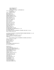THE OTHER SIDE 29 PABLO'S TREE 19 THE PIÑATA MAKER = EL PIÑATERO 28 Miccosukee Indians EVERGLADES 29 Miller, William 13, 44 Min, Katherine 31 Minh, Nguyen Duc 31 MISSING SISTERS 25, 48 Mitchell, Rhonda 6, 37, 38 Mohr, Nicholasa 7, 27 MOLE'S HILL 8, 20, 44 Monceaux, Morgan 34 Moore, Cheville 6 Moore, Dessie 6 Mora, Francisco X. 36 Mora, Pat 7, 19, 35, 36 Morales, Rodolfo 39 Morpurgo, Michael 49 Moser, Barry 55 Mullins, Patricia 30 MY BLACK ME 13, 36, 54 MY BROTHER, MY SISTER AND I 8, 11, 53 MY MAMA SINGS 42 MY PAINTED HOUSE, MY FRIENDLY CHICKEN, AND ME 13, 28, 44 Myers, Walter Dean 6, 52 LAS NANAS DE ABUELITA (GRANDMOTHER'S NURSERY RHYMES) 7, 21, 36 Narahashi, Keiko 38 NATIVE AMERICAN ROCK ART 13, 25, 34 Native Americans see American Indians Ndebelese MY PAINTED HOUSE, MY FRIENDLY CHICKEN, AND ME 28 Nelson, Theresa 11, 12, 49 Newman, Lesléa 31 Ng, Faye Myenne 31 Nikola-Lisa, W. 41 NOISY 55 THE NURSERY COLLECTION 38, 55 Nye, Naomi Shihab 30 Oba, Ryan 31 Olaleye, Isaac 41 ON A WHITE PEBBLE HILL 8, 44 ON THE LONG TRAIL HOME 25, 49 ONE AFTERNOON 10, 37 ONE SUN RISES 17, 38, 44 Oodgeroo 10, 27 Ordóñez, María Antonia 45 Orozco, José-Luis 7, 34 O'Shaughnessy, Tam 18 Otani, June 16 THE OTHER SIDE 7, 29 Ott, Margaret V. 28 OUR GRANNY 12, 44 OUR PEOPLE 24, 44 OUT OF NOWHERE 52 OVER THE WATER 10, 50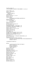Pawnee Indians Oxenbury, Helen 19 OYE AL DESIERTO (LISTEN TO THE DESERT) 7, 18, 36, 44 PABLO'S TREE 19, 38 Palacios, Argentina 45 Palestinians SITTI'S SECRETS 30 PAPER BIRD 10 Paterson, Katherine 11, 12, 49 Paulsen, Gary 55 BATTLEFIELDS AND BURIAL GROUNDS 30 PELITOS (HAIRS) 7, 39 Pend Oreille Indians EAGLE DRUM 29 Peters, Lisa Westberg 17 Peterson, Cris 29 Peterson, Jeanne Whitehouse 42 Picó, Fernando 9, 45 THE PIÑATA MAKER = EL PIÑATERO 7, 28 EL PIÑATERO (THE PIÑATA MAKER) 7, 28 Pinkney, Andrea Davis 27 Pinkney, Brian 5, 6, 19, 27, 42, 54 Pinkney, Gloria Jean 42 Pinkney, Jerry 6, 21, 42 Pizzo, Philip A. 32 PLATERO AND I (PLATERO Y YO) 8, 50, 55 PLATERO Y YO = PLATERO AND I  $\dot{8}$ , 50, 55 POLAR, THE TITANIC BEAR 13, 25, 45 Polis, Gary A. 17 LOS POLLITOS DICEN = THE BABY CHICKS SING 22, 32 Pringle, Laurence 17 Puerto Ricans and Puerto Rican-Americans GROWING UP IN THE SANCTUARY OF MY IMAGINATION 27 THE RED COMB 45

A QUESTION OF TRUST 46

### Racism

I HADN'T MEANT TO TELL YOU THIS 50 RITE OF PASSAGE 53 SAYING GOODBYE 51 SMOKY NIGHT 30 Radcliffe, Theresa 18 Raimondo, Lois 29 Rampersad, Arnold 53 THE RAMSAY SCALLOP 12, 53 Ransome, James E. 5, 55 Rathmann, Peggy 38 Rattigan, Jama Kim 11, 42 Reaver, Chap 49 THE RED COMB 5, 9, 45 Reiser, Lynn 42 Reuter, Bjarne 9, 52 Ride, Sally 18 RITE OF PASSAGE 53 Robinson, Lolly 11, 43 Rochelle, Belinda 6, 43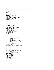Rockwell, Joyce 14 Rogasky, Barbara 36 THE ROYAL KINGDOMS OF GHANA, MALI, AND SONGHAY 7, 24, 31 RUNNING FOR OUR LIVES 25, 50 Russell, Ching Yeung 45 Ryder, Joanne 43 SABLE 45, 50 Saint James, Synthia 6, 18, 20 Salat, Cristina 31 THE SANDMAN AND THE TURTLES 45, 49 THE SAWFIN STICKLEBACK 39 SAY IT LOUD 33 SAYING GOODBYE 11, 51 Schaffer, Amanda 36 Schertle, Alice 36 Schmid, Eleonore 18 Schuett, Stacey 43 Schur, Maxine Rose 19, 52 SCORPION MAN 17, 28 Scott, Ann Herbert 38 THE SEARCH FOR SEISMOSAURUS 17, 30 Sebestyen, Ouida 52 SEMINOLE DIARY 7 Sendak, Maurice 14 SEVEN SPIDERS SPINNING 12, 48 Sewall, Marcia 45 Shange, Ntozake 6 Shaw, Nancy 38 SHEEP TAKE A HIKE 38 Siblings THE BARN 46 THE BOYS FROM ST. PETRI 52 FLIP-FLOP GIRL 49 JESSE 53 MY BROTHER, MY SISTER AND I 53 ON THE LONG TRAIL HOME 49 Sioux Indians CRAZY HORSE 27 Sis, Peter 13, 43 SISTER SHAKO AND KOLO THE GOAT 9, 26 SITTI'S SECRETS 30, 44 Sleator, William 31 Sloan, Lois 34 SMOKY NIGHT 11, 30, 44 THE SNOW LEOPARD 18, 20, 44 SNOW ON SNOW ON SNOW 5, 18, 38 Soto, Gary 7, 11, 53 Spedden, Daisy Corning Stone 25 Speidel, Sandra 42 Spinelli, Eileen 43 St. George, Judith 27 Stanberry, Shari 29 Stanley, Leotha 12 Stevenson, James 27 Stewart, Elisabeth J. 49 Stolz, Mary 11, 45 Suicide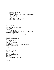AFTER A SUICIDE 32 Sun, Chyng Feng 43, 44 THE SUNDAY OUTING 25, 42 THE SURPRISE FAMILY 42 Survival THE CALL OF THE WILD 55 THE CAPTIVE 23 CHRISTMAS IN THE BIG HOUSE, CHRISTMAS IN THE QUARTERS 24 THE CIRCLEMAKER 52 THE GLORY FIELD 52 GUESTS 47 I HADN'T MEANT TO TELL YOU THIS 50 MY BROTHER, MY SISTER AND I 53 ON THE LONG TRAIL HOME 49 THE RED COMB 45 SWAMP ANGEL 11, 40 Swanson, Gloria M. 28 SWEET BABY COMING 37 Sweet, Melissa 43 Syverson-Stork, Jill 32 TANYA AND EMILY IN A DANCE FOR TWO 40 TAXII TAXII 39 Teachers FLIP-FLOP GIRL 49 THE MAGIC SCHOOL BUS IN THE TIME OF THE DINOSAURS 16 TELL THEM WE REMEMBER 22, 31 Temple, Frances 11, 22, 53 THEY FOLLOWED A BRIGHT STAR 9, 19, 22, 34, 44, 55 THE THIRD PLANET 12, 18, 31 THIS WAY HOME 17, 20, 44 Thompson, John 24 Thorne-Thomsen, Kathleen 33 THE THREE GOLDEN KEYS 13, 22, 43 Tibetans THE LITTLE LAMA OF TIBET 29 TIGER SOUP 22, 44 TIGER, TIGER, BURNING BRIGHT 48 TO SPOIL THE SUN 14 TRAVELING ON INTO THE LIGHT AND OTHER STORIES 10, 50 TRUMAN'S AUNT FARM 11, 42 Tseng, Jean 22 Tseng, Mou-Sien 22 TUKAMA TOOTLES THE FLUTE 20, 44 Turks SISTER SHAKO AND KOLO THE GOAT 26 Turner, Glennette Tilley 25 TWELVE TALES 5, 45, 54 UMM EL MADAYAN 10 UNCONDITIONAL SURRENDER 24, 28 Upitis, Alvis 29 Urban Violence THE COMING OF THE SURFMAN 46 RITE OF PASSAGE 53 SMOKY NIGHT 30 Uspensky, Eduard 10